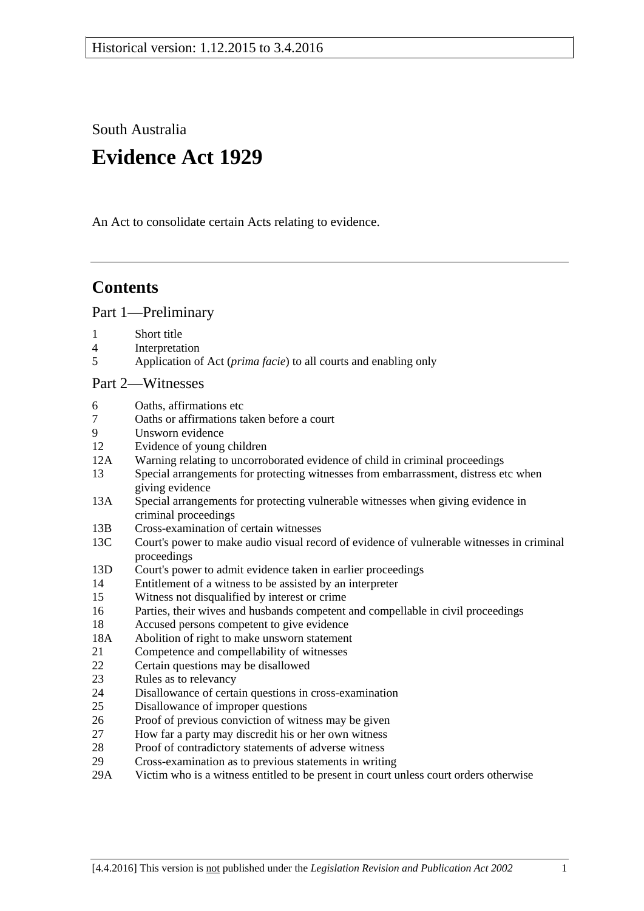South Australia

# **Evidence Act 1929**

An Act to consolidate certain Acts relating to evidence.

# **Contents**

[Part 1—Preliminary](#page-6-0)

- 1 [Short title](#page-6-1)
- 4 [Interpretation](#page-6-2)
- 5 Application of Act (*prima facie*[\) to all courts and enabling only](#page-8-0)

#### [Part 2—Witnesses](#page-10-0)

- 6 [Oaths, affirmations etc](#page-10-1)
- 7 [Oaths or affirmations taken before a court](#page-10-2)
- [Unsworn evidence](#page-10-3)
- 12 [Evidence of young children](#page-11-0)
- 12A [Warning relating to uncorroborated evidence of child in criminal proceedings](#page-11-1)
- 13 [Special arrangements for protecting witnesses from embarrassment, distress etc when](#page-11-2)  [giving evidence](#page-11-2)
- 13A [Special arrangements for protecting vulnerable witnesses](#page-13-0) when giving evidence in [criminal proceedings](#page-13-0)
- 13B [Cross-examination of certain witnesses](#page-15-0)
- 13C Court's power to [make audio visual record of evidence of vulnerable witnesses in criminal](#page-17-0)  [proceedings](#page-17-0)
- 13D [Court's power to admit evidence taken in earlier proceedings](#page-17-1)
- 14 [Entitlement of a witness to be assisted by an interpreter](#page-18-0)
- 15 [Witness not disqualified by interest or crime](#page-18-1)
- 16 [Parties, their wives and husbands competent and compellable in civil proceedings](#page-19-0)
- 18 [Accused persons competent to give evidence](#page-19-1)
- 18A [Abolition of right to make unsworn statement](#page-20-0)
- 21 [Competence and compellability of witnesses](#page-20-1)
- 22 [Certain questions may be disallowed](#page-21-0)
- 23 [Rules as to relevancy](#page-21-1)
- 24 [Disallowance of certain questions in cross-examination](#page-21-2)
- 25 [Disallowance of improper questions](#page-22-0)
- 26 [Proof of previous conviction of witness may be given](#page-22-1)
- 27 [How far a party may discredit his or her own witness](#page-23-0)
- 28 [Proof of contradictory statements of adverse witness](#page-23-1)
- 29 [Cross-examination as to previous statements in writing](#page-23-2)
- 29A [Victim who is a witness entitled to be present in court unless court orders otherwise](#page-23-3)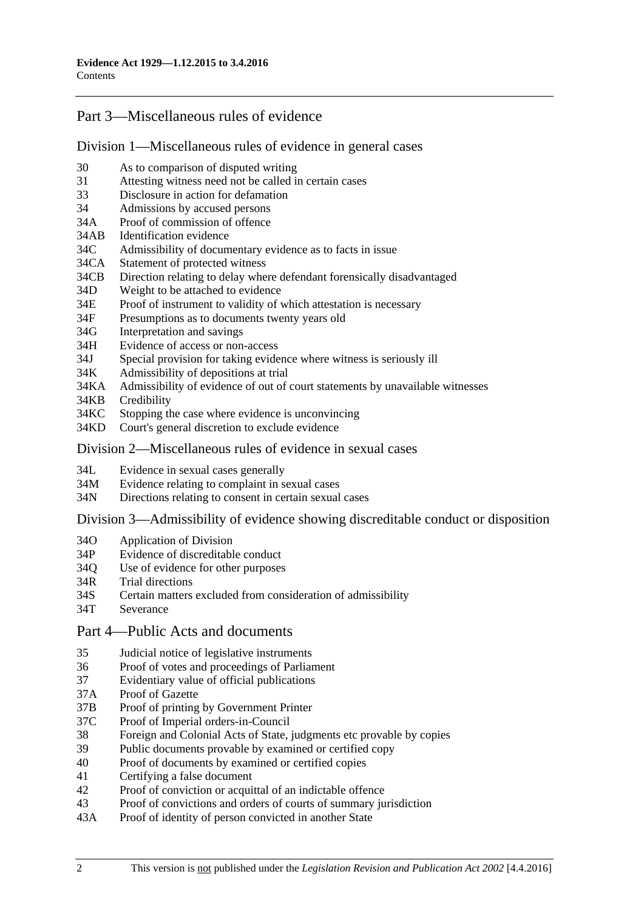## [Part 3—Miscellaneous rules of evidence](#page-24-0)

### [Division 1—Miscellaneous rules of evidence in general cases](#page-24-1)

- 30 [As to comparison of disputed writing](#page-24-2)
- 31 [Attesting witness need not be called in certain cases](#page-24-3)
- 33 [Disclosure in action for defamation](#page-24-4)
- 34 [Admissions by accused persons](#page-24-5)
- 34A [Proof of commission of offence](#page-24-6)
- 34AB [Identification evidence](#page-24-7)
- 34C [Admissibility of documentary evidence as to facts in issue](#page-25-0)<br>34CA Statement of protected witness
- [Statement of protected witness](#page-26-0)
- 34CB [Direction relating to delay where defendant forensically disadvantaged](#page-27-0)
- 34D [Weight to be attached to evidence](#page-27-1)
- 34E [Proof of instrument to validity of which attestation is necessary](#page-28-0)
- 34F [Presumptions as to documents twenty years old](#page-28-1)
- 34G [Interpretation and savings](#page-28-2)
- 34H [Evidence of access or non-access](#page-28-3)
- 34J [Special provision for taking evidence where witness is seriously ill](#page-28-4)
- 34K [Admissibility of depositions at trial](#page-29-0)
- 34KA [Admissibility of evidence of out of court statements by unavailable witnesses](#page-29-1)
- 34KB [Credibility](#page-30-0)
- 34KC [Stopping the case where evidence is unconvincing](#page-31-0)
- 34KD [Court's general discretion to exclude evidence](#page-32-0)

## [Division 2—Miscellaneous rules of evidence in sexual cases](#page-32-1)

- 34L [Evidence in sexual cases generally](#page-32-2)
- 34M [Evidence relating to complaint in sexual cases](#page-33-0)
- 34N [Directions relating to consent in certain sexual cases](#page-34-0)

Division [3—Admissibility of evidence showing discreditable conduct or disposition](#page-34-1)

- 34O [Application of Division](#page-34-2)
- 34P [Evidence of discreditable conduct](#page-35-0)
- 34Q [Use of evidence for other purposes](#page-35-1)
- 34R [Trial directions](#page-35-2)
- 34S [Certain matters excluded from consideration of admissibility](#page-36-0)
- 34T [Severance](#page-36-1)
- [Part 4—Public Acts and documents](#page-38-0)
- 35 [Judicial notice of legislative instruments](#page-38-1)
- 36 [Proof of votes and proceedings of Parliament](#page-38-2)
- 37 [Evidentiary value of official publications](#page-38-3)<br>37A Proof of Gazette
- [Proof of Gazette](#page-38-4)
- 37B [Proof of printing by Government Printer](#page-38-5)
- 37C [Proof of Imperial orders-in-Council](#page-39-0)
- 38 [Foreign and Colonial Acts of State, judgments etc provable by copies](#page-39-1)
- 39 [Public documents provable by examined or certified copy](#page-39-2)
- 40 [Proof of documents by examined or certified copies](#page-40-0)
- 41 [Certifying a false document](#page-40-1)
- 42 [Proof of conviction or acquittal of an indictable offence](#page-40-2)
- 43 [Proof of convictions and orders of courts of summary jurisdiction](#page-40-3)
- 43A [Proof of identity of person convicted in another State](#page-41-0)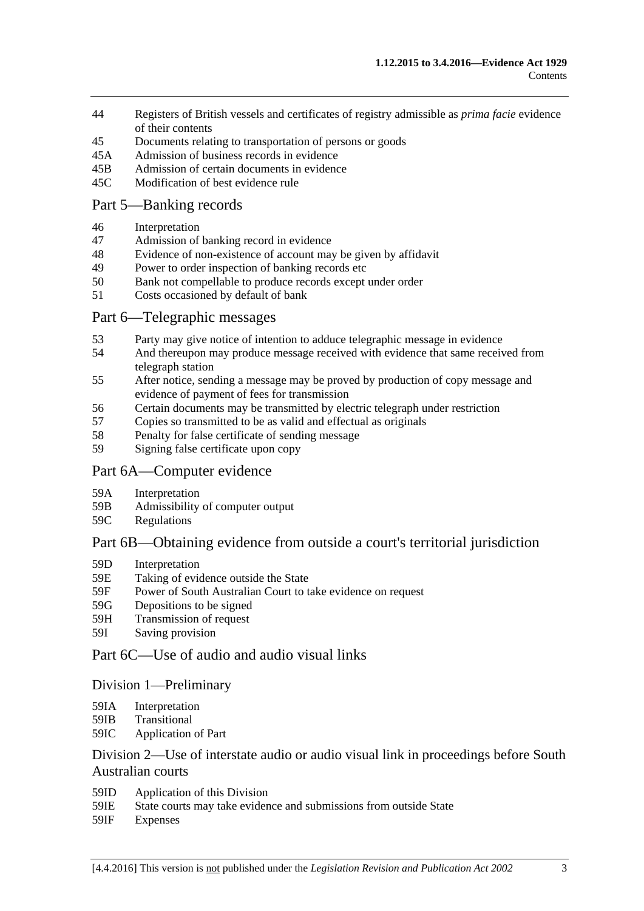- 44 [Registers of British vessels and certificates of registry admissible as](#page-41-1) *prima facie* evidence [of their contents](#page-41-1)
- 45 [Documents relating to transportation of persons or goods](#page-41-2)
- 45A [Admission of business records in evidence](#page-42-0)
- 45B [Admission of certain documents in evidence](#page-43-0)
- 45C [Modification of best evidence rule](#page-43-1)

### [Part 5—Banking records](#page-46-0)

- 46 [Interpretation](#page-46-1)
- 47 [Admission of banking record in evidence](#page-46-2)
- 48 [Evidence of non-existence of account may be given by affidavit](#page-46-3)
- 49 [Power to order inspection of banking records etc](#page-47-0)
- 50 [Bank not compellable to produce records except under order](#page-48-0)
- 51 [Costs occasioned by default of bank](#page-48-1)

## [Part 6—Telegraphic messages](#page-50-0)

- 53 [Party may give notice of intention to adduce telegraphic message in evidence](#page-50-1)
- 54 [And thereupon may produce message received with evidence that same received from](#page-50-2)  [telegraph station](#page-50-2)
- 55 [After notice, sending a message may be proved by production of copy message and](#page-50-3)  [evidence of payment of fees for transmission](#page-50-3)
- 56 [Certain documents may be transmitted by electric telegraph under restriction](#page-51-0)<br>57 Copies so transmitted to be as valid and effectual as originals
- [Copies so transmitted to be as valid and effectual as originals](#page-52-0)
- 58 [Penalty for false certificate of sending message](#page-52-1)
- 59 [Signing false certificate upon copy](#page-52-2)

#### [Part 6A—Computer evidence](#page-54-0)

- 59A [Interpretation](#page-54-1)
- 59B [Admissibility of computer output](#page-54-2)
- 59C [Regulations](#page-55-0)

## [Part 6B—Obtaining evidence from outside a court's territorial jurisdiction](#page-56-0)

- 59D [Interpretation](#page-56-1)
- 59E [Taking of evidence outside the State](#page-56-2)
- 59F [Power of South Australian Court to take evidence on request](#page-57-0)
- 59G [Depositions to be signed](#page-57-1)
- 59H [Transmission of request](#page-57-2)
- 59I [Saving provision](#page-58-0)

## [Part 6C—Use of audio and audio visual links](#page-60-0)

#### [Division 1—Preliminary](#page-60-1)

- 59IA [Interpretation](#page-60-2)
- 59IB [Transitional](#page-60-3)
- 59IC [Application of Part](#page-60-4)

## [Division 2—Use of interstate audio or audio visual link in proceedings before South](#page-61-0)  [Australian courts](#page-61-0)

- 59ID [Application of this Division](#page-61-1)
- 59IE [State courts may take evidence and submissions from outside State](#page-61-2)
- 59IF [Expenses](#page-61-3)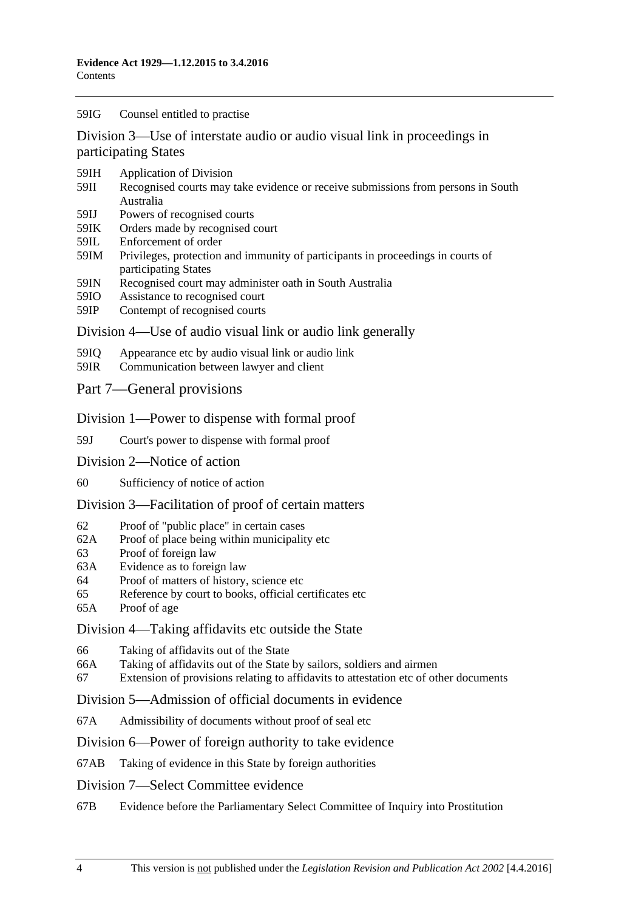#### 59IG [Counsel entitled to practise](#page-61-4)

[Division 3—Use of interstate audio or audio visual link in proceedings in](#page-62-0)  [participating States](#page-62-0)

- 59IH [Application of Division](#page-62-1)
- 59II [Recognised courts may take evidence or receive submissions from persons in South](#page-62-2)  [Australia](#page-62-2)
- 59IJ [Powers of recognised courts](#page-62-3)
- 59IK [Orders made by recognised court](#page-62-4)
- 59IL [Enforcement of order](#page-62-5)
- 59IM [Privileges, protection and immunity of participants in proceedings in courts of](#page-63-0)  [participating States](#page-63-0)
- 59IN [Recognised court may administer oath in South Australia](#page-63-1)
- 59IO [Assistance to recognised court](#page-63-2)
- 59IP [Contempt of recognised courts](#page-63-3)

#### [Division 4—Use of audio visual link or audio link generally](#page-64-0)

- 59IQ [Appearance etc by audio visual link or audio link](#page-64-1)
- 59IR [Communication between lawyer and client](#page-65-0)

#### [Part 7—General provisions](#page-68-0)

#### [Division 1—Power to dispense with formal proof](#page-68-1)

59J [Court's power to dispense with formal proof](#page-68-2)

- [Division 2—Notice of action](#page-68-3)
- 60 [Sufficiency of notice of action](#page-68-4)

#### [Division 3—Facilitation of proof of certain matters](#page-68-5)

- 62 [Proof of "public place" in certain cases](#page-68-6)
- 62A [Proof of place being within municipality etc](#page-68-7)
- 63 [Proof of foreign law](#page-69-0)
- 63A [Evidence as to foreign law](#page-69-1)
- 64 [Proof of matters of history, science etc](#page-69-2)
- 65 [Reference by court to books, official certificates etc](#page-69-3)
- 65A [Proof of age](#page-70-0)

#### [Division 4—Taking affidavits](#page-70-1) etc outside the State

- 66 [Taking of affidavits out of the State](#page-70-2)
- 66A [Taking of affidavits out of the State by sailors, soldiers and airmen](#page-71-0)
- 67 [Extension of provisions relating to affidavits to attestation etc of other documents](#page-72-0)

#### [Division 5—Admission of official documents in evidence](#page-72-1)

67A [Admissibility of documents without proof of seal etc](#page-72-2)

#### [Division 6—Power of foreign authority to take evidence](#page-73-0)

67AB [Taking of evidence in this State by foreign authorities](#page-73-1)

#### [Division 7—Select Committee evidence](#page-73-2)

67B [Evidence before the Parliamentary Select Committee of Inquiry into Prostitution](#page-73-3)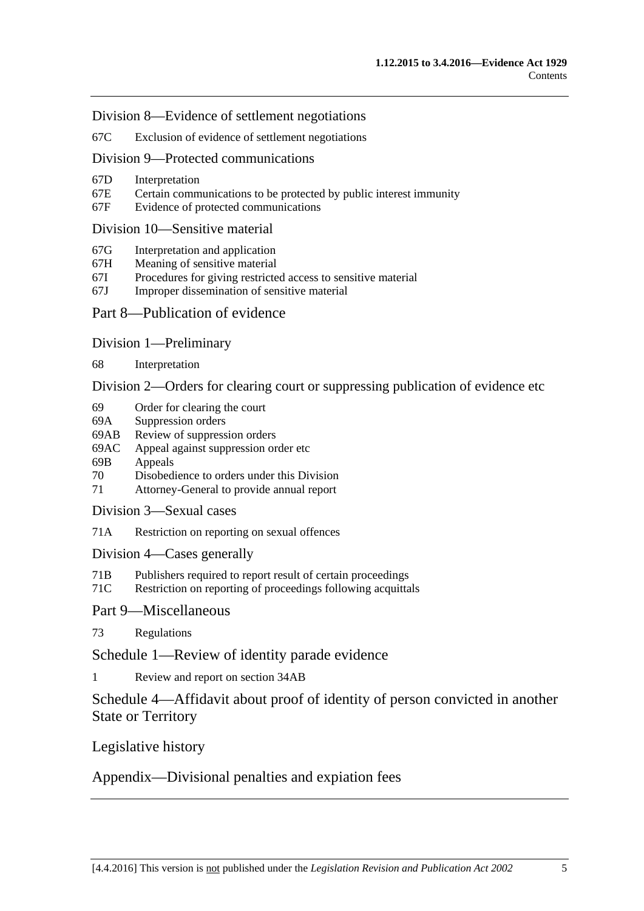[Division 8—Evidence of settlement negotiations](#page-74-0)

67C [Exclusion of evidence of settlement negotiations](#page-74-1)

[Division 9—Protected communications](#page-75-0)

- 67D [Interpretation](#page-75-1)
- 67E [Certain communications to be protected by public interest immunity](#page-75-2)
- 67F [Evidence of protected communications](#page-76-0)

#### [Division 10—Sensitive material](#page-77-0)

- 67G [Interpretation and application](#page-77-1)
- 67H [Meaning of sensitive material](#page-79-0)
- 67I [Procedures for giving restricted access to sensitive material](#page-79-1)
- 67J [Improper dissemination of sensitive material](#page-80-0)

### [Part 8—Publication of evidence](#page-82-0)

[Division 1—Preliminary](#page-82-1)

68 [Interpretation](#page-82-2)

[Division 2—Orders for clearing court or suppressing publication of evidence etc](#page-82-3)

- 69 [Order for clearing the court](#page-82-4)
- 69A [Suppression orders](#page-83-0)
- 69AB [Review of suppression orders](#page-85-0)<br>69AC Appeal against suppression or
- [Appeal against suppression order etc](#page-86-0)
- 69B [Appeals](#page-86-1)
- 70 [Disobedience to orders under this Division](#page-87-0)
- 71 [Attorney-General to provide annual report](#page-87-1)
- [Division 3—Sexual cases](#page-88-0)
- 71A [Restriction on reporting on sexual offences](#page-88-1)

[Division 4—Cases generally](#page-90-0)

- 71B [Publishers required to report result of certain proceedings](#page-90-1)
- 71C [Restriction on reporting of proceedings following acquittals](#page-91-0)

[Part 9—Miscellaneous](#page-92-0)

73 [Regulations](#page-92-1)

[Schedule 1—Review of identity parade evidence](#page-94-0)

1 [Review and report on section](#page-94-1) 34AB

[Schedule 4—Affidavit about proof of identity of person convicted in another](#page-95-0)  [State or Territory](#page-95-0)

[Legislative history](#page-96-0)

[Appendix—Divisional penalties and expiation fees](#page-110-0)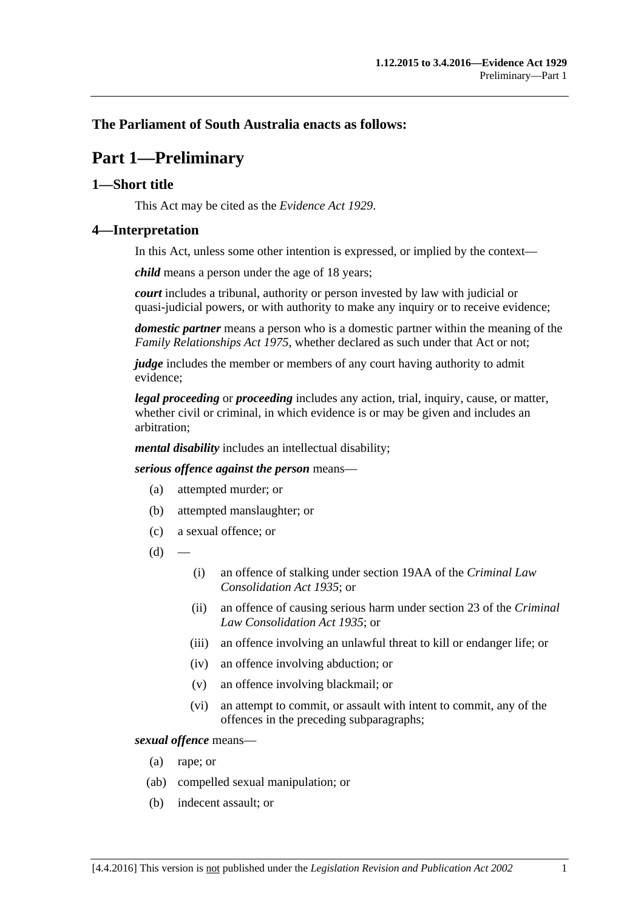## <span id="page-6-0"></span>**The Parliament of South Australia enacts as follows:**

# **Part 1—Preliminary**

## <span id="page-6-1"></span>**1—Short title**

This Act may be cited as the *Evidence Act 1929*.

### <span id="page-6-2"></span>**4—Interpretation**

In this Act, unless some other intention is expressed, or implied by the context—

*child* means a person under the age of 18 years;

*court* includes a tribunal, authority or person invested by law with judicial or quasi-judicial powers, or with authority to make any inquiry or to receive evidence;

*domestic partner* means a person who is a domestic partner within the meaning of the *[Family Relationships Act](http://www.legislation.sa.gov.au/index.aspx?action=legref&type=act&legtitle=Family%20Relationships%20Act%201975) 1975*, whether declared as such under that Act or not;

*judge* includes the member or members of any court having authority to admit evidence;

*legal proceeding* or *proceeding* includes any action, trial, inquiry, cause, or matter, whether civil or criminal, in which evidence is or may be given and includes an arbitration;

*mental disability* includes an intellectual disability;

*serious offence against the person* means—

- (a) attempted murder; or
- (b) attempted manslaughter; or
- (c) a sexual offence; or
- $(d)$
- (i) an offence of stalking under section 19AA of the *[Criminal Law](http://www.legislation.sa.gov.au/index.aspx?action=legref&type=act&legtitle=Criminal%20Law%20Consolidation%20Act%201935)  [Consolidation Act](http://www.legislation.sa.gov.au/index.aspx?action=legref&type=act&legtitle=Criminal%20Law%20Consolidation%20Act%201935) 1935*; or
- (ii) an offence of causing serious harm under section 23 of the *[Criminal](http://www.legislation.sa.gov.au/index.aspx?action=legref&type=act&legtitle=Criminal%20Law%20Consolidation%20Act%201935)  [Law Consolidation Act](http://www.legislation.sa.gov.au/index.aspx?action=legref&type=act&legtitle=Criminal%20Law%20Consolidation%20Act%201935) 1935*; or
- (iii) an offence involving an unlawful threat to kill or endanger life; or
- (iv) an offence involving abduction; or
- (v) an offence involving blackmail; or
- (vi) an attempt to commit, or assault with intent to commit, any of the offences in the preceding subparagraphs;

#### *sexual offence* means—

- (a) rape; or
- (ab) compelled sexual manipulation; or
- (b) indecent assault; or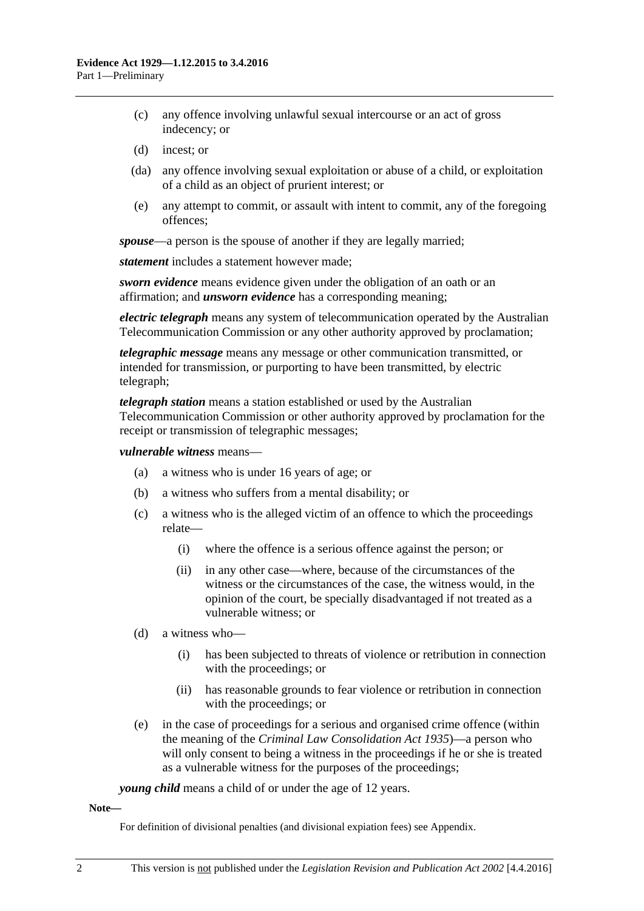- (c) any offence involving unlawful sexual intercourse or an act of gross indecency; or
- (d) incest; or
- (da) any offence involving sexual exploitation or abuse of a child, or exploitation of a child as an object of prurient interest; or
- (e) any attempt to commit, or assault with intent to commit, any of the foregoing offences;

*spouse*—a person is the spouse of another if they are legally married;

*statement* includes a statement however made;

*sworn evidence* means evidence given under the obligation of an oath or an affirmation; and *unsworn evidence* has a corresponding meaning;

*electric telegraph* means any system of telecommunication operated by the Australian Telecommunication Commission or any other authority approved by proclamation;

*telegraphic message* means any message or other communication transmitted, or intended for transmission, or purporting to have been transmitted, by electric telegraph;

*telegraph station* means a station established or used by the Australian Telecommunication Commission or other authority approved by proclamation for the receipt or transmission of telegraphic messages;

#### *vulnerable witness* means—

- (a) a witness who is under 16 years of age; or
- (b) a witness who suffers from a mental disability; or
- (c) a witness who is the alleged victim of an offence to which the proceedings relate—
	- (i) where the offence is a serious offence against the person; or
	- (ii) in any other case—where, because of the circumstances of the witness or the circumstances of the case, the witness would, in the opinion of the court, be specially disadvantaged if not treated as a vulnerable witness; or
- (d) a witness who—
	- (i) has been subjected to threats of violence or retribution in connection with the proceedings; or
	- (ii) has reasonable grounds to fear violence or retribution in connection with the proceedings; or
- (e) in the case of proceedings for a serious and organised crime offence (within the meaning of the *[Criminal Law Consolidation Act](http://www.legislation.sa.gov.au/index.aspx?action=legref&type=act&legtitle=Criminal%20Law%20Consolidation%20Act%201935) 1935*)—a person who will only consent to being a witness in the proceedings if he or she is treated as a vulnerable witness for the purposes of the proceedings;

*young child* means a child of or under the age of 12 years.

#### **Note—**

For definition of divisional penalties (and divisional expiation fees) see Appendix.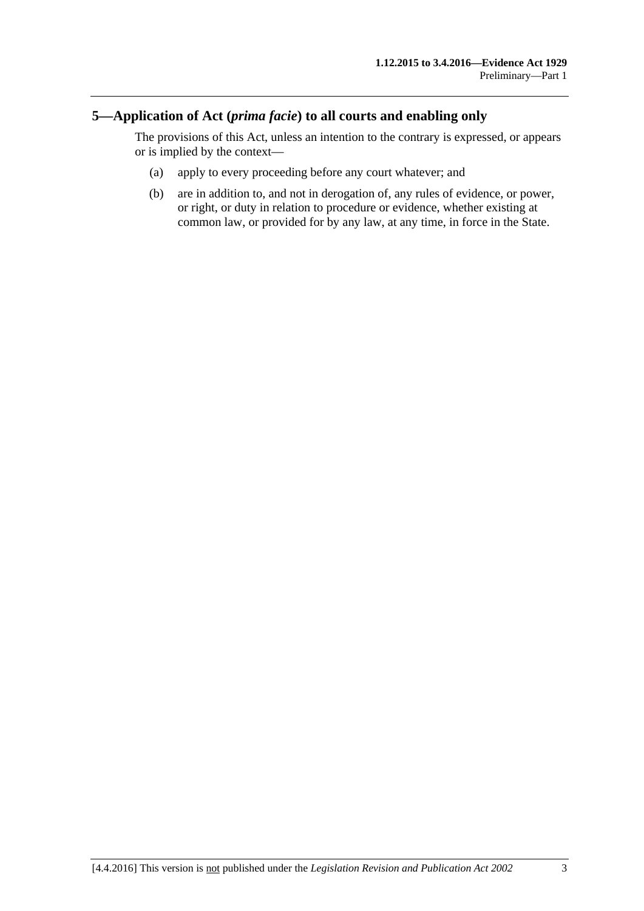## <span id="page-8-0"></span>**5—Application of Act (***prima facie***) to all courts and enabling only**

The provisions of this Act, unless an intention to the contrary is expressed, or appears or is implied by the context—

- (a) apply to every proceeding before any court whatever; and
- (b) are in addition to, and not in derogation of, any rules of evidence, or power, or right, or duty in relation to procedure or evidence, whether existing at common law, or provided for by any law, at any time, in force in the State.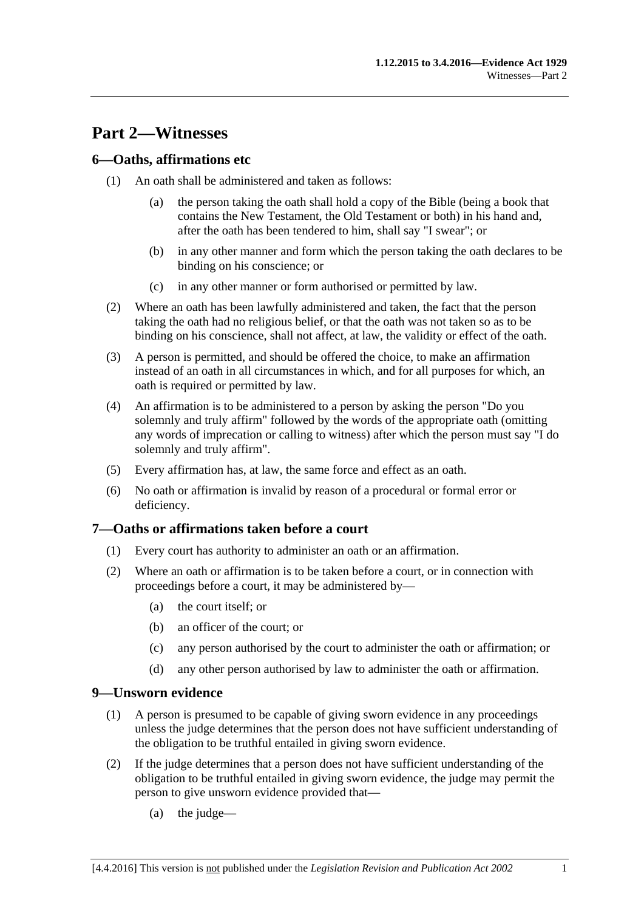# <span id="page-10-0"></span>**Part 2—Witnesses**

## <span id="page-10-1"></span>**6—Oaths, affirmations etc**

- (1) An oath shall be administered and taken as follows:
	- (a) the person taking the oath shall hold a copy of the Bible (being a book that contains the New Testament, the Old Testament or both) in his hand and, after the oath has been tendered to him, shall say "I swear"; or
	- (b) in any other manner and form which the person taking the oath declares to be binding on his conscience; or
	- (c) in any other manner or form authorised or permitted by law.
- (2) Where an oath has been lawfully administered and taken, the fact that the person taking the oath had no religious belief, or that the oath was not taken so as to be binding on his conscience, shall not affect, at law, the validity or effect of the oath.
- (3) A person is permitted, and should be offered the choice, to make an affirmation instead of an oath in all circumstances in which, and for all purposes for which, an oath is required or permitted by law.
- (4) An affirmation is to be administered to a person by asking the person "Do you solemnly and truly affirm" followed by the words of the appropriate oath (omitting any words of imprecation or calling to witness) after which the person must say "I do solemnly and truly affirm".
- (5) Every affirmation has, at law, the same force and effect as an oath.
- (6) No oath or affirmation is invalid by reason of a procedural or formal error or deficiency.

## <span id="page-10-2"></span>**7—Oaths or affirmations taken before a court**

- (1) Every court has authority to administer an oath or an affirmation.
- (2) Where an oath or affirmation is to be taken before a court, or in connection with proceedings before a court, it may be administered by—
	- (a) the court itself; or
	- (b) an officer of the court; or
	- (c) any person authorised by the court to administer the oath or affirmation; or
	- (d) any other person authorised by law to administer the oath or affirmation.

## <span id="page-10-3"></span>**9—Unsworn evidence**

- (1) A person is presumed to be capable of giving sworn evidence in any proceedings unless the judge determines that the person does not have sufficient understanding of the obligation to be truthful entailed in giving sworn evidence.
- (2) If the judge determines that a person does not have sufficient understanding of the obligation to be truthful entailed in giving sworn evidence, the judge may permit the person to give unsworn evidence provided that—
	- (a) the judge—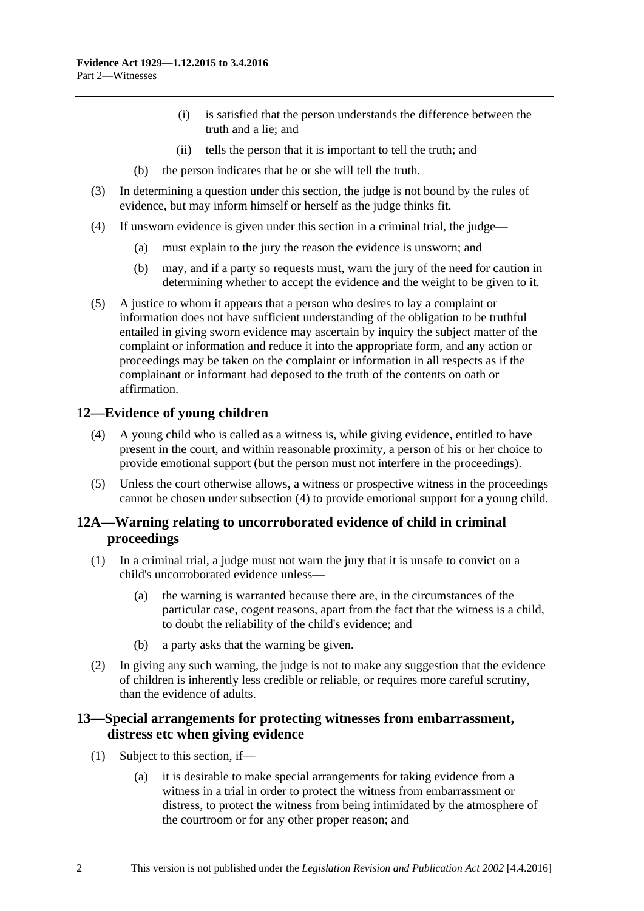- (i) is satisfied that the person understands the difference between the truth and a lie; and
- (ii) tells the person that it is important to tell the truth; and
- (b) the person indicates that he or she will tell the truth.
- (3) In determining a question under this section, the judge is not bound by the rules of evidence, but may inform himself or herself as the judge thinks fit.
- (4) If unsworn evidence is given under this section in a criminal trial, the judge—
	- (a) must explain to the jury the reason the evidence is unsworn; and
	- (b) may, and if a party so requests must, warn the jury of the need for caution in determining whether to accept the evidence and the weight to be given to it.
- (5) A justice to whom it appears that a person who desires to lay a complaint or information does not have sufficient understanding of the obligation to be truthful entailed in giving sworn evidence may ascertain by inquiry the subject matter of the complaint or information and reduce it into the appropriate form, and any action or proceedings may be taken on the complaint or information in all respects as if the complainant or informant had deposed to the truth of the contents on oath or affirmation.

## <span id="page-11-3"></span><span id="page-11-0"></span>**12—Evidence of young children**

- (4) A young child who is called as a witness is, while giving evidence, entitled to have present in the court, and within reasonable proximity, a person of his or her choice to provide emotional support (but the person must not interfere in the proceedings).
- (5) Unless the court otherwise allows, a witness or prospective witness in the proceedings cannot be chosen under [subsection](#page-11-3) (4) to provide emotional support for a young child.

## <span id="page-11-1"></span>**12A—Warning relating to uncorroborated evidence of child in criminal proceedings**

- (1) In a criminal trial, a judge must not warn the jury that it is unsafe to convict on a child's uncorroborated evidence unless—
	- (a) the warning is warranted because there are, in the circumstances of the particular case, cogent reasons, apart from the fact that the witness is a child, to doubt the reliability of the child's evidence; and
	- (b) a party asks that the warning be given.
- (2) In giving any such warning, the judge is not to make any suggestion that the evidence of children is inherently less credible or reliable, or requires more careful scrutiny, than the evidence of adults.

## <span id="page-11-2"></span>**13—Special arrangements for protecting witnesses from embarrassment, distress etc when giving evidence**

- (1) Subject to this section, if—
	- (a) it is desirable to make special arrangements for taking evidence from a witness in a trial in order to protect the witness from embarrassment or distress, to protect the witness from being intimidated by the atmosphere of the courtroom or for any other proper reason; and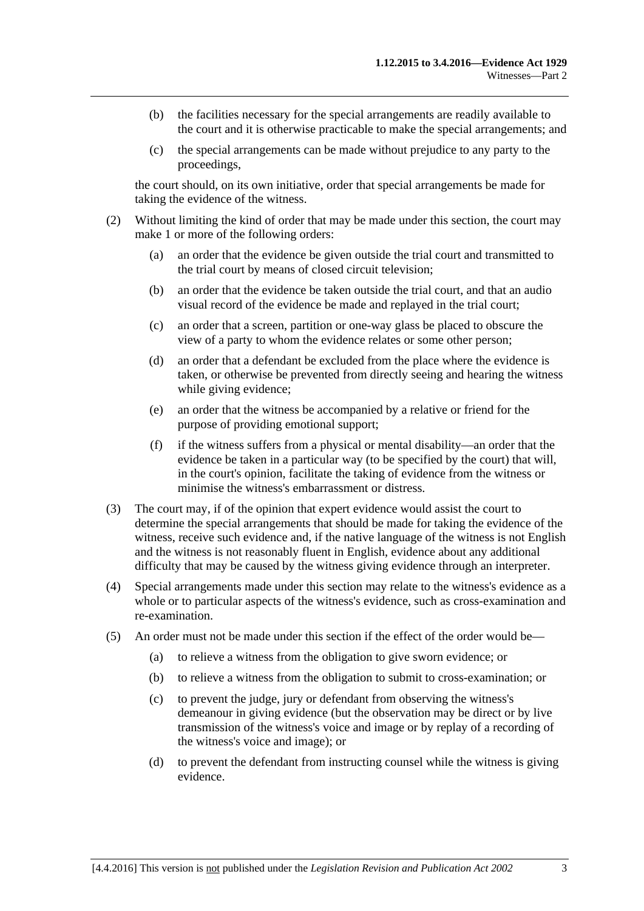- (b) the facilities necessary for the special arrangements are readily available to the court and it is otherwise practicable to make the special arrangements; and
- (c) the special arrangements can be made without prejudice to any party to the proceedings,

the court should, on its own initiative, order that special arrangements be made for taking the evidence of the witness.

- (2) Without limiting the kind of order that may be made under this section, the court may make 1 or more of the following orders:
	- (a) an order that the evidence be given outside the trial court and transmitted to the trial court by means of closed circuit television;
	- (b) an order that the evidence be taken outside the trial court, and that an audio visual record of the evidence be made and replayed in the trial court;
	- (c) an order that a screen, partition or one-way glass be placed to obscure the view of a party to whom the evidence relates or some other person;
	- (d) an order that a defendant be excluded from the place where the evidence is taken, or otherwise be prevented from directly seeing and hearing the witness while giving evidence;
	- (e) an order that the witness be accompanied by a relative or friend for the purpose of providing emotional support;
	- (f) if the witness suffers from a physical or mental disability—an order that the evidence be taken in a particular way (to be specified by the court) that will, in the court's opinion, facilitate the taking of evidence from the witness or minimise the witness's embarrassment or distress.
- (3) The court may, if of the opinion that expert evidence would assist the court to determine the special arrangements that should be made for taking the evidence of the witness, receive such evidence and, if the native language of the witness is not English and the witness is not reasonably fluent in English, evidence about any additional difficulty that may be caused by the witness giving evidence through an interpreter.
- (4) Special arrangements made under this section may relate to the witness's evidence as a whole or to particular aspects of the witness's evidence, such as cross-examination and re-examination.
- (5) An order must not be made under this section if the effect of the order would be—
	- (a) to relieve a witness from the obligation to give sworn evidence; or
	- (b) to relieve a witness from the obligation to submit to cross-examination; or
	- (c) to prevent the judge, jury or defendant from observing the witness's demeanour in giving evidence (but the observation may be direct or by live transmission of the witness's voice and image or by replay of a recording of the witness's voice and image); or
	- (d) to prevent the defendant from instructing counsel while the witness is giving evidence.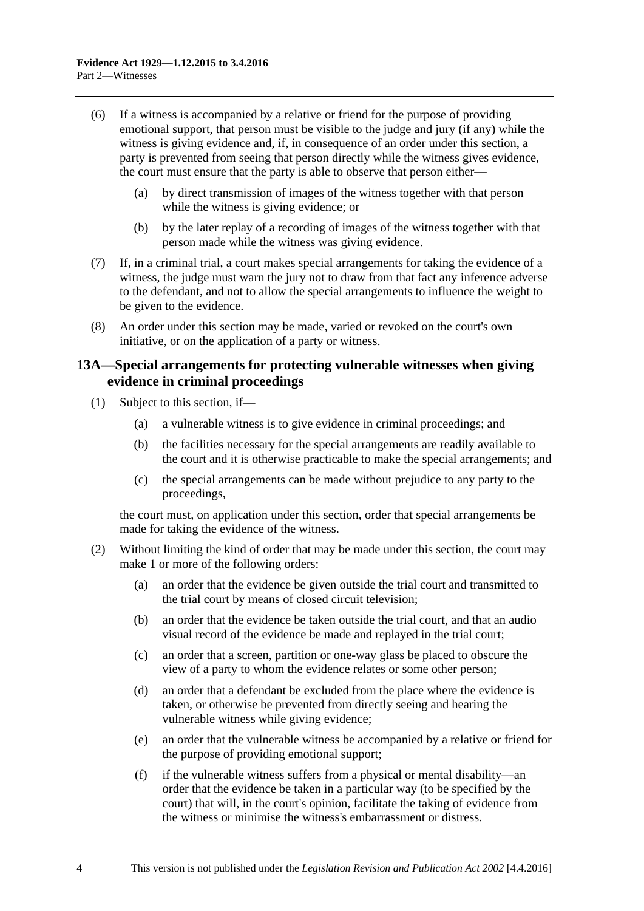- (6) If a witness is accompanied by a relative or friend for the purpose of providing emotional support, that person must be visible to the judge and jury (if any) while the witness is giving evidence and, if, in consequence of an order under this section, a party is prevented from seeing that person directly while the witness gives evidence, the court must ensure that the party is able to observe that person either—
	- (a) by direct transmission of images of the witness together with that person while the witness is giving evidence; or
	- (b) by the later replay of a recording of images of the witness together with that person made while the witness was giving evidence.
- (7) If, in a criminal trial, a court makes special arrangements for taking the evidence of a witness, the judge must warn the jury not to draw from that fact any inference adverse to the defendant, and not to allow the special arrangements to influence the weight to be given to the evidence.
- (8) An order under this section may be made, varied or revoked on the court's own initiative, or on the application of a party or witness.

## <span id="page-13-0"></span>**13A—Special arrangements for protecting vulnerable witnesses when giving evidence in criminal proceedings**

- (1) Subject to this section, if—
	- (a) a vulnerable witness is to give evidence in criminal proceedings; and
	- (b) the facilities necessary for the special arrangements are readily available to the court and it is otherwise practicable to make the special arrangements; and
	- (c) the special arrangements can be made without prejudice to any party to the proceedings,

the court must, on application under this section, order that special arrangements be made for taking the evidence of the witness.

- <span id="page-13-1"></span>(2) Without limiting the kind of order that may be made under this section, the court may make 1 or more of the following orders:
	- (a) an order that the evidence be given outside the trial court and transmitted to the trial court by means of closed circuit television;
	- (b) an order that the evidence be taken outside the trial court, and that an audio visual record of the evidence be made and replayed in the trial court;
	- (c) an order that a screen, partition or one-way glass be placed to obscure the view of a party to whom the evidence relates or some other person;
	- (d) an order that a defendant be excluded from the place where the evidence is taken, or otherwise be prevented from directly seeing and hearing the vulnerable witness while giving evidence;
	- (e) an order that the vulnerable witness be accompanied by a relative or friend for the purpose of providing emotional support;
	- (f) if the vulnerable witness suffers from a physical or mental disability—an order that the evidence be taken in a particular way (to be specified by the court) that will, in the court's opinion, facilitate the taking of evidence from the witness or minimise the witness's embarrassment or distress.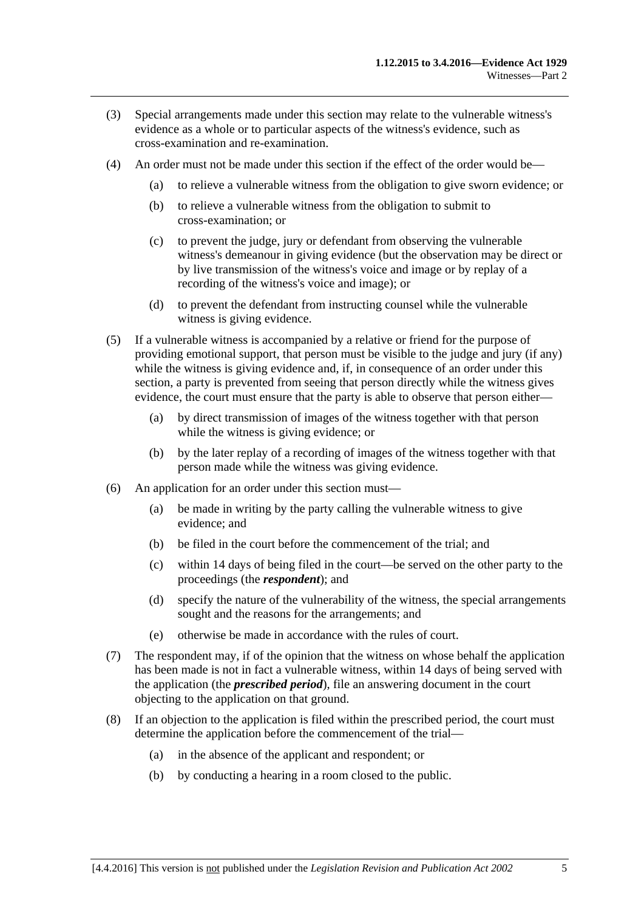- (3) Special arrangements made under this section may relate to the vulnerable witness's evidence as a whole or to particular aspects of the witness's evidence, such as cross-examination and re-examination.
- (4) An order must not be made under this section if the effect of the order would be—
	- (a) to relieve a vulnerable witness from the obligation to give sworn evidence; or
	- (b) to relieve a vulnerable witness from the obligation to submit to cross-examination; or
	- (c) to prevent the judge, jury or defendant from observing the vulnerable witness's demeanour in giving evidence (but the observation may be direct or by live transmission of the witness's voice and image or by replay of a recording of the witness's voice and image); or
	- (d) to prevent the defendant from instructing counsel while the vulnerable witness is giving evidence.
- (5) If a vulnerable witness is accompanied by a relative or friend for the purpose of providing emotional support, that person must be visible to the judge and jury (if any) while the witness is giving evidence and, if, in consequence of an order under this section, a party is prevented from seeing that person directly while the witness gives evidence, the court must ensure that the party is able to observe that person either—
	- (a) by direct transmission of images of the witness together with that person while the witness is giving evidence; or
	- (b) by the later replay of a recording of images of the witness together with that person made while the witness was giving evidence.
- (6) An application for an order under this section must—
	- (a) be made in writing by the party calling the vulnerable witness to give evidence; and
	- $(b)$  be filed in the court before the commencement of the trial; and
	- (c) within 14 days of being filed in the court—be served on the other party to the proceedings (the *respondent*); and
	- (d) specify the nature of the vulnerability of the witness, the special arrangements sought and the reasons for the arrangements; and
	- (e) otherwise be made in accordance with the rules of court.
- (7) The respondent may, if of the opinion that the witness on whose behalf the application has been made is not in fact a vulnerable witness, within 14 days of being served with the application (the *prescribed period*), file an answering document in the court objecting to the application on that ground.
- (8) If an objection to the application is filed within the prescribed period, the court must determine the application before the commencement of the trial—
	- (a) in the absence of the applicant and respondent; or
	- (b) by conducting a hearing in a room closed to the public.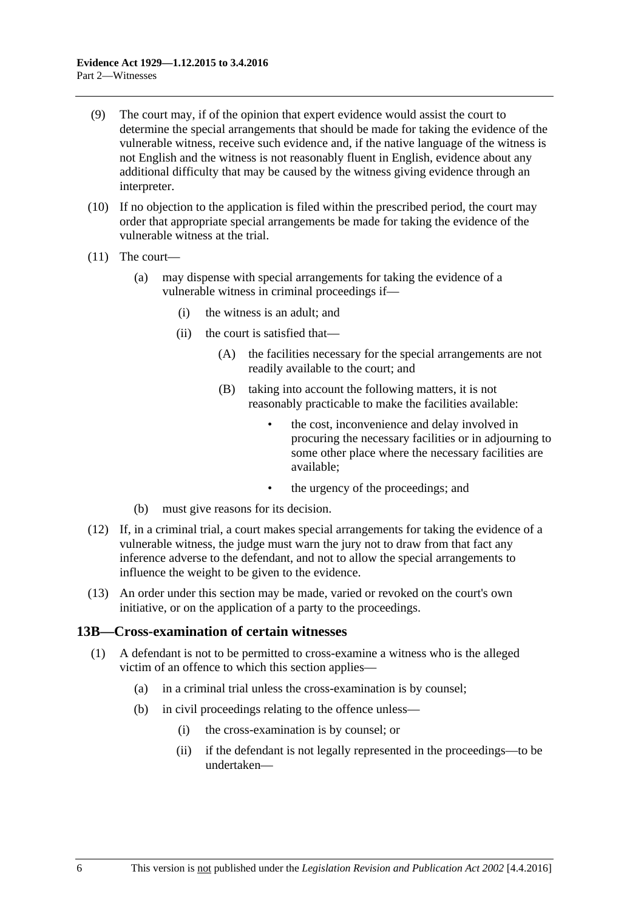- (9) The court may, if of the opinion that expert evidence would assist the court to determine the special arrangements that should be made for taking the evidence of the vulnerable witness, receive such evidence and, if the native language of the witness is not English and the witness is not reasonably fluent in English, evidence about any additional difficulty that may be caused by the witness giving evidence through an interpreter.
- (10) If no objection to the application is filed within the prescribed period, the court may order that appropriate special arrangements be made for taking the evidence of the vulnerable witness at the trial.
- (11) The court—
	- (a) may dispense with special arrangements for taking the evidence of a vulnerable witness in criminal proceedings if—
		- (i) the witness is an adult; and
		- (ii) the court is satisfied that—
			- (A) the facilities necessary for the special arrangements are not readily available to the court; and
			- (B) taking into account the following matters, it is not reasonably practicable to make the facilities available:
				- the cost, inconvenience and delay involved in procuring the necessary facilities or in adjourning to some other place where the necessary facilities are available;
				- the urgency of the proceedings; and
	- (b) must give reasons for its decision.
- (12) If, in a criminal trial, a court makes special arrangements for taking the evidence of a vulnerable witness, the judge must warn the jury not to draw from that fact any inference adverse to the defendant, and not to allow the special arrangements to influence the weight to be given to the evidence.
- (13) An order under this section may be made, varied or revoked on the court's own initiative, or on the application of a party to the proceedings.

#### <span id="page-15-0"></span>**13B—Cross-examination of certain witnesses**

- (1) A defendant is not to be permitted to cross-examine a witness who is the alleged victim of an offence to which this section applies—
	- (a) in a criminal trial unless the cross-examination is by counsel;
	- (b) in civil proceedings relating to the offence unless—
		- (i) the cross-examination is by counsel; or
		- (ii) if the defendant is not legally represented in the proceedings—to be undertaken—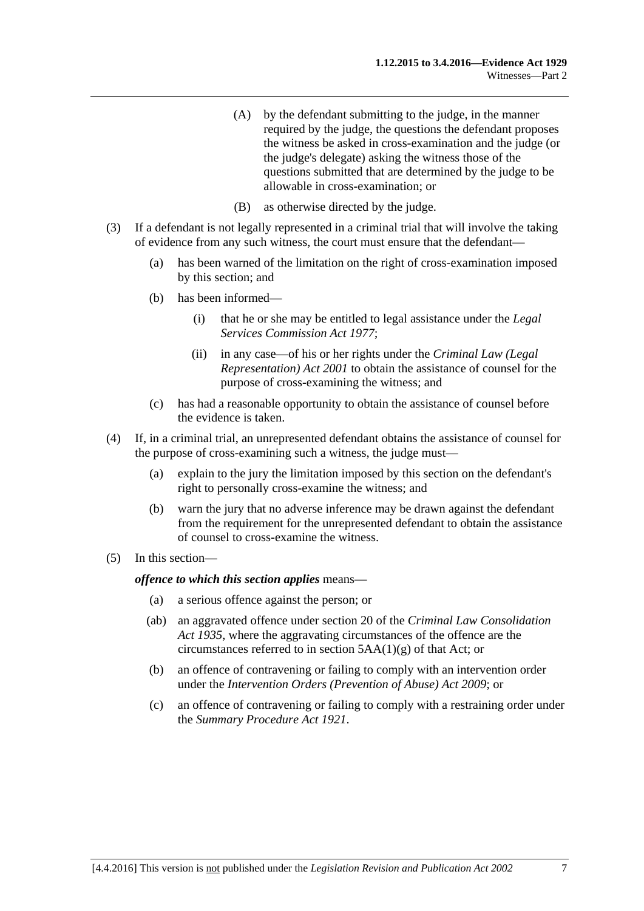- (A) by the defendant submitting to the judge, in the manner required by the judge, the questions the defendant proposes the witness be asked in cross-examination and the judge (or the judge's delegate) asking the witness those of the questions submitted that are determined by the judge to be allowable in cross-examination; or
- (B) as otherwise directed by the judge.
- (3) If a defendant is not legally represented in a criminal trial that will involve the taking of evidence from any such witness, the court must ensure that the defendant—
	- (a) has been warned of the limitation on the right of cross-examination imposed by this section; and
	- (b) has been informed—
		- (i) that he or she may be entitled to legal assistance under the *[Legal](http://www.legislation.sa.gov.au/index.aspx?action=legref&type=act&legtitle=Legal%20Services%20Commission%20Act%201977)  [Services Commission Act](http://www.legislation.sa.gov.au/index.aspx?action=legref&type=act&legtitle=Legal%20Services%20Commission%20Act%201977) 1977*;
		- (ii) in any case—of his or her rights under the *[Criminal Law \(Legal](http://www.legislation.sa.gov.au/index.aspx?action=legref&type=act&legtitle=Criminal%20Law%20(Legal%20Representation)%20Act%202001)  [Representation\) Act](http://www.legislation.sa.gov.au/index.aspx?action=legref&type=act&legtitle=Criminal%20Law%20(Legal%20Representation)%20Act%202001) 2001* to obtain the assistance of counsel for the purpose of cross-examining the witness; and
	- (c) has had a reasonable opportunity to obtain the assistance of counsel before the evidence is taken.
- (4) If, in a criminal trial, an unrepresented defendant obtains the assistance of counsel for the purpose of cross-examining such a witness, the judge must—
	- (a) explain to the jury the limitation imposed by this section on the defendant's right to personally cross-examine the witness; and
	- (b) warn the jury that no adverse inference may be drawn against the defendant from the requirement for the unrepresented defendant to obtain the assistance of counsel to cross-examine the witness.
- (5) In this section—

*offence to which this section applies* means—

- (a) a serious offence against the person; or
- (ab) an aggravated offence under section 20 of the *[Criminal Law Consolidation](http://www.legislation.sa.gov.au/index.aspx?action=legref&type=act&legtitle=Criminal%20Law%20Consolidation%20Act%201935)  Act [1935](http://www.legislation.sa.gov.au/index.aspx?action=legref&type=act&legtitle=Criminal%20Law%20Consolidation%20Act%201935)*, where the aggravating circumstances of the offence are the circumstances referred to in section 5AA(1)(g) of that Act; or
- (b) an offence of contravening or failing to comply with an intervention order under the *[Intervention Orders \(Prevention of Abuse\) Act](http://www.legislation.sa.gov.au/index.aspx?action=legref&type=act&legtitle=Intervention%20Orders%20(Prevention%20of%20Abuse)%20Act%202009) 2009*; or
- (c) an offence of contravening or failing to comply with a restraining order under the *[Summary Procedure Act](http://www.legislation.sa.gov.au/index.aspx?action=legref&type=act&legtitle=Summary%20Procedure%20Act%201921) 1921*.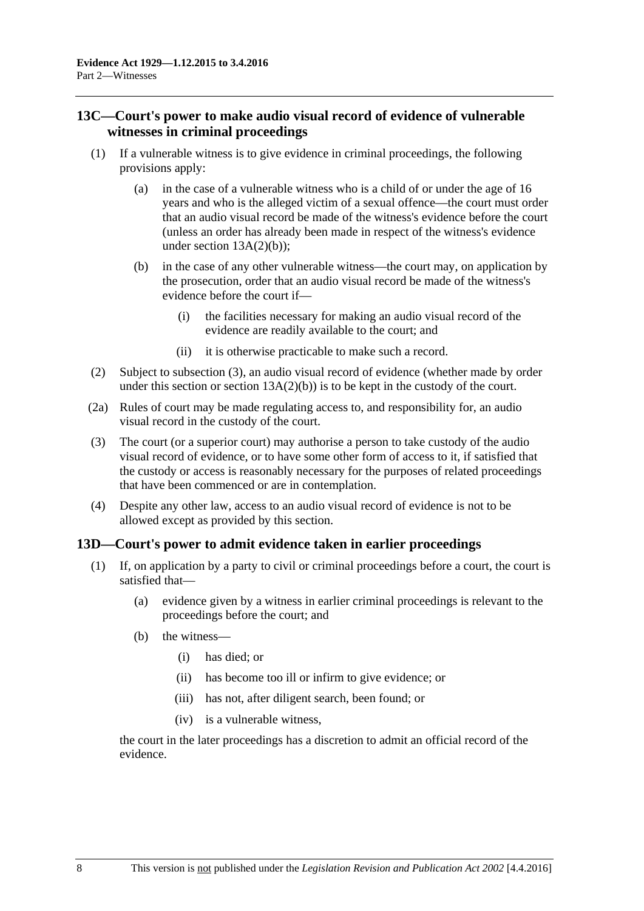## <span id="page-17-0"></span>**13C—Court's power to make audio visual record of evidence of vulnerable witnesses in criminal proceedings**

- (1) If a vulnerable witness is to give evidence in criminal proceedings, the following provisions apply:
	- (a) in the case of a vulnerable witness who is a child of or under the age of 16 years and who is the alleged victim of a sexual offence—the court must order that an audio visual record be made of the witness's evidence before the court (unless an order has already been made in respect of the witness's evidence under section  $13A(2)(b)$ ;
	- (b) in the case of any other vulnerable witness—the court may, on application by the prosecution, order that an audio visual record be made of the witness's evidence before the court if—
		- (i) the facilities necessary for making an audio visual record of the evidence are readily available to the court; and
		- (ii) it is otherwise practicable to make such a record.
- (2) Subject to [subsection](#page-17-2) (3), an audio visual record of evidence (whether made by order under this section or section  $13A(2)(b)$  is to be kept in the custody of the court.
- (2a) Rules of court may be made regulating access to, and responsibility for, an audio visual record in the custody of the court.
- <span id="page-17-2"></span>(3) The court (or a superior court) may authorise a person to take custody of the audio visual record of evidence, or to have some other form of access to it, if satisfied that the custody or access is reasonably necessary for the purposes of related proceedings that have been commenced or are in contemplation.
- (4) Despite any other law, access to an audio visual record of evidence is not to be allowed except as provided by this section.

## <span id="page-17-1"></span>**13D—Court's power to admit evidence taken in earlier proceedings**

- (1) If, on application by a party to civil or criminal proceedings before a court, the court is satisfied that—
	- (a) evidence given by a witness in earlier criminal proceedings is relevant to the proceedings before the court; and
	- (b) the witness—
		- (i) has died; or
		- (ii) has become too ill or infirm to give evidence; or
		- (iii) has not, after diligent search, been found; or
		- (iv) is a vulnerable witness,

the court in the later proceedings has a discretion to admit an official record of the evidence.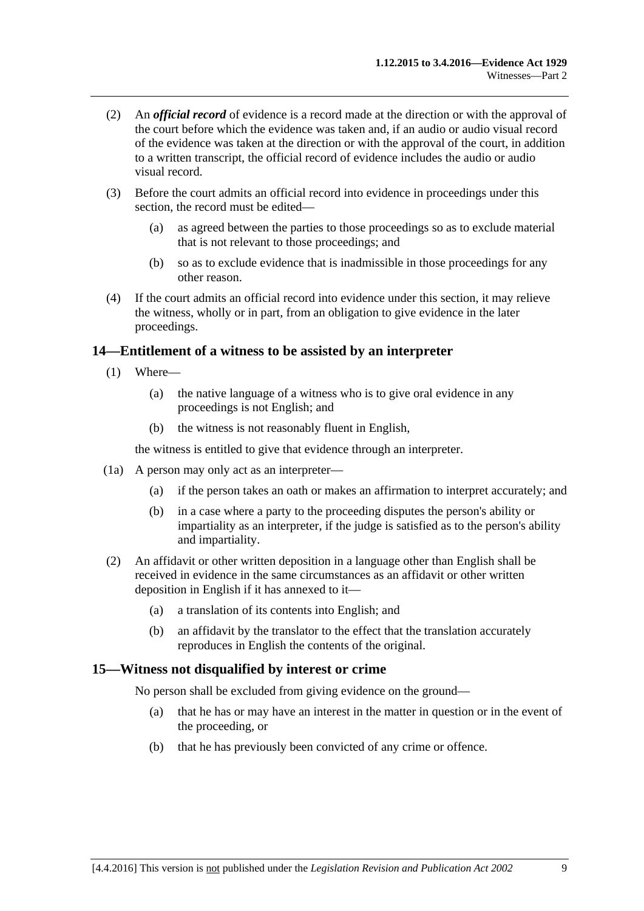- (2) An *official record* of evidence is a record made at the direction or with the approval of the court before which the evidence was taken and, if an audio or audio visual record of the evidence was taken at the direction or with the approval of the court, in addition to a written transcript, the official record of evidence includes the audio or audio visual record.
- (3) Before the court admits an official record into evidence in proceedings under this section, the record must be edited—
	- (a) as agreed between the parties to those proceedings so as to exclude material that is not relevant to those proceedings; and
	- (b) so as to exclude evidence that is inadmissible in those proceedings for any other reason.
- (4) If the court admits an official record into evidence under this section, it may relieve the witness, wholly or in part, from an obligation to give evidence in the later proceedings.

## <span id="page-18-0"></span>**14—Entitlement of a witness to be assisted by an interpreter**

- (1) Where—
	- (a) the native language of a witness who is to give oral evidence in any proceedings is not English; and
	- (b) the witness is not reasonably fluent in English,

the witness is entitled to give that evidence through an interpreter.

- (1a) A person may only act as an interpreter—
	- (a) if the person takes an oath or makes an affirmation to interpret accurately; and
	- (b) in a case where a party to the proceeding disputes the person's ability or impartiality as an interpreter, if the judge is satisfied as to the person's ability and impartiality.
- (2) An affidavit or other written deposition in a language other than English shall be received in evidence in the same circumstances as an affidavit or other written deposition in English if it has annexed to it—
	- (a) a translation of its contents into English; and
	- (b) an affidavit by the translator to the effect that the translation accurately reproduces in English the contents of the original.

## <span id="page-18-1"></span>**15—Witness not disqualified by interest or crime**

No person shall be excluded from giving evidence on the ground—

- (a) that he has or may have an interest in the matter in question or in the event of the proceeding, or
- (b) that he has previously been convicted of any crime or offence.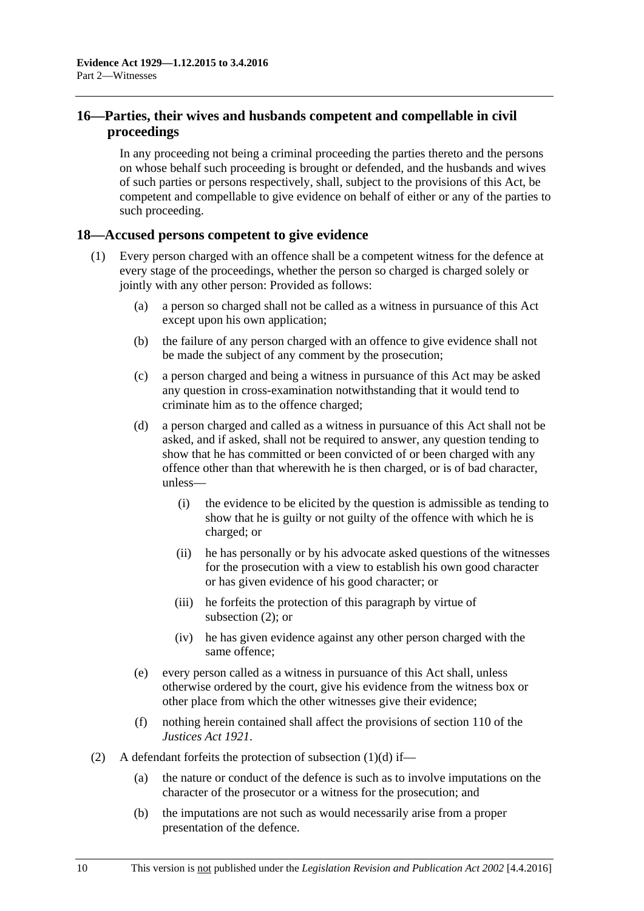## <span id="page-19-0"></span>**16—Parties, their wives and husbands competent and compellable in civil proceedings**

In any proceeding not being a criminal proceeding the parties thereto and the persons on whose behalf such proceeding is brought or defended, and the husbands and wives of such parties or persons respectively, shall, subject to the provisions of this Act, be competent and compellable to give evidence on behalf of either or any of the parties to such proceeding.

## <span id="page-19-1"></span>**18—Accused persons competent to give evidence**

- <span id="page-19-3"></span>(1) Every person charged with an offence shall be a competent witness for the defence at every stage of the proceedings, whether the person so charged is charged solely or jointly with any other person: Provided as follows:
	- (a) a person so charged shall not be called as a witness in pursuance of this Act except upon his own application;
	- (b) the failure of any person charged with an offence to give evidence shall not be made the subject of any comment by the prosecution;
	- (c) a person charged and being a witness in pursuance of this Act may be asked any question in cross-examination notwithstanding that it would tend to criminate him as to the offence charged;
	- (d) a person charged and called as a witness in pursuance of this Act shall not be asked, and if asked, shall not be required to answer, any question tending to show that he has committed or been convicted of or been charged with any offence other than that wherewith he is then charged, or is of bad character, unless—
		- (i) the evidence to be elicited by the question is admissible as tending to show that he is guilty or not guilty of the offence with which he is charged; or
		- (ii) he has personally or by his advocate asked questions of the witnesses for the prosecution with a view to establish his own good character or has given evidence of his good character; or
		- (iii) he forfeits the protection of this paragraph by virtue of [subsection](#page-19-2) (2); or
		- (iv) he has given evidence against any other person charged with the same offence;
	- (e) every person called as a witness in pursuance of this Act shall, unless otherwise ordered by the court, give his evidence from the witness box or other place from which the other witnesses give their evidence;
	- (f) nothing herein contained shall affect the provisions of section 110 of the *[Justices Act](http://www.legislation.sa.gov.au/index.aspx?action=legref&type=act&legtitle=Justices%20Act%201921) 1921*.
- <span id="page-19-2"></span>(2) A defendant forfeits the protection of [subsection](#page-19-3)  $(1)(d)$  if—
	- (a) the nature or conduct of the defence is such as to involve imputations on the character of the prosecutor or a witness for the prosecution; and
	- (b) the imputations are not such as would necessarily arise from a proper presentation of the defence.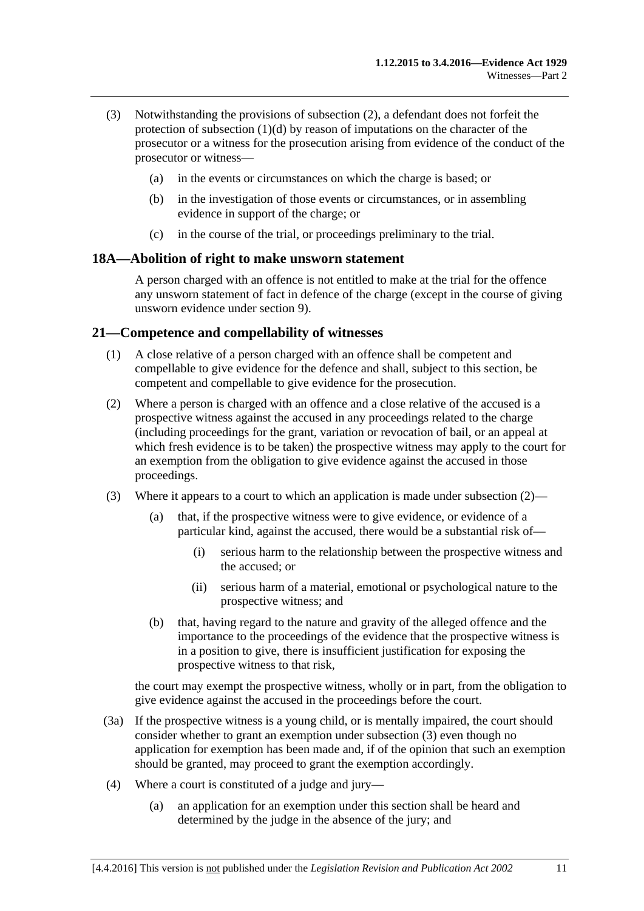- (3) Notwithstanding the provisions of [subsection](#page-19-2) (2), a defendant does not forfeit the protection of [subsection](#page-19-3) (1)(d) by reason of imputations on the character of the prosecutor or a witness for the prosecution arising from evidence of the conduct of the prosecutor or witness—
	- (a) in the events or circumstances on which the charge is based; or
	- (b) in the investigation of those events or circumstances, or in assembling evidence in support of the charge; or
	- (c) in the course of the trial, or proceedings preliminary to the trial.

#### <span id="page-20-0"></span>**18A—Abolition of right to make unsworn statement**

A person charged with an offence is not entitled to make at the trial for the offence any unsworn statement of fact in defence of the charge (except in the course of giving unsworn evidence under [section](#page-10-3) 9).

#### <span id="page-20-1"></span>**21—Competence and compellability of witnesses**

- (1) A close relative of a person charged with an offence shall be competent and compellable to give evidence for the defence and shall, subject to this section, be competent and compellable to give evidence for the prosecution.
- <span id="page-20-2"></span>(2) Where a person is charged with an offence and a close relative of the accused is a prospective witness against the accused in any proceedings related to the charge (including proceedings for the grant, variation or revocation of bail, or an appeal at which fresh evidence is to be taken) the prospective witness may apply to the court for an exemption from the obligation to give evidence against the accused in those proceedings.
- <span id="page-20-3"></span>(3) Where it appears to a court to which an application is made under [subsection](#page-20-2)  $(2)$ —
	- (a) that, if the prospective witness were to give evidence, or evidence of a particular kind, against the accused, there would be a substantial risk of—
		- (i) serious harm to the relationship between the prospective witness and the accused; or
		- (ii) serious harm of a material, emotional or psychological nature to the prospective witness; and
	- (b) that, having regard to the nature and gravity of the alleged offence and the importance to the proceedings of the evidence that the prospective witness is in a position to give, there is insufficient justification for exposing the prospective witness to that risk,

the court may exempt the prospective witness, wholly or in part, from the obligation to give evidence against the accused in the proceedings before the court.

- (3a) If the prospective witness is a young child, or is mentally impaired, the court should consider whether to grant an exemption under [subsection](#page-20-3) (3) even though no application for exemption has been made and, if of the opinion that such an exemption should be granted, may proceed to grant the exemption accordingly.
- (4) Where a court is constituted of a judge and jury—
	- (a) an application for an exemption under this section shall be heard and determined by the judge in the absence of the jury; and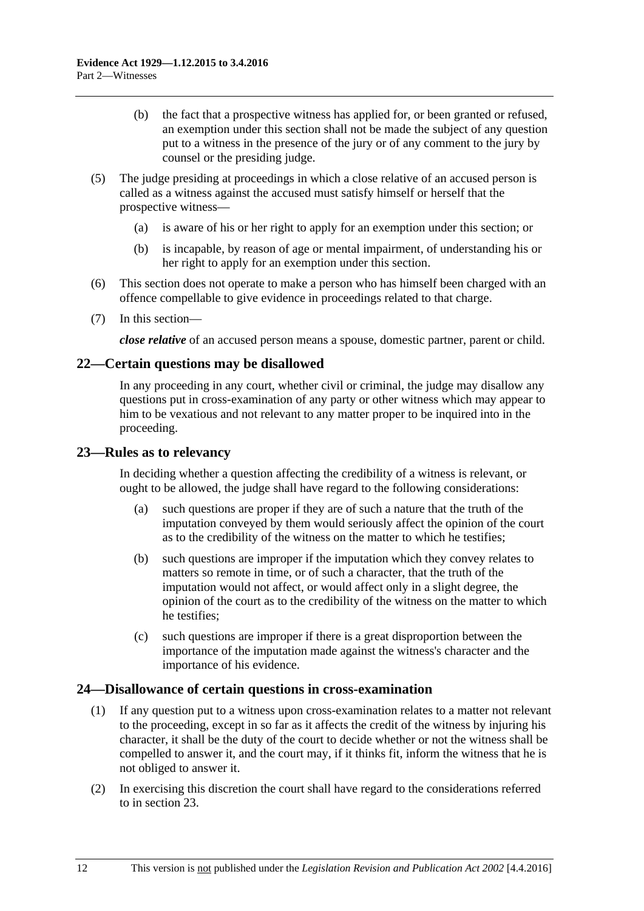- (b) the fact that a prospective witness has applied for, or been granted or refused, an exemption under this section shall not be made the subject of any question put to a witness in the presence of the jury or of any comment to the jury by counsel or the presiding judge.
- (5) The judge presiding at proceedings in which a close relative of an accused person is called as a witness against the accused must satisfy himself or herself that the prospective witness—
	- (a) is aware of his or her right to apply for an exemption under this section; or
	- (b) is incapable, by reason of age or mental impairment, of understanding his or her right to apply for an exemption under this section.
- (6) This section does not operate to make a person who has himself been charged with an offence compellable to give evidence in proceedings related to that charge.
- (7) In this section—

*close relative* of an accused person means a spouse, domestic partner, parent or child.

### <span id="page-21-0"></span>**22—Certain questions may be disallowed**

In any proceeding in any court, whether civil or criminal, the judge may disallow any questions put in cross-examination of any party or other witness which may appear to him to be vexatious and not relevant to any matter proper to be inquired into in the proceeding.

#### <span id="page-21-1"></span>**23—Rules as to relevancy**

In deciding whether a question affecting the credibility of a witness is relevant, or ought to be allowed, the judge shall have regard to the following considerations:

- (a) such questions are proper if they are of such a nature that the truth of the imputation conveyed by them would seriously affect the opinion of the court as to the credibility of the witness on the matter to which he testifies;
- (b) such questions are improper if the imputation which they convey relates to matters so remote in time, or of such a character, that the truth of the imputation would not affect, or would affect only in a slight degree, the opinion of the court as to the credibility of the witness on the matter to which he testifies;
- (c) such questions are improper if there is a great disproportion between the importance of the imputation made against the witness's character and the importance of his evidence.

## <span id="page-21-2"></span>**24—Disallowance of certain questions in cross-examination**

- (1) If any question put to a witness upon cross-examination relates to a matter not relevant to the proceeding, except in so far as it affects the credit of the witness by injuring his character, it shall be the duty of the court to decide whether or not the witness shall be compelled to answer it, and the court may, if it thinks fit, inform the witness that he is not obliged to answer it.
- (2) In exercising this discretion the court shall have regard to the considerations referred to in [section](#page-21-1) 23.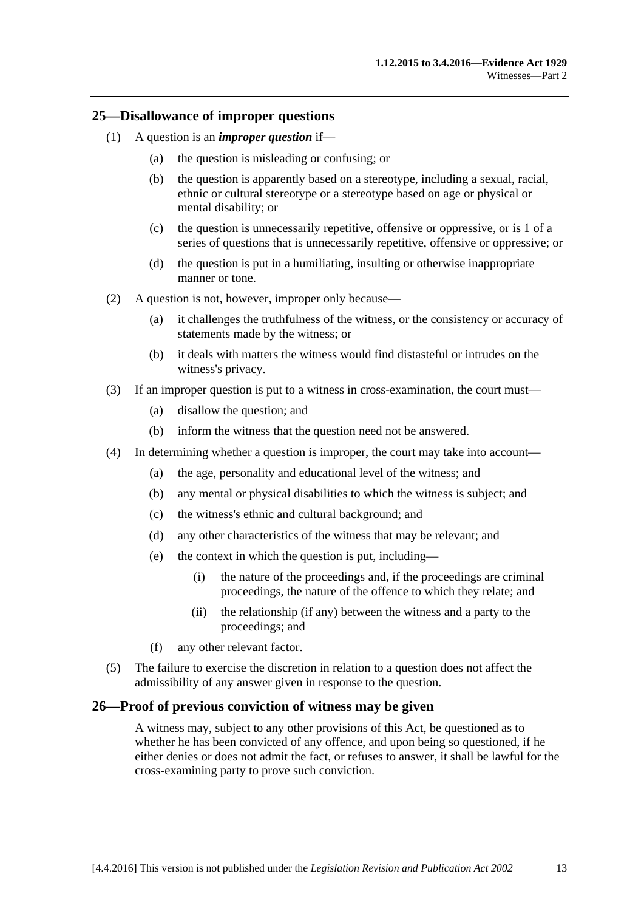#### <span id="page-22-0"></span>**25—Disallowance of improper questions**

- (1) A question is an *improper question* if—
	- (a) the question is misleading or confusing; or
	- (b) the question is apparently based on a stereotype, including a sexual, racial, ethnic or cultural stereotype or a stereotype based on age or physical or mental disability; or
	- (c) the question is unnecessarily repetitive, offensive or oppressive, or is 1 of a series of questions that is unnecessarily repetitive, offensive or oppressive; or
	- (d) the question is put in a humiliating, insulting or otherwise inappropriate manner or tone.
- (2) A question is not, however, improper only because—
	- (a) it challenges the truthfulness of the witness, or the consistency or accuracy of statements made by the witness; or
	- (b) it deals with matters the witness would find distasteful or intrudes on the witness's privacy.
- (3) If an improper question is put to a witness in cross-examination, the court must—
	- (a) disallow the question; and
	- (b) inform the witness that the question need not be answered.
- (4) In determining whether a question is improper, the court may take into account—
	- (a) the age, personality and educational level of the witness; and
	- (b) any mental or physical disabilities to which the witness is subject; and
	- (c) the witness's ethnic and cultural background; and
	- (d) any other characteristics of the witness that may be relevant; and
	- (e) the context in which the question is put, including—
		- (i) the nature of the proceedings and, if the proceedings are criminal proceedings, the nature of the offence to which they relate; and
		- (ii) the relationship (if any) between the witness and a party to the proceedings; and
	- (f) any other relevant factor.
- (5) The failure to exercise the discretion in relation to a question does not affect the admissibility of any answer given in response to the question.

#### <span id="page-22-1"></span>**26—Proof of previous conviction of witness may be given**

A witness may, subject to any other provisions of this Act, be questioned as to whether he has been convicted of any offence, and upon being so questioned, if he either denies or does not admit the fact, or refuses to answer, it shall be lawful for the cross-examining party to prove such conviction.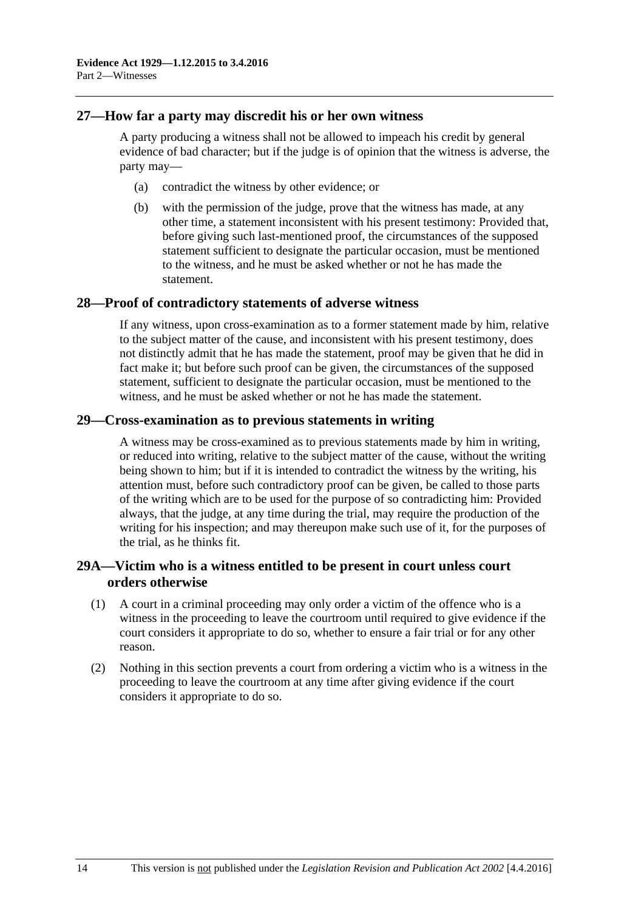## <span id="page-23-0"></span>**27—How far a party may discredit his or her own witness**

A party producing a witness shall not be allowed to impeach his credit by general evidence of bad character; but if the judge is of opinion that the witness is adverse, the party may—

- (a) contradict the witness by other evidence; or
- (b) with the permission of the judge, prove that the witness has made, at any other time, a statement inconsistent with his present testimony: Provided that, before giving such last-mentioned proof, the circumstances of the supposed statement sufficient to designate the particular occasion, must be mentioned to the witness, and he must be asked whether or not he has made the statement.

#### <span id="page-23-1"></span>**28—Proof of contradictory statements of adverse witness**

If any witness, upon cross-examination as to a former statement made by him, relative to the subject matter of the cause, and inconsistent with his present testimony, does not distinctly admit that he has made the statement, proof may be given that he did in fact make it; but before such proof can be given, the circumstances of the supposed statement, sufficient to designate the particular occasion, must be mentioned to the witness, and he must be asked whether or not he has made the statement.

#### <span id="page-23-2"></span>**29—Cross-examination as to previous statements in writing**

A witness may be cross-examined as to previous statements made by him in writing, or reduced into writing, relative to the subject matter of the cause, without the writing being shown to him; but if it is intended to contradict the witness by the writing, his attention must, before such contradictory proof can be given, be called to those parts of the writing which are to be used for the purpose of so contradicting him: Provided always, that the judge, at any time during the trial, may require the production of the writing for his inspection; and may thereupon make such use of it, for the purposes of the trial, as he thinks fit.

## <span id="page-23-3"></span>**29A—Victim who is a witness entitled to be present in court unless court orders otherwise**

- (1) A court in a criminal proceeding may only order a victim of the offence who is a witness in the proceeding to leave the courtroom until required to give evidence if the court considers it appropriate to do so, whether to ensure a fair trial or for any other reason.
- (2) Nothing in this section prevents a court from ordering a victim who is a witness in the proceeding to leave the courtroom at any time after giving evidence if the court considers it appropriate to do so.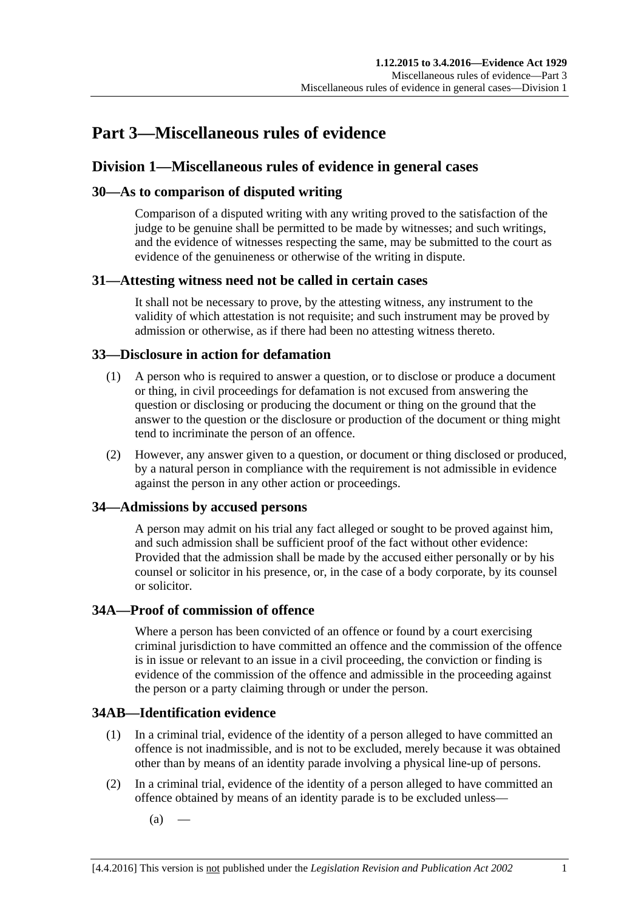# <span id="page-24-0"></span>**Part 3—Miscellaneous rules of evidence**

## <span id="page-24-1"></span>**Division 1—Miscellaneous rules of evidence in general cases**

## <span id="page-24-2"></span>**30—As to comparison of disputed writing**

Comparison of a disputed writing with any writing proved to the satisfaction of the judge to be genuine shall be permitted to be made by witnesses; and such writings, and the evidence of witnesses respecting the same, may be submitted to the court as evidence of the genuineness or otherwise of the writing in dispute.

## <span id="page-24-3"></span>**31—Attesting witness need not be called in certain cases**

It shall not be necessary to prove, by the attesting witness, any instrument to the validity of which attestation is not requisite; and such instrument may be proved by admission or otherwise, as if there had been no attesting witness thereto.

## <span id="page-24-4"></span>**33—Disclosure in action for defamation**

- (1) A person who is required to answer a question, or to disclose or produce a document or thing, in civil proceedings for defamation is not excused from answering the question or disclosing or producing the document or thing on the ground that the answer to the question or the disclosure or production of the document or thing might tend to incriminate the person of an offence.
- (2) However, any answer given to a question, or document or thing disclosed or produced, by a natural person in compliance with the requirement is not admissible in evidence against the person in any other action or proceedings.

## <span id="page-24-5"></span>**34—Admissions by accused persons**

A person may admit on his trial any fact alleged or sought to be proved against him, and such admission shall be sufficient proof of the fact without other evidence: Provided that the admission shall be made by the accused either personally or by his counsel or solicitor in his presence, or, in the case of a body corporate, by its counsel or solicitor.

## <span id="page-24-6"></span>**34A—Proof of commission of offence**

Where a person has been convicted of an offence or found by a court exercising criminal jurisdiction to have committed an offence and the commission of the offence is in issue or relevant to an issue in a civil proceeding, the conviction or finding is evidence of the commission of the offence and admissible in the proceeding against the person or a party claiming through or under the person.

## <span id="page-24-7"></span>**34AB—Identification evidence**

- (1) In a criminal trial, evidence of the identity of a person alleged to have committed an offence is not inadmissible, and is not to be excluded, merely because it was obtained other than by means of an identity parade involving a physical line-up of persons.
- <span id="page-24-8"></span>(2) In a criminal trial, evidence of the identity of a person alleged to have committed an offence obtained by means of an identity parade is to be excluded unless—
	- $(a)$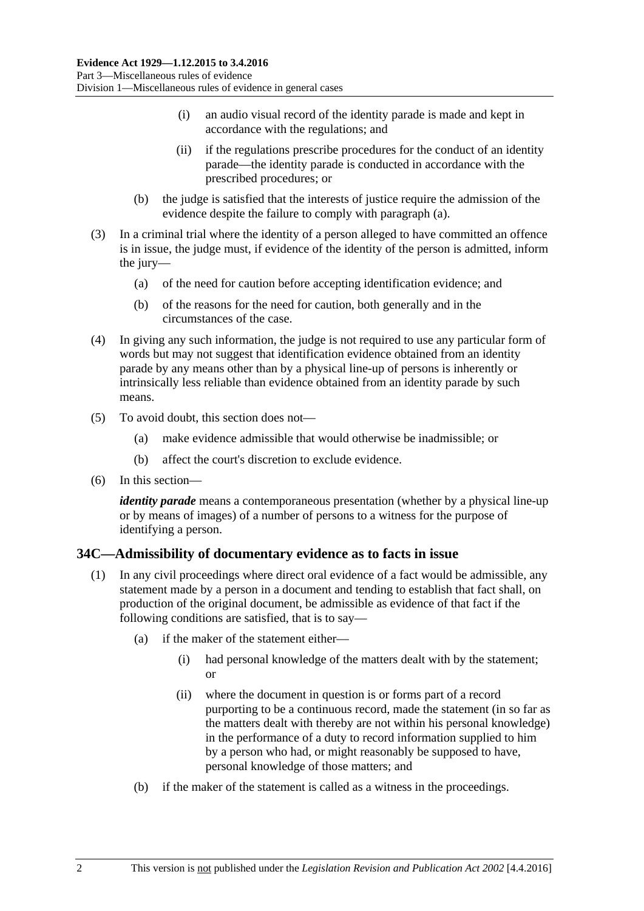- (i) an audio visual record of the identity parade is made and kept in accordance with the regulations; and
- (ii) if the regulations prescribe procedures for the conduct of an identity parade—the identity parade is conducted in accordance with the prescribed procedures; or
- (b) the judge is satisfied that the interests of justice require the admission of the evidence despite the failure to comply with [paragraph](#page-24-8) (a).
- (3) In a criminal trial where the identity of a person alleged to have committed an offence is in issue, the judge must, if evidence of the identity of the person is admitted, inform the jury—
	- (a) of the need for caution before accepting identification evidence; and
	- (b) of the reasons for the need for caution, both generally and in the circumstances of the case.
- (4) In giving any such information, the judge is not required to use any particular form of words but may not suggest that identification evidence obtained from an identity parade by any means other than by a physical line-up of persons is inherently or intrinsically less reliable than evidence obtained from an identity parade by such means.
- (5) To avoid doubt, this section does not—
	- (a) make evidence admissible that would otherwise be inadmissible; or
	- (b) affect the court's discretion to exclude evidence.
- (6) In this section—

*identity parade* means a contemporaneous presentation (whether by a physical line-up or by means of images) of a number of persons to a witness for the purpose of identifying a person.

## <span id="page-25-1"></span><span id="page-25-0"></span>**34C—Admissibility of documentary evidence as to facts in issue**

- (1) In any civil proceedings where direct oral evidence of a fact would be admissible, any statement made by a person in a document and tending to establish that fact shall, on production of the original document, be admissible as evidence of that fact if the following conditions are satisfied, that is to say—
	- (a) if the maker of the statement either—
		- (i) had personal knowledge of the matters dealt with by the statement; or
		- (ii) where the document in question is or forms part of a record purporting to be a continuous record, made the statement (in so far as the matters dealt with thereby are not within his personal knowledge) in the performance of a duty to record information supplied to him by a person who had, or might reasonably be supposed to have, personal knowledge of those matters; and
	- (b) if the maker of the statement is called as a witness in the proceedings.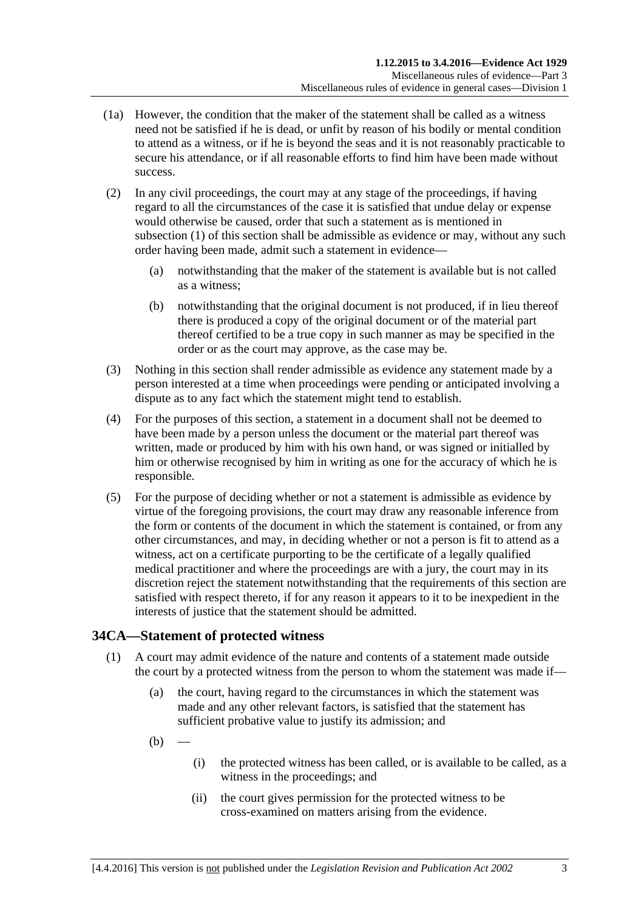- (1a) However, the condition that the maker of the statement shall be called as a witness need not be satisfied if he is dead, or unfit by reason of his bodily or mental condition to attend as a witness, or if he is beyond the seas and it is not reasonably practicable to secure his attendance, or if all reasonable efforts to find him have been made without success.
- (2) In any civil proceedings, the court may at any stage of the proceedings, if having regard to all the circumstances of the case it is satisfied that undue delay or expense would otherwise be caused, order that such a statement as is mentioned in [subsection](#page-25-1) (1) of this section shall be admissible as evidence or may, without any such order having been made, admit such a statement in evidence—
	- (a) notwithstanding that the maker of the statement is available but is not called as a witness;
	- (b) notwithstanding that the original document is not produced, if in lieu thereof there is produced a copy of the original document or of the material part thereof certified to be a true copy in such manner as may be specified in the order or as the court may approve, as the case may be.
- (3) Nothing in this section shall render admissible as evidence any statement made by a person interested at a time when proceedings were pending or anticipated involving a dispute as to any fact which the statement might tend to establish.
- (4) For the purposes of this section, a statement in a document shall not be deemed to have been made by a person unless the document or the material part thereof was written, made or produced by him with his own hand, or was signed or initialled by him or otherwise recognised by him in writing as one for the accuracy of which he is responsible.
- (5) For the purpose of deciding whether or not a statement is admissible as evidence by virtue of the foregoing provisions, the court may draw any reasonable inference from the form or contents of the document in which the statement is contained, or from any other circumstances, and may, in deciding whether or not a person is fit to attend as a witness, act on a certificate purporting to be the certificate of a legally qualified medical practitioner and where the proceedings are with a jury, the court may in its discretion reject the statement notwithstanding that the requirements of this section are satisfied with respect thereto, if for any reason it appears to it to be inexpedient in the interests of justice that the statement should be admitted.

## <span id="page-26-0"></span>**34CA—Statement of protected witness**

- (1) A court may admit evidence of the nature and contents of a statement made outside the court by a protected witness from the person to whom the statement was made if—
	- (a) the court, having regard to the circumstances in which the statement was made and any other relevant factors, is satisfied that the statement has sufficient probative value to justify its admission; and
	- $(b)$
- (i) the protected witness has been called, or is available to be called, as a witness in the proceedings; and
- (ii) the court gives permission for the protected witness to be cross-examined on matters arising from the evidence.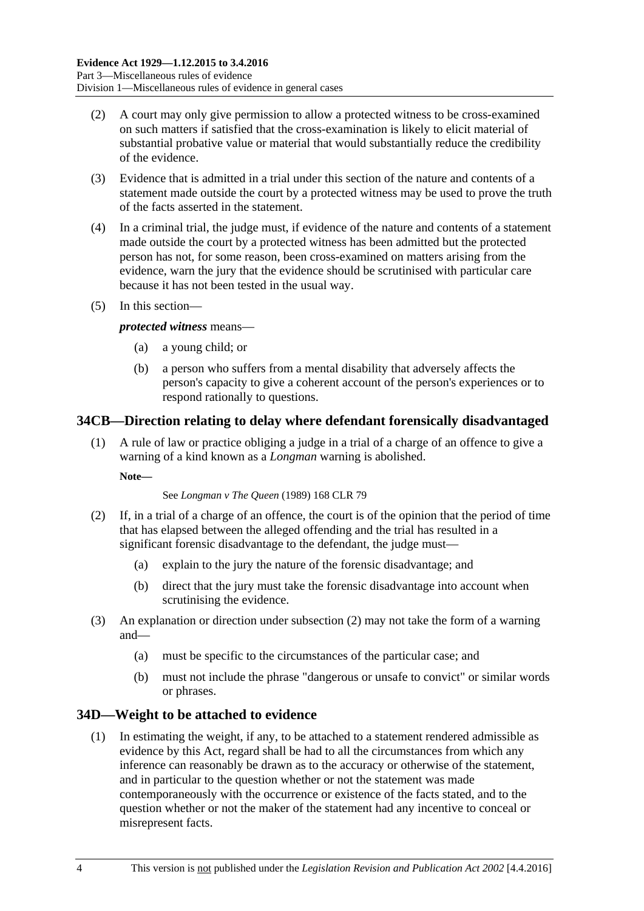- (2) A court may only give permission to allow a protected witness to be cross-examined on such matters if satisfied that the cross-examination is likely to elicit material of substantial probative value or material that would substantially reduce the credibility of the evidence.
- (3) Evidence that is admitted in a trial under this section of the nature and contents of a statement made outside the court by a protected witness may be used to prove the truth of the facts asserted in the statement.
- (4) In a criminal trial, the judge must, if evidence of the nature and contents of a statement made outside the court by a protected witness has been admitted but the protected person has not, for some reason, been cross-examined on matters arising from the evidence, warn the jury that the evidence should be scrutinised with particular care because it has not been tested in the usual way.
- (5) In this section—

#### *protected witness* means—

- (a) a young child; or
- (b) a person who suffers from a mental disability that adversely affects the person's capacity to give a coherent account of the person's experiences or to respond rationally to questions.

## <span id="page-27-0"></span>**34CB—Direction relating to delay where defendant forensically disadvantaged**

(1) A rule of law or practice obliging a judge in a trial of a charge of an offence to give a warning of a kind known as a *Longman* warning is abolished.

**Note—**

#### See *Longman v The Queen* (1989) 168 CLR 79

- <span id="page-27-2"></span>(2) If, in a trial of a charge of an offence, the court is of the opinion that the period of time that has elapsed between the alleged offending and the trial has resulted in a significant forensic disadvantage to the defendant, the judge must-
	- (a) explain to the jury the nature of the forensic disadvantage; and
	- (b) direct that the jury must take the forensic disadvantage into account when scrutinising the evidence.
- (3) An explanation or direction under [subsection](#page-27-2) (2) may not take the form of a warning and—
	- (a) must be specific to the circumstances of the particular case; and
	- (b) must not include the phrase "dangerous or unsafe to convict" or similar words or phrases.

## <span id="page-27-1"></span>**34D—Weight to be attached to evidence**

(1) In estimating the weight, if any, to be attached to a statement rendered admissible as evidence by this Act, regard shall be had to all the circumstances from which any inference can reasonably be drawn as to the accuracy or otherwise of the statement, and in particular to the question whether or not the statement was made contemporaneously with the occurrence or existence of the facts stated, and to the question whether or not the maker of the statement had any incentive to conceal or misrepresent facts.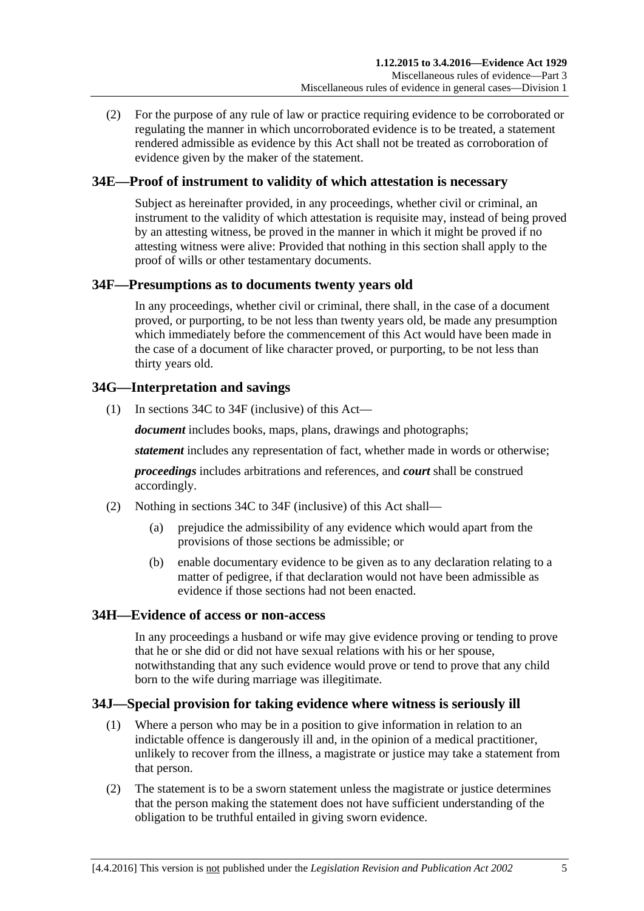(2) For the purpose of any rule of law or practice requiring evidence to be corroborated or regulating the manner in which uncorroborated evidence is to be treated, a statement rendered admissible as evidence by this Act shall not be treated as corroboration of evidence given by the maker of the statement.

## <span id="page-28-0"></span>**34E—Proof of instrument to validity of which attestation is necessary**

Subject as hereinafter provided, in any proceedings, whether civil or criminal, an instrument to the validity of which attestation is requisite may, instead of being proved by an attesting witness, be proved in the manner in which it might be proved if no attesting witness were alive: Provided that nothing in this section shall apply to the proof of wills or other testamentary documents.

## <span id="page-28-1"></span>**34F—Presumptions as to documents twenty years old**

In any proceedings, whether civil or criminal, there shall, in the case of a document proved, or purporting, to be not less than twenty years old, be made any presumption which immediately before the commencement of this Act would have been made in the case of a document of like character proved, or purporting, to be not less than thirty years old.

## <span id="page-28-2"></span>**34G—Interpretation and savings**

(1) In [sections](#page-25-0) 34C to [34F](#page-28-1) (inclusive) of this Act—

*document* includes books, maps, plans, drawings and photographs;

*statement* includes any representation of fact, whether made in words or otherwise;

*proceedings* includes arbitrations and references, and *court* shall be construed accordingly.

- (2) Nothing in [sections](#page-25-0) 34C to [34F](#page-28-1) (inclusive) of this Act shall—
	- (a) prejudice the admissibility of any evidence which would apart from the provisions of those sections be admissible; or
	- (b) enable documentary evidence to be given as to any declaration relating to a matter of pedigree, if that declaration would not have been admissible as evidence if those sections had not been enacted.

## <span id="page-28-3"></span>**34H—Evidence of access or non-access**

In any proceedings a husband or wife may give evidence proving or tending to prove that he or she did or did not have sexual relations with his or her spouse, notwithstanding that any such evidence would prove or tend to prove that any child born to the wife during marriage was illegitimate.

## <span id="page-28-4"></span>**34J—Special provision for taking evidence where witness is seriously ill**

- (1) Where a person who may be in a position to give information in relation to an indictable offence is dangerously ill and, in the opinion of a medical practitioner, unlikely to recover from the illness, a magistrate or justice may take a statement from that person.
- (2) The statement is to be a sworn statement unless the magistrate or justice determines that the person making the statement does not have sufficient understanding of the obligation to be truthful entailed in giving sworn evidence.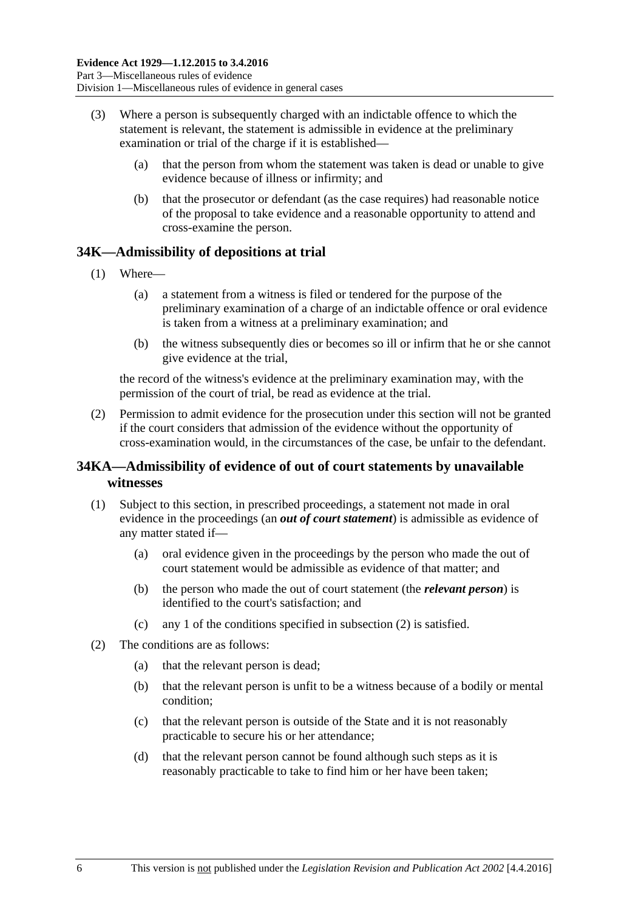- (3) Where a person is subsequently charged with an indictable offence to which the statement is relevant, the statement is admissible in evidence at the preliminary examination or trial of the charge if it is established—
	- (a) that the person from whom the statement was taken is dead or unable to give evidence because of illness or infirmity; and
	- (b) that the prosecutor or defendant (as the case requires) had reasonable notice of the proposal to take evidence and a reasonable opportunity to attend and cross-examine the person.

## <span id="page-29-0"></span>**34K—Admissibility of depositions at trial**

- (1) Where—
	- (a) a statement from a witness is filed or tendered for the purpose of the preliminary examination of a charge of an indictable offence or oral evidence is taken from a witness at a preliminary examination; and
	- (b) the witness subsequently dies or becomes so ill or infirm that he or she cannot give evidence at the trial,

the record of the witness's evidence at the preliminary examination may, with the permission of the court of trial, be read as evidence at the trial.

(2) Permission to admit evidence for the prosecution under this section will not be granted if the court considers that admission of the evidence without the opportunity of cross-examination would, in the circumstances of the case, be unfair to the defendant.

## <span id="page-29-1"></span>**34KA—Admissibility of evidence of out of court statements by unavailable witnesses**

- (1) Subject to this section, in prescribed proceedings, a statement not made in oral evidence in the proceedings (an *out of court statement*) is admissible as evidence of any matter stated if—
	- (a) oral evidence given in the proceedings by the person who made the out of court statement would be admissible as evidence of that matter; and
	- (b) the person who made the out of court statement (the *relevant person*) is identified to the court's satisfaction; and
	- (c) any 1 of the conditions specified in [subsection](#page-29-2) (2) is satisfied.
- <span id="page-29-2"></span>(2) The conditions are as follows:
	- (a) that the relevant person is dead;
	- (b) that the relevant person is unfit to be a witness because of a bodily or mental condition;
	- (c) that the relevant person is outside of the State and it is not reasonably practicable to secure his or her attendance;
	- (d) that the relevant person cannot be found although such steps as it is reasonably practicable to take to find him or her have been taken;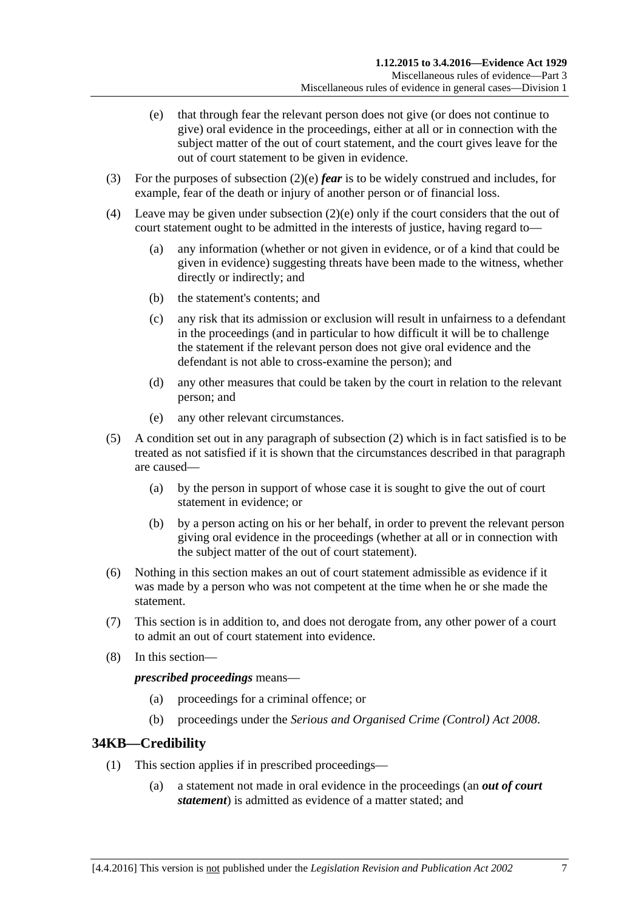- <span id="page-30-1"></span>(e) that through fear the relevant person does not give (or does not continue to give) oral evidence in the proceedings, either at all or in connection with the subject matter of the out of court statement, and the court gives leave for the out of court statement to be given in evidence.
- (3) For the purposes of [subsection](#page-30-1) (2)(e) *fear* is to be widely construed and includes, for example, fear of the death or injury of another person or of financial loss.
- (4) Leave may be given under [subsection](#page-30-1) (2)(e) only if the court considers that the out of court statement ought to be admitted in the interests of justice, having regard to—
	- (a) any information (whether or not given in evidence, or of a kind that could be given in evidence) suggesting threats have been made to the witness, whether directly or indirectly; and
	- (b) the statement's contents; and
	- (c) any risk that its admission or exclusion will result in unfairness to a defendant in the proceedings (and in particular to how difficult it will be to challenge the statement if the relevant person does not give oral evidence and the defendant is not able to cross-examine the person); and
	- (d) any other measures that could be taken by the court in relation to the relevant person; and
	- (e) any other relevant circumstances.
- (5) A condition set out in any paragraph of [subsection](#page-29-2) (2) which is in fact satisfied is to be treated as not satisfied if it is shown that the circumstances described in that paragraph are caused—
	- (a) by the person in support of whose case it is sought to give the out of court statement in evidence; or
	- (b) by a person acting on his or her behalf, in order to prevent the relevant person giving oral evidence in the proceedings (whether at all or in connection with the subject matter of the out of court statement).
- (6) Nothing in this section makes an out of court statement admissible as evidence if it was made by a person who was not competent at the time when he or she made the statement.
- (7) This section is in addition to, and does not derogate from, any other power of a court to admit an out of court statement into evidence.
- (8) In this section—

*prescribed proceedings* means—

- (a) proceedings for a criminal offence; or
- (b) proceedings under the *[Serious and Organised Crime \(Control\) Act](http://www.legislation.sa.gov.au/index.aspx?action=legref&type=act&legtitle=Serious%20and%20Organised%20Crime%20(Control)%20Act%202008) 2008*.

## <span id="page-30-0"></span>**34KB—Credibility**

- (1) This section applies if in prescribed proceedings—
	- (a) a statement not made in oral evidence in the proceedings (an *out of court statement*) is admitted as evidence of a matter stated; and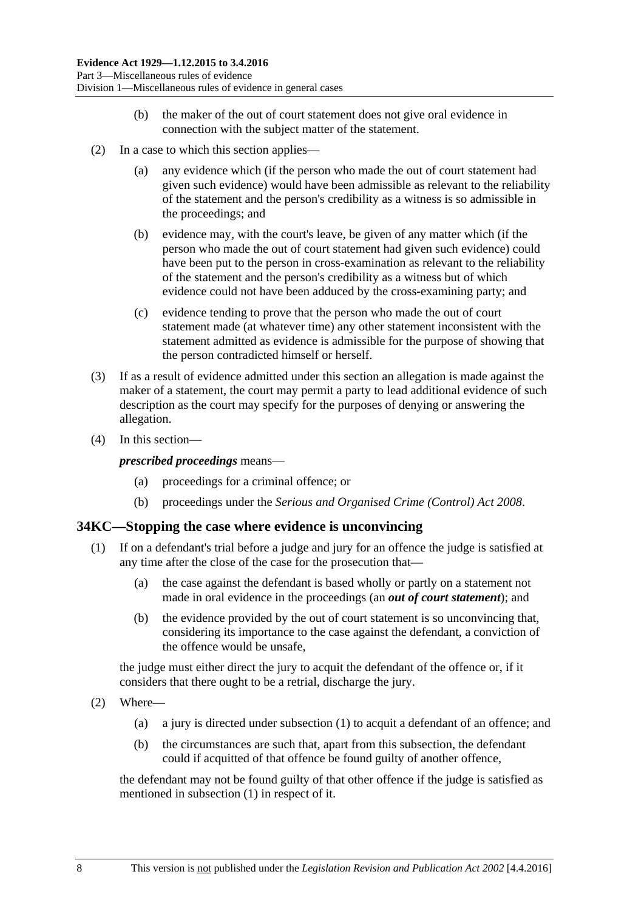- (b) the maker of the out of court statement does not give oral evidence in connection with the subject matter of the statement.
- (2) In a case to which this section applies—
	- (a) any evidence which (if the person who made the out of court statement had given such evidence) would have been admissible as relevant to the reliability of the statement and the person's credibility as a witness is so admissible in the proceedings; and
	- (b) evidence may, with the court's leave, be given of any matter which (if the person who made the out of court statement had given such evidence) could have been put to the person in cross-examination as relevant to the reliability of the statement and the person's credibility as a witness but of which evidence could not have been adduced by the cross-examining party; and
	- (c) evidence tending to prove that the person who made the out of court statement made (at whatever time) any other statement inconsistent with the statement admitted as evidence is admissible for the purpose of showing that the person contradicted himself or herself.
- (3) If as a result of evidence admitted under this section an allegation is made against the maker of a statement, the court may permit a party to lead additional evidence of such description as the court may specify for the purposes of denying or answering the allegation.
- (4) In this section—

*prescribed proceedings* means—

- (a) proceedings for a criminal offence; or
- (b) proceedings under the *[Serious and Organised Crime \(Control\) Act](http://www.legislation.sa.gov.au/index.aspx?action=legref&type=act&legtitle=Serious%20and%20Organised%20Crime%20(Control)%20Act%202008) 2008*.

#### <span id="page-31-1"></span><span id="page-31-0"></span>**34KC—Stopping the case where evidence is unconvincing**

- (1) If on a defendant's trial before a judge and jury for an offence the judge is satisfied at any time after the close of the case for the prosecution that—
	- (a) the case against the defendant is based wholly or partly on a statement not made in oral evidence in the proceedings (an *out of court statement*); and
	- (b) the evidence provided by the out of court statement is so unconvincing that, considering its importance to the case against the defendant, a conviction of the offence would be unsafe,

the judge must either direct the jury to acquit the defendant of the offence or, if it considers that there ought to be a retrial, discharge the jury.

- (2) Where—
	- (a) a jury is directed under [subsection](#page-31-1) (1) to acquit a defendant of an offence; and
	- (b) the circumstances are such that, apart from this subsection, the defendant could if acquitted of that offence be found guilty of another offence,

the defendant may not be found guilty of that other offence if the judge is satisfied as mentioned in [subsection](#page-31-1) (1) in respect of it.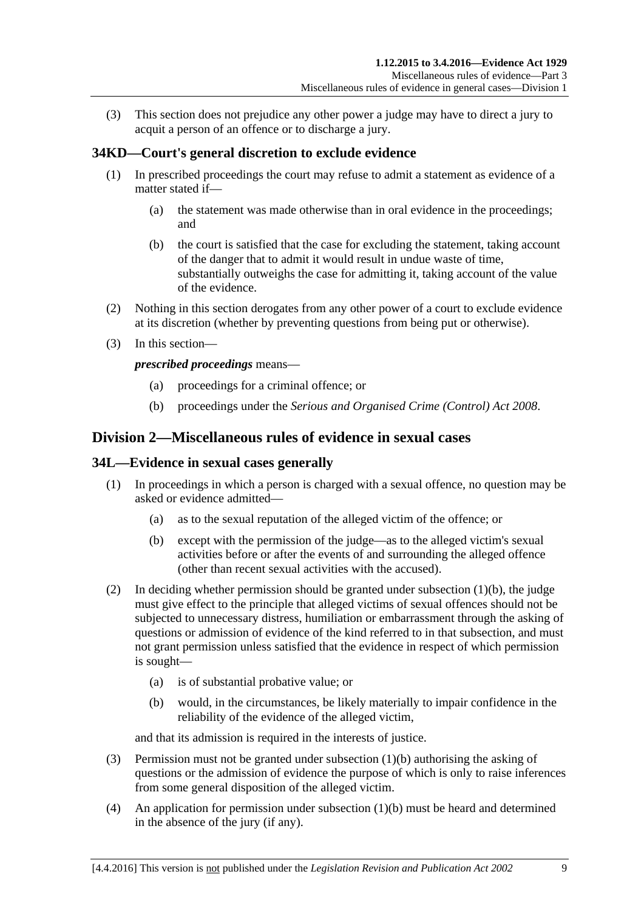(3) This section does not prejudice any other power a judge may have to direct a jury to acquit a person of an offence or to discharge a jury.

## <span id="page-32-0"></span>**34KD—Court's general discretion to exclude evidence**

- (1) In prescribed proceedings the court may refuse to admit a statement as evidence of a matter stated if—
	- (a) the statement was made otherwise than in oral evidence in the proceedings; and
	- (b) the court is satisfied that the case for excluding the statement, taking account of the danger that to admit it would result in undue waste of time, substantially outweighs the case for admitting it, taking account of the value of the evidence.
- (2) Nothing in this section derogates from any other power of a court to exclude evidence at its discretion (whether by preventing questions from being put or otherwise).
- (3) In this section—

*prescribed proceedings* means—

- (a) proceedings for a criminal offence; or
- (b) proceedings under the *[Serious and Organised Crime \(Control\) Act](http://www.legislation.sa.gov.au/index.aspx?action=legref&type=act&legtitle=Serious%20and%20Organised%20Crime%20(Control)%20Act%202008) 2008*.

## <span id="page-32-1"></span>**Division 2—Miscellaneous rules of evidence in sexual cases**

#### <span id="page-32-2"></span>**34L—Evidence in sexual cases generally**

- <span id="page-32-3"></span>(1) In proceedings in which a person is charged with a sexual offence, no question may be asked or evidence admitted—
	- (a) as to the sexual reputation of the alleged victim of the offence; or
	- (b) except with the permission of the judge—as to the alleged victim's sexual activities before or after the events of and surrounding the alleged offence (other than recent sexual activities with the accused).
- (2) In deciding whether permission should be granted under [subsection](#page-32-3) (1)(b), the judge must give effect to the principle that alleged victims of sexual offences should not be subjected to unnecessary distress, humiliation or embarrassment through the asking of questions or admission of evidence of the kind referred to in that subsection, and must not grant permission unless satisfied that the evidence in respect of which permission is sought—
	- (a) is of substantial probative value; or
	- (b) would, in the circumstances, be likely materially to impair confidence in the reliability of the evidence of the alleged victim,

and that its admission is required in the interests of justice.

- (3) Permission must not be granted under [subsection](#page-32-3) (1)(b) authorising the asking of questions or the admission of evidence the purpose of which is only to raise inferences from some general disposition of the alleged victim.
- (4) An application for permission under [subsection](#page-32-3) (1)(b) must be heard and determined in the absence of the jury (if any).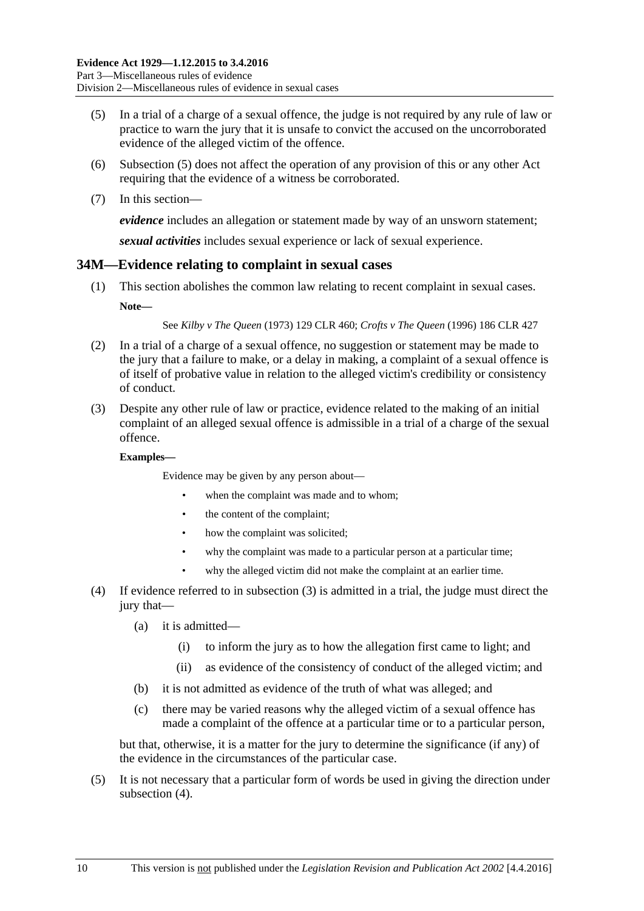- <span id="page-33-1"></span>(5) In a trial of a charge of a sexual offence, the judge is not required by any rule of law or practice to warn the jury that it is unsafe to convict the accused on the uncorroborated evidence of the alleged victim of the offence.
- (6) [Subsection](#page-33-1) (5) does not affect the operation of any provision of this or any other Act requiring that the evidence of a witness be corroborated.
- (7) In this section—

*evidence* includes an allegation or statement made by way of an unsworn statement;

*sexual activities* includes sexual experience or lack of sexual experience.

### <span id="page-33-0"></span>**34M—Evidence relating to complaint in sexual cases**

(1) This section abolishes the common law relating to recent complaint in sexual cases. **Note—**

See *Kilby v The Queen* (1973) 129 CLR 460; *Crofts v The Queen* (1996) 186 CLR 427

- (2) In a trial of a charge of a sexual offence, no suggestion or statement may be made to the jury that a failure to make, or a delay in making, a complaint of a sexual offence is of itself of probative value in relation to the alleged victim's credibility or consistency of conduct.
- <span id="page-33-2"></span>(3) Despite any other rule of law or practice, evidence related to the making of an initial complaint of an alleged sexual offence is admissible in a trial of a charge of the sexual offence.

#### **Examples—**

Evidence may be given by any person about—

- when the complaint was made and to whom;
- the content of the complaint;
- how the complaint was solicited;
- why the complaint was made to a particular person at a particular time;
- why the alleged victim did not make the complaint at an earlier time.
- <span id="page-33-3"></span>(4) If evidence referred to in [subsection](#page-33-2) (3) is admitted in a trial, the judge must direct the jury that—
	- (a) it is admitted—
		- (i) to inform the jury as to how the allegation first came to light; and
		- (ii) as evidence of the consistency of conduct of the alleged victim; and
	- (b) it is not admitted as evidence of the truth of what was alleged; and
	- (c) there may be varied reasons why the alleged victim of a sexual offence has made a complaint of the offence at a particular time or to a particular person,

but that, otherwise, it is a matter for the jury to determine the significance (if any) of the evidence in the circumstances of the particular case.

(5) It is not necessary that a particular form of words be used in giving the direction under [subsection](#page-33-3) (4).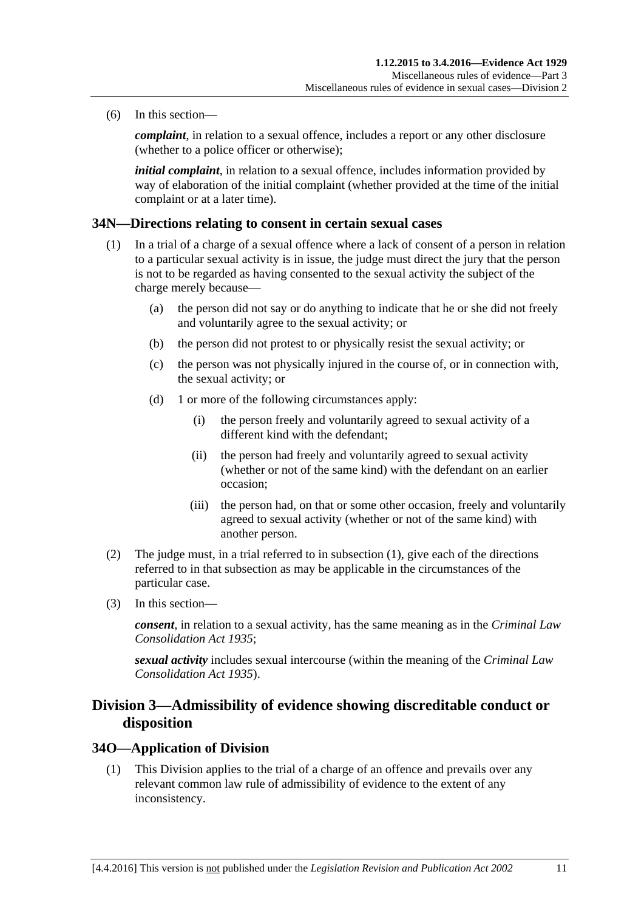(6) In this section—

*complaint*, in relation to a sexual offence, includes a report or any other disclosure (whether to a police officer or otherwise);

*initial complaint*, in relation to a sexual offence, includes information provided by way of elaboration of the initial complaint (whether provided at the time of the initial complaint or at a later time).

#### <span id="page-34-3"></span><span id="page-34-0"></span>**34N—Directions relating to consent in certain sexual cases**

- (1) In a trial of a charge of a sexual offence where a lack of consent of a person in relation to a particular sexual activity is in issue, the judge must direct the jury that the person is not to be regarded as having consented to the sexual activity the subject of the charge merely because—
	- (a) the person did not say or do anything to indicate that he or she did not freely and voluntarily agree to the sexual activity; or
	- (b) the person did not protest to or physically resist the sexual activity; or
	- (c) the person was not physically injured in the course of, or in connection with, the sexual activity; or
	- (d) 1 or more of the following circumstances apply:
		- (i) the person freely and voluntarily agreed to sexual activity of a different kind with the defendant;
		- (ii) the person had freely and voluntarily agreed to sexual activity (whether or not of the same kind) with the defendant on an earlier occasion;
		- (iii) the person had, on that or some other occasion, freely and voluntarily agreed to sexual activity (whether or not of the same kind) with another person.
- (2) The judge must, in a trial referred to in [subsection](#page-34-3) (1), give each of the directions referred to in that subsection as may be applicable in the circumstances of the particular case.
- (3) In this section—

*consent*, in relation to a sexual activity, has the same meaning as in the *[Criminal Law](http://www.legislation.sa.gov.au/index.aspx?action=legref&type=act&legtitle=Criminal%20Law%20Consolidation%20Act%201935)  [Consolidation Act](http://www.legislation.sa.gov.au/index.aspx?action=legref&type=act&legtitle=Criminal%20Law%20Consolidation%20Act%201935) 1935*;

*sexual activity* includes sexual intercourse (within the meaning of the *[Criminal Law](http://www.legislation.sa.gov.au/index.aspx?action=legref&type=act&legtitle=Criminal%20Law%20Consolidation%20Act%201935)  [Consolidation Act](http://www.legislation.sa.gov.au/index.aspx?action=legref&type=act&legtitle=Criminal%20Law%20Consolidation%20Act%201935) 1935*).

## <span id="page-34-1"></span>**Division 3—Admissibility of evidence showing discreditable conduct or disposition**

#### <span id="page-34-2"></span>**34O—Application of Division**

(1) This Division applies to the trial of a charge of an offence and prevails over any relevant common law rule of admissibility of evidence to the extent of any inconsistency.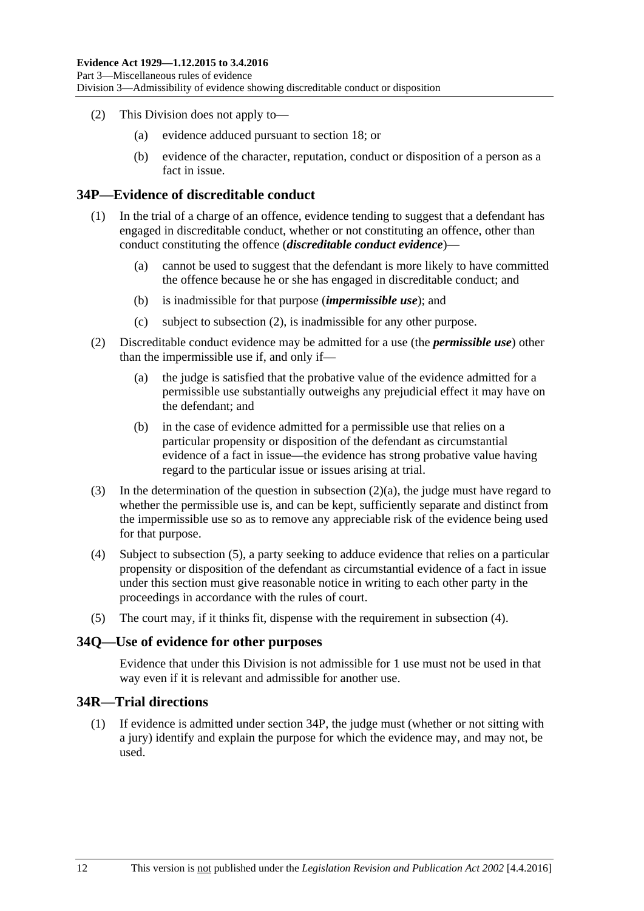- (2) This Division does not apply to—
	- (a) evidence adduced pursuant to [section](#page-19-1) 18; or
	- (b) evidence of the character, reputation, conduct or disposition of a person as a fact in issue.

### <span id="page-35-0"></span>**34P—Evidence of discreditable conduct**

- (1) In the trial of a charge of an offence, evidence tending to suggest that a defendant has engaged in discreditable conduct, whether or not constituting an offence, other than conduct constituting the offence (*discreditable conduct evidence*)—
	- (a) cannot be used to suggest that the defendant is more likely to have committed the offence because he or she has engaged in discreditable conduct; and
	- (b) is inadmissible for that purpose (*impermissible use*); and
	- (c) subject to [subsection](#page-35-3) (2), is inadmissible for any other purpose.
- <span id="page-35-4"></span><span id="page-35-3"></span>(2) Discreditable conduct evidence may be admitted for a use (the *permissible use*) other than the impermissible use if, and only if—
	- (a) the judge is satisfied that the probative value of the evidence admitted for a permissible use substantially outweighs any prejudicial effect it may have on the defendant; and
	- (b) in the case of evidence admitted for a permissible use that relies on a particular propensity or disposition of the defendant as circumstantial evidence of a fact in issue—the evidence has strong probative value having regard to the particular issue or issues arising at trial.
- (3) In the determination of the question in [subsection](#page-35-4) (2)(a), the judge must have regard to whether the permissible use is, and can be kept, sufficiently separate and distinct from the impermissible use so as to remove any appreciable risk of the evidence being used for that purpose.
- <span id="page-35-6"></span>(4) Subject to [subsection](#page-35-5) (5), a party seeking to adduce evidence that relies on a particular propensity or disposition of the defendant as circumstantial evidence of a fact in issue under this section must give reasonable notice in writing to each other party in the proceedings in accordance with the rules of court.
- <span id="page-35-5"></span>(5) The court may, if it thinks fit, dispense with the requirement in [subsection](#page-35-6) (4).

#### <span id="page-35-1"></span>**34Q—Use of evidence for other purposes**

Evidence that under this Division is not admissible for 1 use must not be used in that way even if it is relevant and admissible for another use.

## <span id="page-35-2"></span>**34R—Trial directions**

(1) If evidence is admitted under [section](#page-35-0) 34P, the judge must (whether or not sitting with a jury) identify and explain the purpose for which the evidence may, and may not, be used.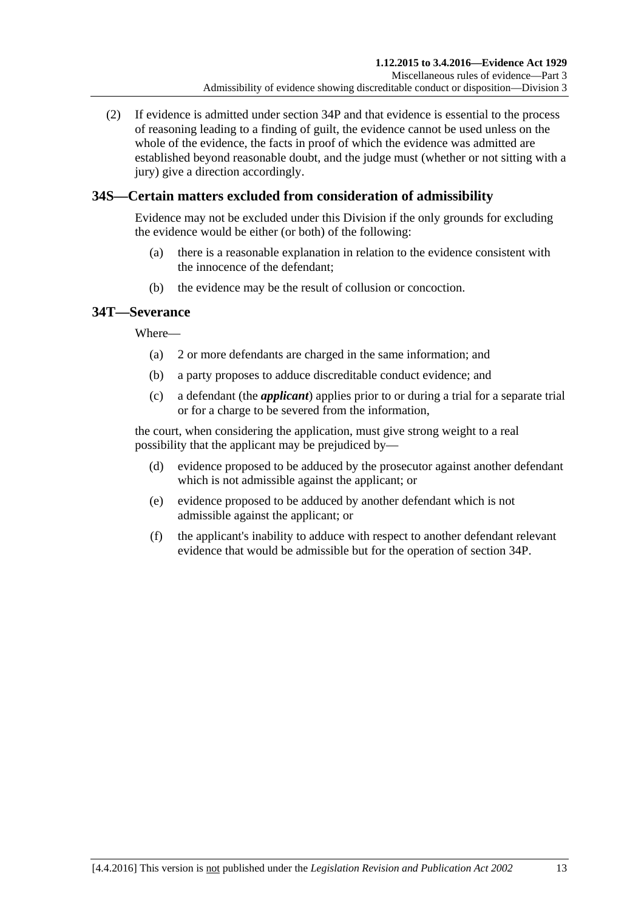(2) If evidence is admitted under [section](#page-35-0) 34P and that evidence is essential to the process of reasoning leading to a finding of guilt, the evidence cannot be used unless on the whole of the evidence, the facts in proof of which the evidence was admitted are established beyond reasonable doubt, and the judge must (whether or not sitting with a jury) give a direction accordingly.

# **34S—Certain matters excluded from consideration of admissibility**

Evidence may not be excluded under this Division if the only grounds for excluding the evidence would be either (or both) of the following:

- (a) there is a reasonable explanation in relation to the evidence consistent with the innocence of the defendant;
- (b) the evidence may be the result of collusion or concoction.

# **34T—Severance**

Where—

- (a) 2 or more defendants are charged in the same information; and
- (b) a party proposes to adduce discreditable conduct evidence; and
- (c) a defendant (the *applicant*) applies prior to or during a trial for a separate trial or for a charge to be severed from the information,

the court, when considering the application, must give strong weight to a real possibility that the applicant may be prejudiced by—

- (d) evidence proposed to be adduced by the prosecutor against another defendant which is not admissible against the applicant; or
- (e) evidence proposed to be adduced by another defendant which is not admissible against the applicant; or
- (f) the applicant's inability to adduce with respect to another defendant relevant evidence that would be admissible but for the operation of [section](#page-35-0) 34P.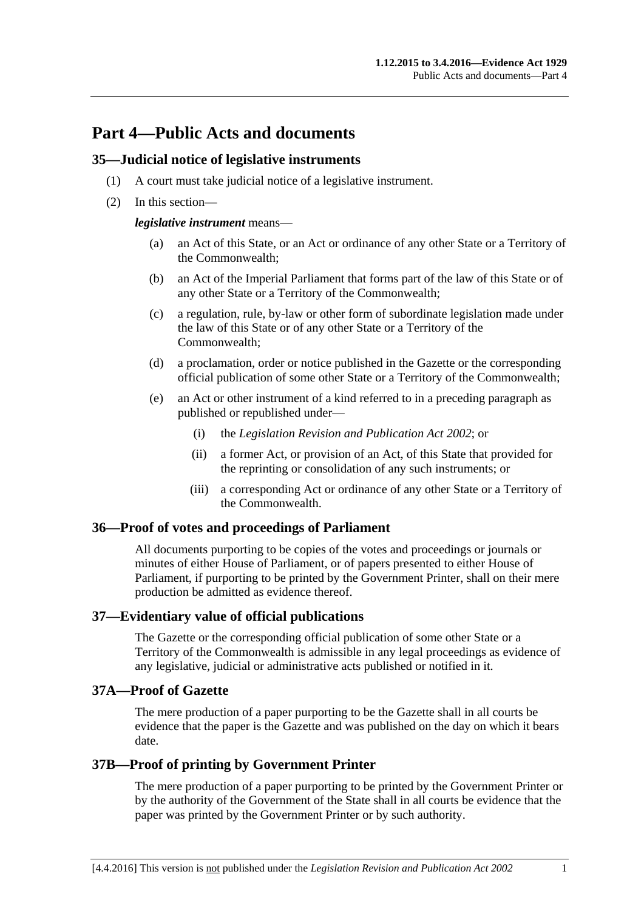# **Part 4—Public Acts and documents**

### **35—Judicial notice of legislative instruments**

- (1) A court must take judicial notice of a legislative instrument.
- (2) In this section—

*legislative instrument* means—

- (a) an Act of this State, or an Act or ordinance of any other State or a Territory of the Commonwealth;
- (b) an Act of the Imperial Parliament that forms part of the law of this State or of any other State or a Territory of the Commonwealth;
- (c) a regulation, rule, by-law or other form of subordinate legislation made under the law of this State or of any other State or a Territory of the Commonwealth;
- (d) a proclamation, order or notice published in the Gazette or the corresponding official publication of some other State or a Territory of the Commonwealth;
- (e) an Act or other instrument of a kind referred to in a preceding paragraph as published or republished under—
	- (i) the *[Legislation Revision and Publication Act](http://www.legislation.sa.gov.au/index.aspx?action=legref&type=act&legtitle=Legislation%20Revision%20and%20Publication%20Act%202002) 2002*; or
	- (ii) a former Act, or provision of an Act, of this State that provided for the reprinting or consolidation of any such instruments; or
	- (iii) a corresponding Act or ordinance of any other State or a Territory of the Commonwealth.

# **36—Proof of votes and proceedings of Parliament**

All documents purporting to be copies of the votes and proceedings or journals or minutes of either House of Parliament, or of papers presented to either House of Parliament, if purporting to be printed by the Government Printer, shall on their mere production be admitted as evidence thereof.

# **37—Evidentiary value of official publications**

The Gazette or the corresponding official publication of some other State or a Territory of the Commonwealth is admissible in any legal proceedings as evidence of any legislative, judicial or administrative acts published or notified in it.

# **37A—Proof of Gazette**

The mere production of a paper purporting to be the Gazette shall in all courts be evidence that the paper is the Gazette and was published on the day on which it bears date.

# **37B—Proof of printing by Government Printer**

The mere production of a paper purporting to be printed by the Government Printer or by the authority of the Government of the State shall in all courts be evidence that the paper was printed by the Government Printer or by such authority.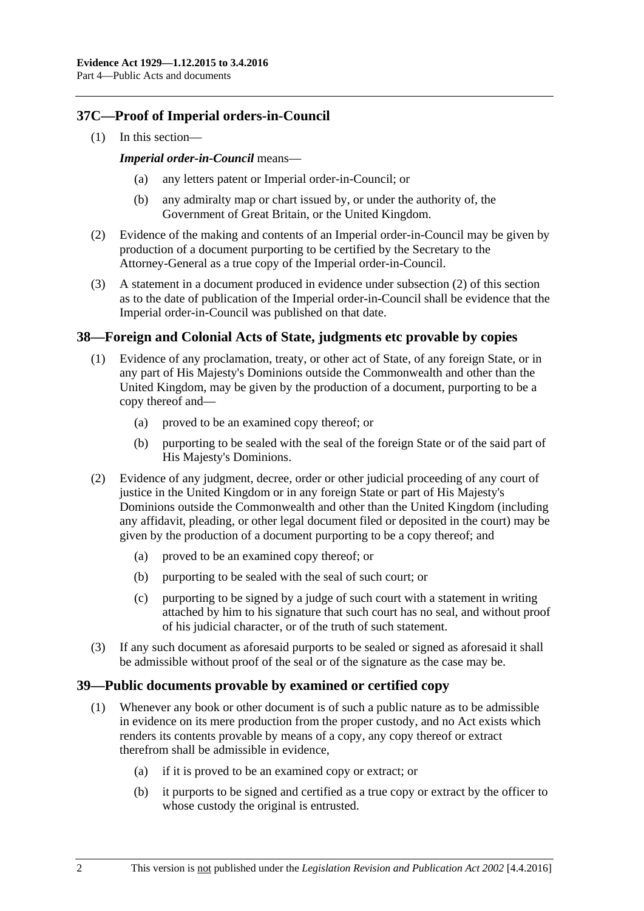# **37C—Proof of Imperial orders-in-Council**

(1) In this section—

#### *Imperial order-in-Council* means—

- any letters patent or Imperial order-in-Council; or
- (b) any admiralty map or chart issued by, or under the authority of, the Government of Great Britain, or the United Kingdom.
- <span id="page-39-0"></span>(2) Evidence of the making and contents of an Imperial order-in-Council may be given by production of a document purporting to be certified by the Secretary to the Attorney-General as a true copy of the Imperial order-in-Council.
- (3) A statement in a document produced in evidence under [subsection](#page-39-0) (2) of this section as to the date of publication of the Imperial order-in-Council shall be evidence that the Imperial order-in-Council was published on that date.

# **38—Foreign and Colonial Acts of State, judgments etc provable by copies**

- (1) Evidence of any proclamation, treaty, or other act of State, of any foreign State, or in any part of His Majesty's Dominions outside the Commonwealth and other than the United Kingdom, may be given by the production of a document, purporting to be a copy thereof and—
	- (a) proved to be an examined copy thereof; or
	- (b) purporting to be sealed with the seal of the foreign State or of the said part of His Majesty's Dominions.
- (2) Evidence of any judgment, decree, order or other judicial proceeding of any court of justice in the United Kingdom or in any foreign State or part of His Majesty's Dominions outside the Commonwealth and other than the United Kingdom (including any affidavit, pleading, or other legal document filed or deposited in the court) may be given by the production of a document purporting to be a copy thereof; and
	- (a) proved to be an examined copy thereof; or
	- (b) purporting to be sealed with the seal of such court; or
	- (c) purporting to be signed by a judge of such court with a statement in writing attached by him to his signature that such court has no seal, and without proof of his judicial character, or of the truth of such statement.
- (3) If any such document as aforesaid purports to be sealed or signed as aforesaid it shall be admissible without proof of the seal or of the signature as the case may be.

# **39—Public documents provable by examined or certified copy**

- (1) Whenever any book or other document is of such a public nature as to be admissible in evidence on its mere production from the proper custody, and no Act exists which renders its contents provable by means of a copy, any copy thereof or extract therefrom shall be admissible in evidence,
	- (a) if it is proved to be an examined copy or extract; or
	- (b) it purports to be signed and certified as a true copy or extract by the officer to whose custody the original is entrusted.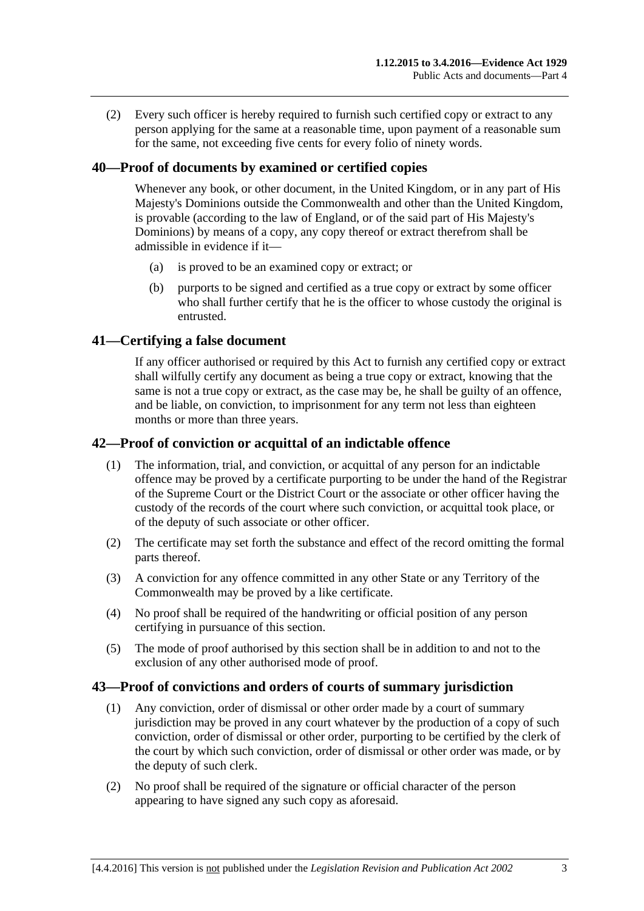(2) Every such officer is hereby required to furnish such certified copy or extract to any person applying for the same at a reasonable time, upon payment of a reasonable sum for the same, not exceeding five cents for every folio of ninety words.

# **40—Proof of documents by examined or certified copies**

Whenever any book, or other document, in the United Kingdom, or in any part of His Majesty's Dominions outside the Commonwealth and other than the United Kingdom, is provable (according to the law of England, or of the said part of His Majesty's Dominions) by means of a copy, any copy thereof or extract therefrom shall be admissible in evidence if it—

- (a) is proved to be an examined copy or extract; or
- (b) purports to be signed and certified as a true copy or extract by some officer who shall further certify that he is the officer to whose custody the original is entrusted.

# **41—Certifying a false document**

If any officer authorised or required by this Act to furnish any certified copy or extract shall wilfully certify any document as being a true copy or extract, knowing that the same is not a true copy or extract, as the case may be, he shall be guilty of an offence, and be liable, on conviction, to imprisonment for any term not less than eighteen months or more than three years.

# **42—Proof of conviction or acquittal of an indictable offence**

- (1) The information, trial, and conviction, or acquittal of any person for an indictable offence may be proved by a certificate purporting to be under the hand of the Registrar of the Supreme Court or the District Court or the associate or other officer having the custody of the records of the court where such conviction, or acquittal took place, or of the deputy of such associate or other officer.
- (2) The certificate may set forth the substance and effect of the record omitting the formal parts thereof.
- (3) A conviction for any offence committed in any other State or any Territory of the Commonwealth may be proved by a like certificate.
- (4) No proof shall be required of the handwriting or official position of any person certifying in pursuance of this section.
- (5) The mode of proof authorised by this section shall be in addition to and not to the exclusion of any other authorised mode of proof.

#### **43—Proof of convictions and orders of courts of summary jurisdiction**

- (1) Any conviction, order of dismissal or other order made by a court of summary jurisdiction may be proved in any court whatever by the production of a copy of such conviction, order of dismissal or other order, purporting to be certified by the clerk of the court by which such conviction, order of dismissal or other order was made, or by the deputy of such clerk.
- (2) No proof shall be required of the signature or official character of the person appearing to have signed any such copy as aforesaid.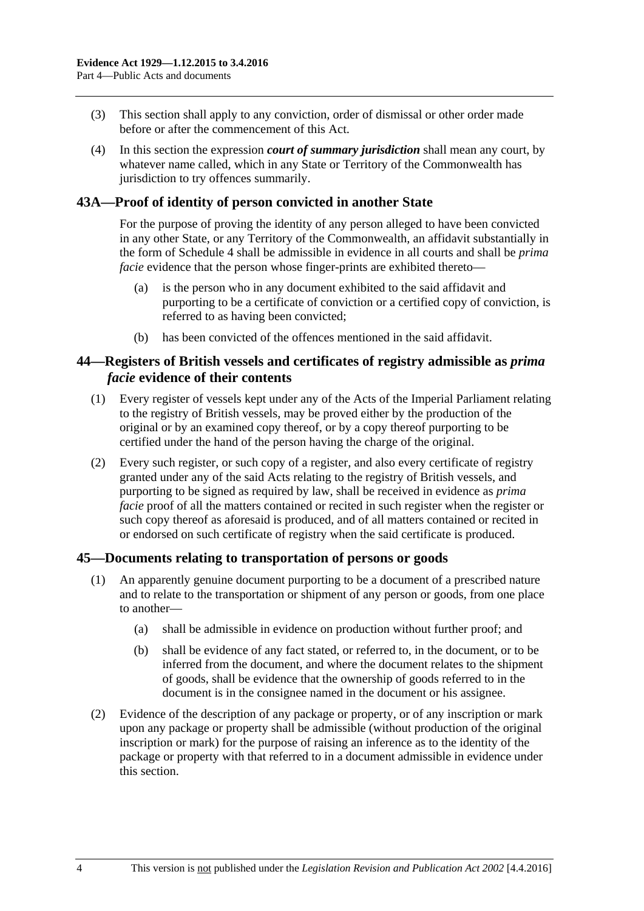- (3) This section shall apply to any conviction, order of dismissal or other order made before or after the commencement of this Act.
- (4) In this section the expression *court of summary jurisdiction* shall mean any court, by whatever name called, which in any State or Territory of the Commonwealth has jurisdiction to try offences summarily.

# **43A—Proof of identity of person convicted in another State**

For the purpose of proving the identity of any person alleged to have been convicted in any other State, or any Territory of the Commonwealth, an affidavit substantially in the form of [Schedule 4](#page-95-0) shall be admissible in evidence in all courts and shall be *prima facie* evidence that the person whose finger-prints are exhibited thereto—

- (a) is the person who in any document exhibited to the said affidavit and purporting to be a certificate of conviction or a certified copy of conviction, is referred to as having been convicted;
- (b) has been convicted of the offences mentioned in the said affidavit.

### **44—Registers of British vessels and certificates of registry admissible as** *prima facie* **evidence of their contents**

- (1) Every register of vessels kept under any of the Acts of the Imperial Parliament relating to the registry of British vessels, may be proved either by the production of the original or by an examined copy thereof, or by a copy thereof purporting to be certified under the hand of the person having the charge of the original.
- (2) Every such register, or such copy of a register, and also every certificate of registry granted under any of the said Acts relating to the registry of British vessels, and purporting to be signed as required by law, shall be received in evidence as *prima facie* proof of all the matters contained or recited in such register when the register or such copy thereof as aforesaid is produced, and of all matters contained or recited in or endorsed on such certificate of registry when the said certificate is produced.

#### **45—Documents relating to transportation of persons or goods**

- (1) An apparently genuine document purporting to be a document of a prescribed nature and to relate to the transportation or shipment of any person or goods, from one place to another—
	- (a) shall be admissible in evidence on production without further proof; and
	- (b) shall be evidence of any fact stated, or referred to, in the document, or to be inferred from the document, and where the document relates to the shipment of goods, shall be evidence that the ownership of goods referred to in the document is in the consignee named in the document or his assignee.
- (2) Evidence of the description of any package or property, or of any inscription or mark upon any package or property shall be admissible (without production of the original inscription or mark) for the purpose of raising an inference as to the identity of the package or property with that referred to in a document admissible in evidence under this section.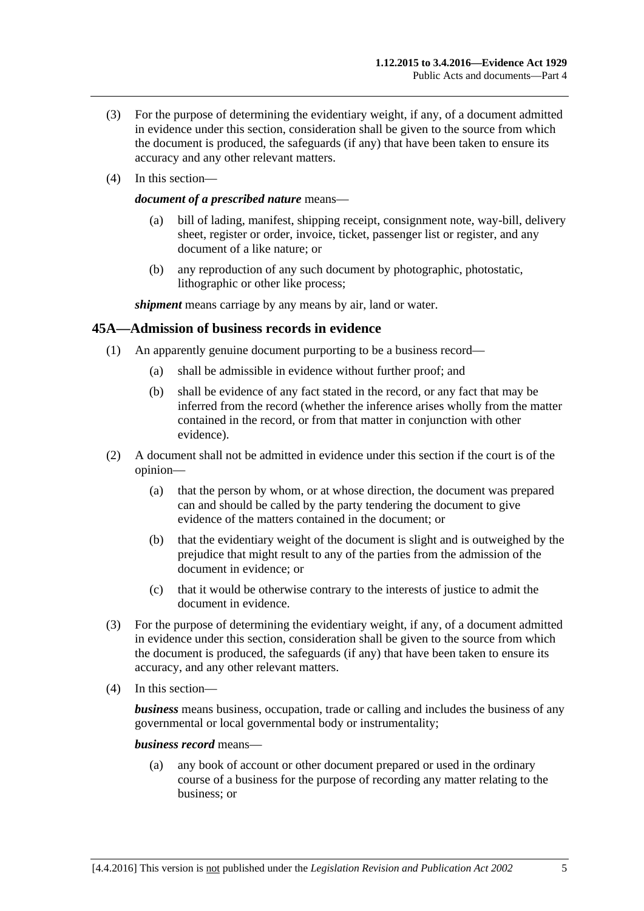- (3) For the purpose of determining the evidentiary weight, if any, of a document admitted in evidence under this section, consideration shall be given to the source from which the document is produced, the safeguards (if any) that have been taken to ensure its accuracy and any other relevant matters.
- (4) In this section—

#### *document of a prescribed nature* means—

- (a) bill of lading, manifest, shipping receipt, consignment note, way-bill, delivery sheet, register or order, invoice, ticket, passenger list or register, and any document of a like nature; or
- (b) any reproduction of any such document by photographic, photostatic, lithographic or other like process;

*shipment* means carriage by any means by air, land or water.

### **45A—Admission of business records in evidence**

- (1) An apparently genuine document purporting to be a business record—
	- (a) shall be admissible in evidence without further proof; and
	- (b) shall be evidence of any fact stated in the record, or any fact that may be inferred from the record (whether the inference arises wholly from the matter contained in the record, or from that matter in conjunction with other evidence).
- (2) A document shall not be admitted in evidence under this section if the court is of the opinion—
	- (a) that the person by whom, or at whose direction, the document was prepared can and should be called by the party tendering the document to give evidence of the matters contained in the document; or
	- (b) that the evidentiary weight of the document is slight and is outweighed by the prejudice that might result to any of the parties from the admission of the document in evidence; or
	- (c) that it would be otherwise contrary to the interests of justice to admit the document in evidence.
- (3) For the purpose of determining the evidentiary weight, if any, of a document admitted in evidence under this section, consideration shall be given to the source from which the document is produced, the safeguards (if any) that have been taken to ensure its accuracy, and any other relevant matters.
- (4) In this section—

*business* means business, occupation, trade or calling and includes the business of any governmental or local governmental body or instrumentality;

#### *business record* means—

(a) any book of account or other document prepared or used in the ordinary course of a business for the purpose of recording any matter relating to the business; or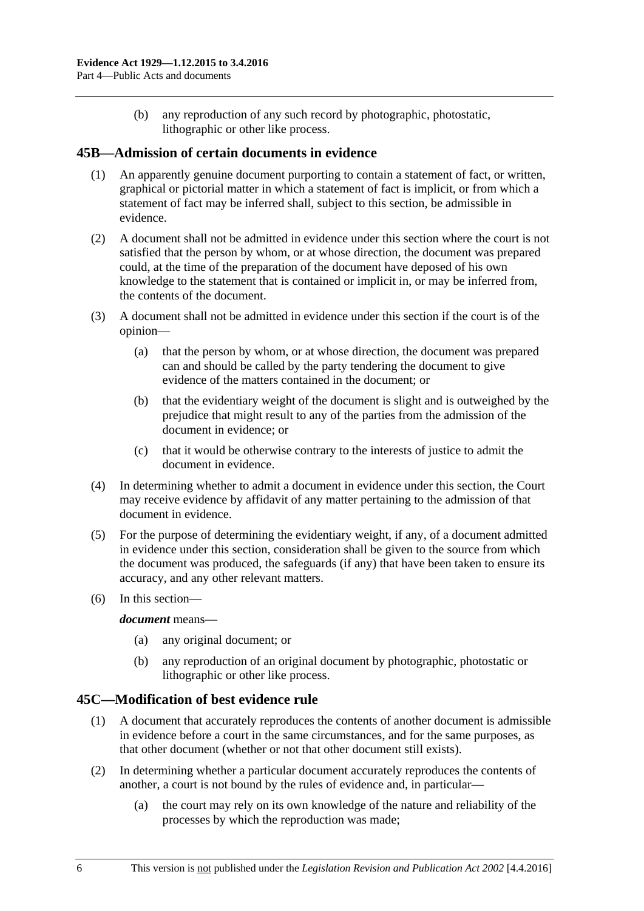(b) any reproduction of any such record by photographic, photostatic, lithographic or other like process.

# **45B—Admission of certain documents in evidence**

- (1) An apparently genuine document purporting to contain a statement of fact, or written, graphical or pictorial matter in which a statement of fact is implicit, or from which a statement of fact may be inferred shall, subject to this section, be admissible in evidence.
- (2) A document shall not be admitted in evidence under this section where the court is not satisfied that the person by whom, or at whose direction, the document was prepared could, at the time of the preparation of the document have deposed of his own knowledge to the statement that is contained or implicit in, or may be inferred from, the contents of the document.
- (3) A document shall not be admitted in evidence under this section if the court is of the opinion—
	- (a) that the person by whom, or at whose direction, the document was prepared can and should be called by the party tendering the document to give evidence of the matters contained in the document; or
	- (b) that the evidentiary weight of the document is slight and is outweighed by the prejudice that might result to any of the parties from the admission of the document in evidence; or
	- (c) that it would be otherwise contrary to the interests of justice to admit the document in evidence.
- (4) In determining whether to admit a document in evidence under this section, the Court may receive evidence by affidavit of any matter pertaining to the admission of that document in evidence.
- (5) For the purpose of determining the evidentiary weight, if any, of a document admitted in evidence under this section, consideration shall be given to the source from which the document was produced, the safeguards (if any) that have been taken to ensure its accuracy, and any other relevant matters.
- (6) In this section—

#### *document* means—

- (a) any original document; or
- (b) any reproduction of an original document by photographic, photostatic or lithographic or other like process.

# **45C—Modification of best evidence rule**

- (1) A document that accurately reproduces the contents of another document is admissible in evidence before a court in the same circumstances, and for the same purposes, as that other document (whether or not that other document still exists).
- (2) In determining whether a particular document accurately reproduces the contents of another, a court is not bound by the rules of evidence and, in particular—
	- (a) the court may rely on its own knowledge of the nature and reliability of the processes by which the reproduction was made;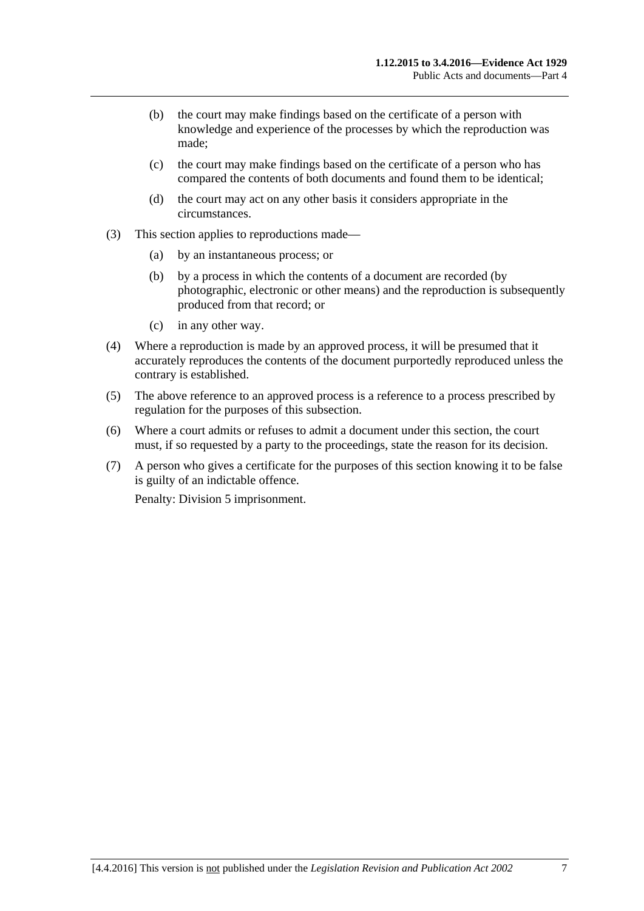- (b) the court may make findings based on the certificate of a person with knowledge and experience of the processes by which the reproduction was made;
- (c) the court may make findings based on the certificate of a person who has compared the contents of both documents and found them to be identical;
- (d) the court may act on any other basis it considers appropriate in the circumstances.
- (3) This section applies to reproductions made—
	- (a) by an instantaneous process; or
	- (b) by a process in which the contents of a document are recorded (by photographic, electronic or other means) and the reproduction is subsequently produced from that record; or
	- (c) in any other way.
- (4) Where a reproduction is made by an approved process, it will be presumed that it accurately reproduces the contents of the document purportedly reproduced unless the contrary is established.
- (5) The above reference to an approved process is a reference to a process prescribed by regulation for the purposes of this subsection.
- (6) Where a court admits or refuses to admit a document under this section, the court must, if so requested by a party to the proceedings, state the reason for its decision.
- (7) A person who gives a certificate for the purposes of this section knowing it to be false is guilty of an indictable offence.

Penalty: Division 5 imprisonment.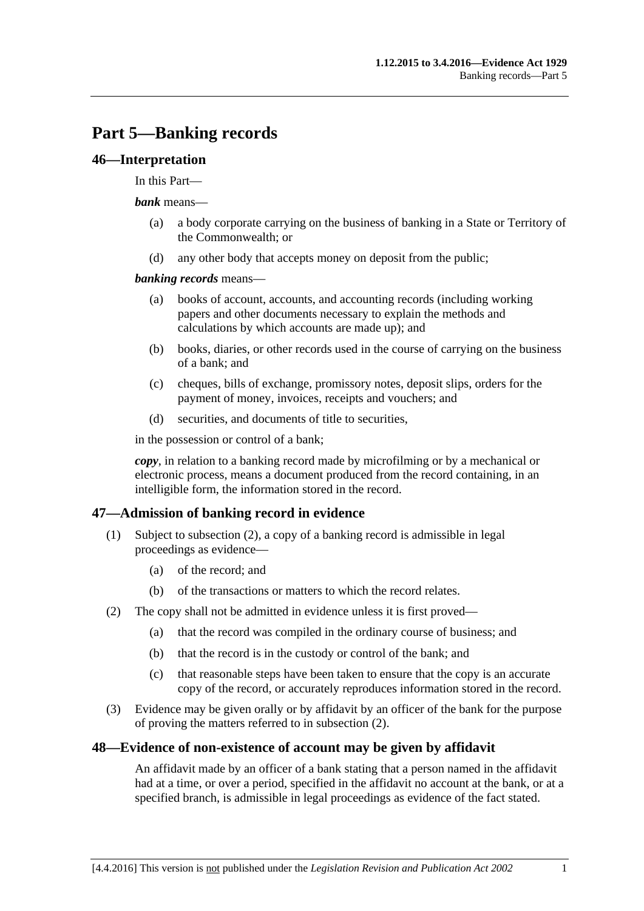# **Part 5—Banking records**

### **46—Interpretation**

#### In this Part—

#### *bank* means—

- (a) a body corporate carrying on the business of banking in a State or Territory of the Commonwealth; or
- (d) any other body that accepts money on deposit from the public;

#### *banking records* means—

- (a) books of account, accounts, and accounting records (including working papers and other documents necessary to explain the methods and calculations by which accounts are made up); and
- (b) books, diaries, or other records used in the course of carrying on the business of a bank; and
- (c) cheques, bills of exchange, promissory notes, deposit slips, orders for the payment of money, invoices, receipts and vouchers; and
- (d) securities, and documents of title to securities,

in the possession or control of a bank;

*copy*, in relation to a banking record made by microfilming or by a mechanical or electronic process, means a document produced from the record containing, in an intelligible form, the information stored in the record.

# **47—Admission of banking record in evidence**

- (1) Subject to [subsection](#page-46-0) (2), a copy of a banking record is admissible in legal proceedings as evidence—
	- (a) of the record; and
	- (b) of the transactions or matters to which the record relates.
- <span id="page-46-0"></span>(2) The copy shall not be admitted in evidence unless it is first proved—
	- (a) that the record was compiled in the ordinary course of business; and
	- (b) that the record is in the custody or control of the bank; and
	- (c) that reasonable steps have been taken to ensure that the copy is an accurate copy of the record, or accurately reproduces information stored in the record.
- (3) Evidence may be given orally or by affidavit by an officer of the bank for the purpose of proving the matters referred to in [subsection](#page-46-0) (2).

#### **48—Evidence of non-existence of account may be given by affidavit**

An affidavit made by an officer of a bank stating that a person named in the affidavit had at a time, or over a period, specified in the affidavit no account at the bank, or at a specified branch, is admissible in legal proceedings as evidence of the fact stated.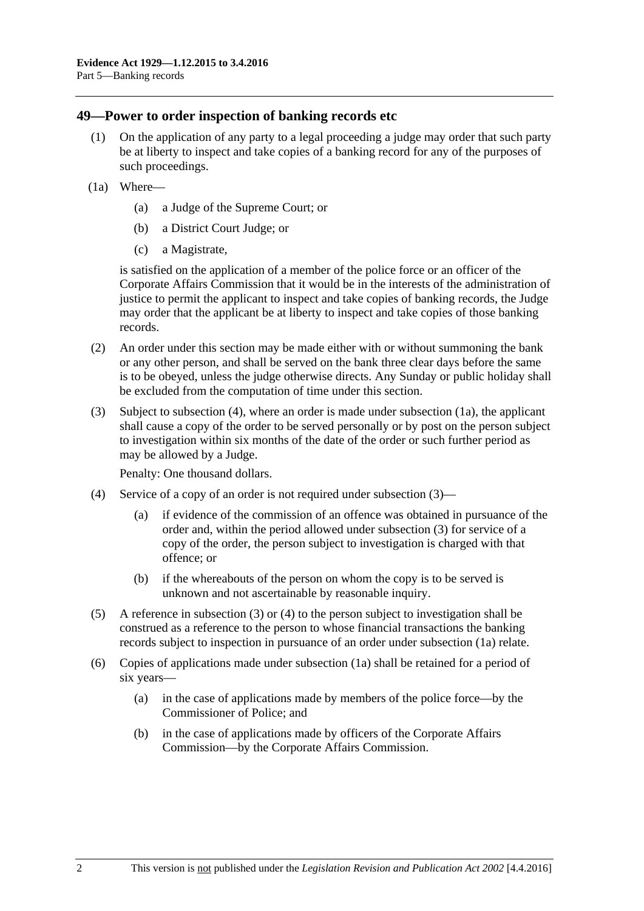### **49—Power to order inspection of banking records etc**

- (1) On the application of any party to a legal proceeding a judge may order that such party be at liberty to inspect and take copies of a banking record for any of the purposes of such proceedings.
- <span id="page-47-1"></span>(1a) Where—
	- (a) a Judge of the Supreme Court; or
	- (b) a District Court Judge; or
	- (c) a Magistrate,

is satisfied on the application of a member of the police force or an officer of the Corporate Affairs Commission that it would be in the interests of the administration of justice to permit the applicant to inspect and take copies of banking records, the Judge may order that the applicant be at liberty to inspect and take copies of those banking records.

- (2) An order under this section may be made either with or without summoning the bank or any other person, and shall be served on the bank three clear days before the same is to be obeyed, unless the judge otherwise directs. Any Sunday or public holiday shall be excluded from the computation of time under this section.
- <span id="page-47-2"></span>(3) Subject to [subsection](#page-47-0) (4), where an order is made under [subsection](#page-47-1) (1a), the applicant shall cause a copy of the order to be served personally or by post on the person subject to investigation within six months of the date of the order or such further period as may be allowed by a Judge.

Penalty: One thousand dollars.

- <span id="page-47-0"></span>(4) Service of a copy of an order is not required under [subsection](#page-47-2) (3)—
	- (a) if evidence of the commission of an offence was obtained in pursuance of the order and, within the period allowed under [subsection](#page-47-2) (3) for service of a copy of the order, the person subject to investigation is charged with that offence; or
	- (b) if the whereabouts of the person on whom the copy is to be served is unknown and not ascertainable by reasonable inquiry.
- (5) A reference in [subsection](#page-47-2) (3) or [\(4\)](#page-47-0) to the person subject to investigation shall be construed as a reference to the person to whose financial transactions the banking records subject to inspection in pursuance of an order under [subsection](#page-47-1) (1a) relate.
- (6) Copies of applications made under [subsection](#page-47-1) (1a) shall be retained for a period of six years—
	- (a) in the case of applications made by members of the police force—by the Commissioner of Police; and
	- (b) in the case of applications made by officers of the Corporate Affairs Commission—by the Corporate Affairs Commission.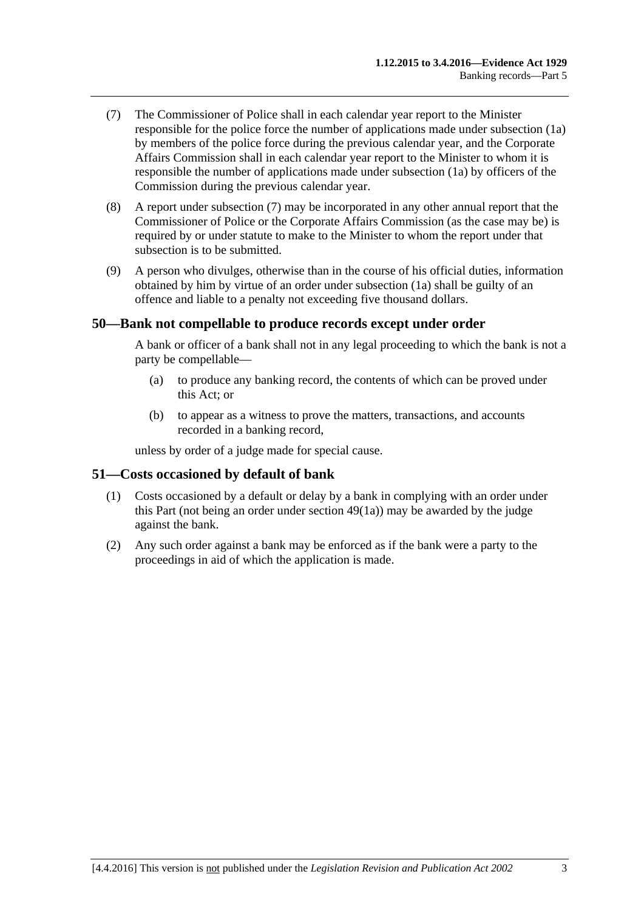- <span id="page-48-0"></span>(7) The Commissioner of Police shall in each calendar year report to the Minister responsible for the police force the number of applications made under [subsection](#page-47-1) (1a) by members of the police force during the previous calendar year, and the Corporate Affairs Commission shall in each calendar year report to the Minister to whom it is responsible the number of applications made under [subsection](#page-47-1) (1a) by officers of the Commission during the previous calendar year.
- (8) A report under [subsection](#page-48-0) (7) may be incorporated in any other annual report that the Commissioner of Police or the Corporate Affairs Commission (as the case may be) is required by or under statute to make to the Minister to whom the report under that subsection is to be submitted.
- (9) A person who divulges, otherwise than in the course of his official duties, information obtained by him by virtue of an order under [subsection](#page-47-1) (1a) shall be guilty of an offence and liable to a penalty not exceeding five thousand dollars.

### **50—Bank not compellable to produce records except under order**

A bank or officer of a bank shall not in any legal proceeding to which the bank is not a party be compellable—

- (a) to produce any banking record, the contents of which can be proved under this Act; or
- (b) to appear as a witness to prove the matters, transactions, and accounts recorded in a banking record,

unless by order of a judge made for special cause.

#### **51—Costs occasioned by default of bank**

- (1) Costs occasioned by a default or delay by a bank in complying with an order under this Part (not being an order under [section](#page-47-1) 49(1a)) may be awarded by the judge against the bank.
- (2) Any such order against a bank may be enforced as if the bank were a party to the proceedings in aid of which the application is made.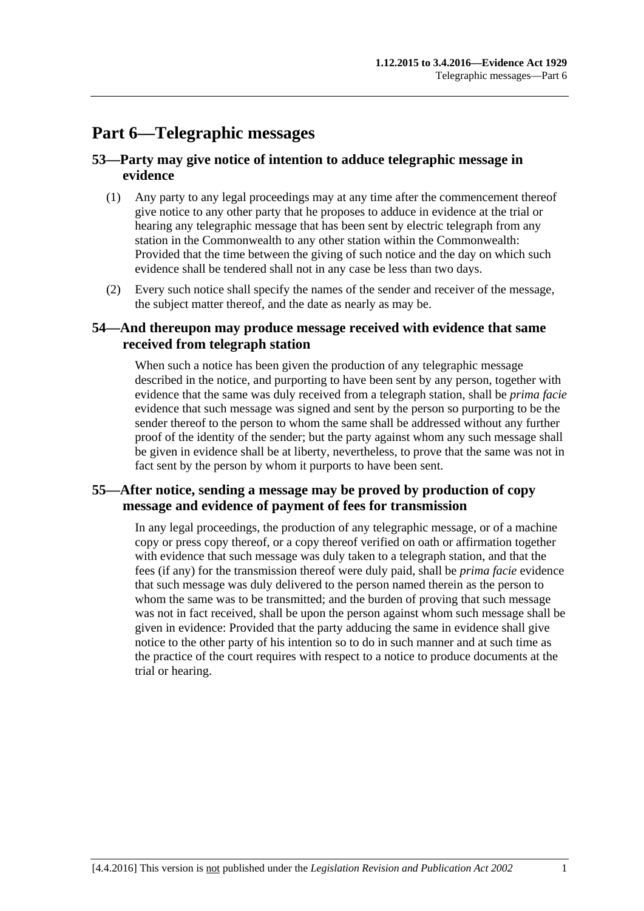# **Part 6—Telegraphic messages**

# **53—Party may give notice of intention to adduce telegraphic message in evidence**

- (1) Any party to any legal proceedings may at any time after the commencement thereof give notice to any other party that he proposes to adduce in evidence at the trial or hearing any telegraphic message that has been sent by electric telegraph from any station in the Commonwealth to any other station within the Commonwealth: Provided that the time between the giving of such notice and the day on which such evidence shall be tendered shall not in any case be less than two days.
- (2) Every such notice shall specify the names of the sender and receiver of the message, the subject matter thereof, and the date as nearly as may be.

# **54—And thereupon may produce message received with evidence that same received from telegraph station**

When such a notice has been given the production of any telegraphic message described in the notice, and purporting to have been sent by any person, together with evidence that the same was duly received from a telegraph station, shall be *prima facie* evidence that such message was signed and sent by the person so purporting to be the sender thereof to the person to whom the same shall be addressed without any further proof of the identity of the sender; but the party against whom any such message shall be given in evidence shall be at liberty, nevertheless, to prove that the same was not in fact sent by the person by whom it purports to have been sent.

# **55—After notice, sending a message may be proved by production of copy message and evidence of payment of fees for transmission**

In any legal proceedings, the production of any telegraphic message, or of a machine copy or press copy thereof, or a copy thereof verified on oath or affirmation together with evidence that such message was duly taken to a telegraph station, and that the fees (if any) for the transmission thereof were duly paid, shall be *prima facie* evidence that such message was duly delivered to the person named therein as the person to whom the same was to be transmitted; and the burden of proving that such message was not in fact received, shall be upon the person against whom such message shall be given in evidence: Provided that the party adducing the same in evidence shall give notice to the other party of his intention so to do in such manner and at such time as the practice of the court requires with respect to a notice to produce documents at the trial or hearing.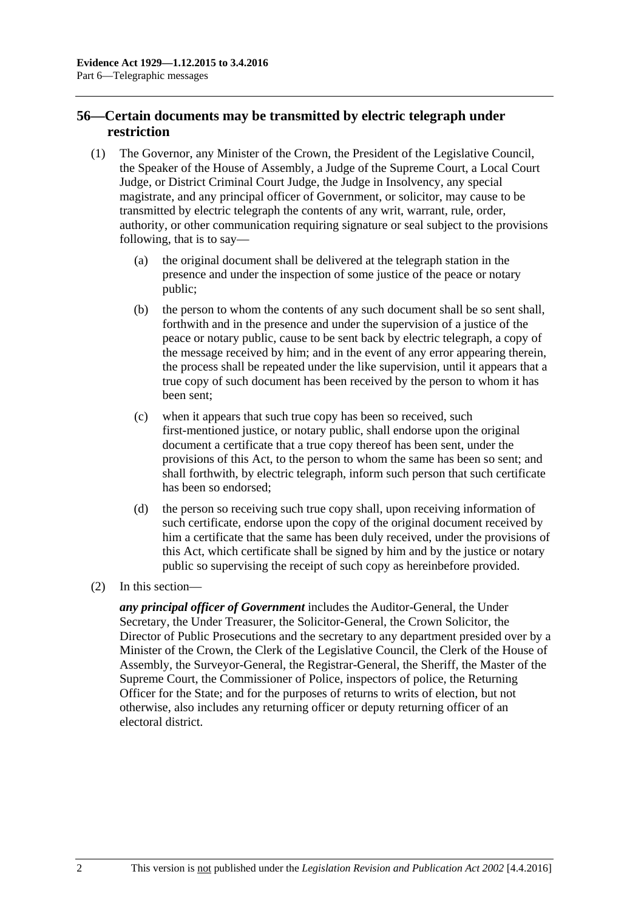# **56—Certain documents may be transmitted by electric telegraph under restriction**

- (1) The Governor, any Minister of the Crown, the President of the Legislative Council, the Speaker of the House of Assembly, a Judge of the Supreme Court, a Local Court Judge, or District Criminal Court Judge, the Judge in Insolvency, any special magistrate, and any principal officer of Government, or solicitor, may cause to be transmitted by electric telegraph the contents of any writ, warrant, rule, order, authority, or other communication requiring signature or seal subject to the provisions following, that is to say—
	- (a) the original document shall be delivered at the telegraph station in the presence and under the inspection of some justice of the peace or notary public;
	- (b) the person to whom the contents of any such document shall be so sent shall, forthwith and in the presence and under the supervision of a justice of the peace or notary public, cause to be sent back by electric telegraph, a copy of the message received by him; and in the event of any error appearing therein, the process shall be repeated under the like supervision, until it appears that a true copy of such document has been received by the person to whom it has been sent;
	- (c) when it appears that such true copy has been so received, such first-mentioned justice, or notary public, shall endorse upon the original document a certificate that a true copy thereof has been sent, under the provisions of this Act, to the person to whom the same has been so sent; and shall forthwith, by electric telegraph, inform such person that such certificate has been so endorsed;
	- (d) the person so receiving such true copy shall, upon receiving information of such certificate, endorse upon the copy of the original document received by him a certificate that the same has been duly received, under the provisions of this Act, which certificate shall be signed by him and by the justice or notary public so supervising the receipt of such copy as hereinbefore provided.
- (2) In this section—

*any principal officer of Government* includes the Auditor-General, the Under Secretary, the Under Treasurer, the Solicitor-General, the Crown Solicitor, the Director of Public Prosecutions and the secretary to any department presided over by a Minister of the Crown, the Clerk of the Legislative Council, the Clerk of the House of Assembly, the Surveyor-General, the Registrar-General, the Sheriff, the Master of the Supreme Court, the Commissioner of Police, inspectors of police, the Returning Officer for the State; and for the purposes of returns to writs of election, but not otherwise, also includes any returning officer or deputy returning officer of an electoral district.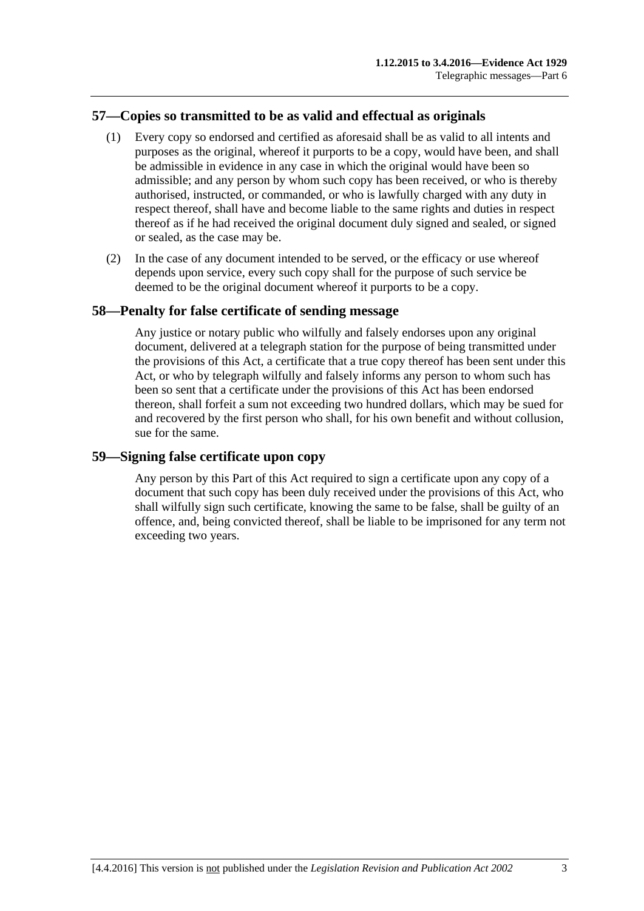# **57—Copies so transmitted to be as valid and effectual as originals**

- (1) Every copy so endorsed and certified as aforesaid shall be as valid to all intents and purposes as the original, whereof it purports to be a copy, would have been, and shall be admissible in evidence in any case in which the original would have been so admissible; and any person by whom such copy has been received, or who is thereby authorised, instructed, or commanded, or who is lawfully charged with any duty in respect thereof, shall have and become liable to the same rights and duties in respect thereof as if he had received the original document duly signed and sealed, or signed or sealed, as the case may be.
- (2) In the case of any document intended to be served, or the efficacy or use whereof depends upon service, every such copy shall for the purpose of such service be deemed to be the original document whereof it purports to be a copy.

# **58—Penalty for false certificate of sending message**

Any justice or notary public who wilfully and falsely endorses upon any original document, delivered at a telegraph station for the purpose of being transmitted under the provisions of this Act, a certificate that a true copy thereof has been sent under this Act, or who by telegraph wilfully and falsely informs any person to whom such has been so sent that a certificate under the provisions of this Act has been endorsed thereon, shall forfeit a sum not exceeding two hundred dollars, which may be sued for and recovered by the first person who shall, for his own benefit and without collusion, sue for the same.

### **59—Signing false certificate upon copy**

Any person by this Part of this Act required to sign a certificate upon any copy of a document that such copy has been duly received under the provisions of this Act, who shall wilfully sign such certificate, knowing the same to be false, shall be guilty of an offence, and, being convicted thereof, shall be liable to be imprisoned for any term not exceeding two years.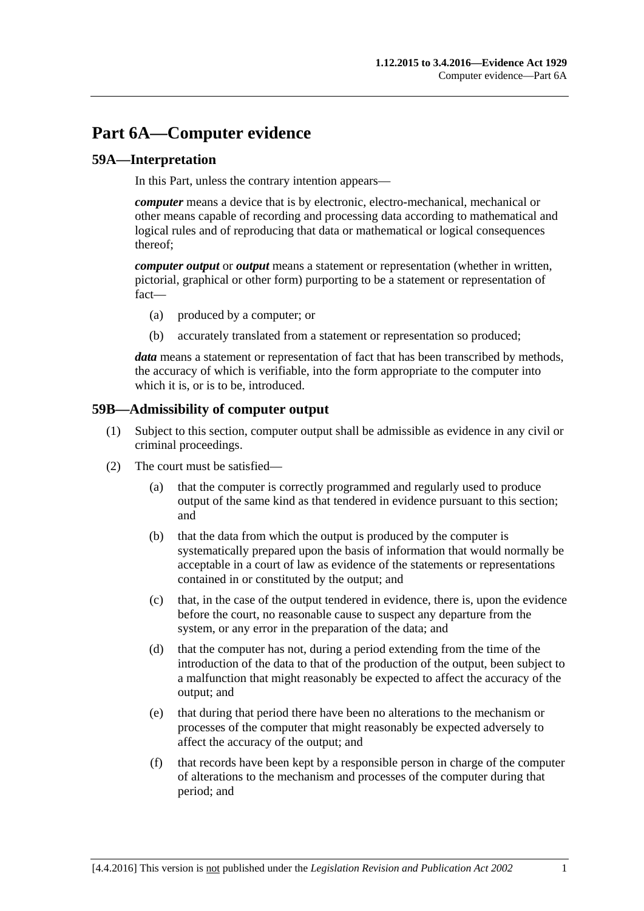# **Part 6A—Computer evidence**

# **59A—Interpretation**

In this Part, unless the contrary intention appears—

*computer* means a device that is by electronic, electro-mechanical, mechanical or other means capable of recording and processing data according to mathematical and logical rules and of reproducing that data or mathematical or logical consequences thereof;

*computer output* or *output* means a statement or representation (whether in written, pictorial, graphical or other form) purporting to be a statement or representation of fact—

- (a) produced by a computer; or
- (b) accurately translated from a statement or representation so produced;

*data* means a statement or representation of fact that has been transcribed by methods, the accuracy of which is verifiable, into the form appropriate to the computer into which it is, or is to be, introduced.

### **59B—Admissibility of computer output**

- (1) Subject to this section, computer output shall be admissible as evidence in any civil or criminal proceedings.
- <span id="page-54-0"></span>(2) The court must be satisfied—
	- (a) that the computer is correctly programmed and regularly used to produce output of the same kind as that tendered in evidence pursuant to this section; and
	- (b) that the data from which the output is produced by the computer is systematically prepared upon the basis of information that would normally be acceptable in a court of law as evidence of the statements or representations contained in or constituted by the output; and
	- (c) that, in the case of the output tendered in evidence, there is, upon the evidence before the court, no reasonable cause to suspect any departure from the system, or any error in the preparation of the data; and
	- (d) that the computer has not, during a period extending from the time of the introduction of the data to that of the production of the output, been subject to a malfunction that might reasonably be expected to affect the accuracy of the output; and
	- (e) that during that period there have been no alterations to the mechanism or processes of the computer that might reasonably be expected adversely to affect the accuracy of the output; and
	- (f) that records have been kept by a responsible person in charge of the computer of alterations to the mechanism and processes of the computer during that period; and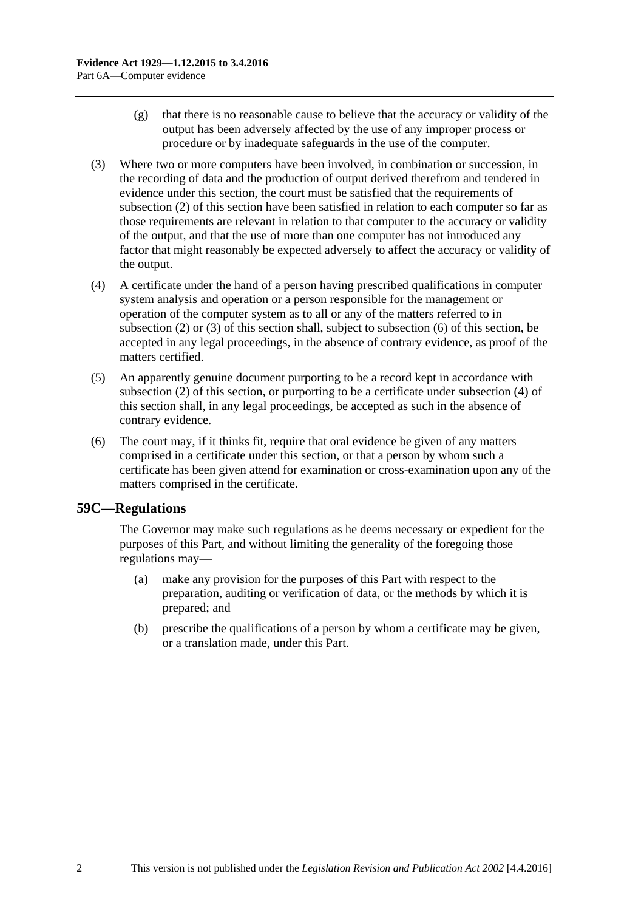- (g) that there is no reasonable cause to believe that the accuracy or validity of the output has been adversely affected by the use of any improper process or procedure or by inadequate safeguards in the use of the computer.
- <span id="page-55-0"></span>(3) Where two or more computers have been involved, in combination or succession, in the recording of data and the production of output derived therefrom and tendered in evidence under this section, the court must be satisfied that the requirements of [subsection](#page-54-0) (2) of this section have been satisfied in relation to each computer so far as those requirements are relevant in relation to that computer to the accuracy or validity of the output, and that the use of more than one computer has not introduced any factor that might reasonably be expected adversely to affect the accuracy or validity of the output.
- <span id="page-55-2"></span>(4) A certificate under the hand of a person having prescribed qualifications in computer system analysis and operation or a person responsible for the management or operation of the computer system as to all or any of the matters referred to in [subsection](#page-54-0) (2) or [\(3\)](#page-55-0) of this section shall, subject to [subsection](#page-55-1) (6) of this section, be accepted in any legal proceedings, in the absence of contrary evidence, as proof of the matters certified.
- (5) An apparently genuine document purporting to be a record kept in accordance with [subsection](#page-54-0) (2) of this section, or purporting to be a certificate under [subsection](#page-55-2) (4) of this section shall, in any legal proceedings, be accepted as such in the absence of contrary evidence.
- <span id="page-55-1"></span>(6) The court may, if it thinks fit, require that oral evidence be given of any matters comprised in a certificate under this section, or that a person by whom such a certificate has been given attend for examination or cross-examination upon any of the matters comprised in the certificate.

# **59C—Regulations**

The Governor may make such regulations as he deems necessary or expedient for the purposes of this Part, and without limiting the generality of the foregoing those regulations may—

- (a) make any provision for the purposes of this Part with respect to the preparation, auditing or verification of data, or the methods by which it is prepared; and
- (b) prescribe the qualifications of a person by whom a certificate may be given, or a translation made, under this Part.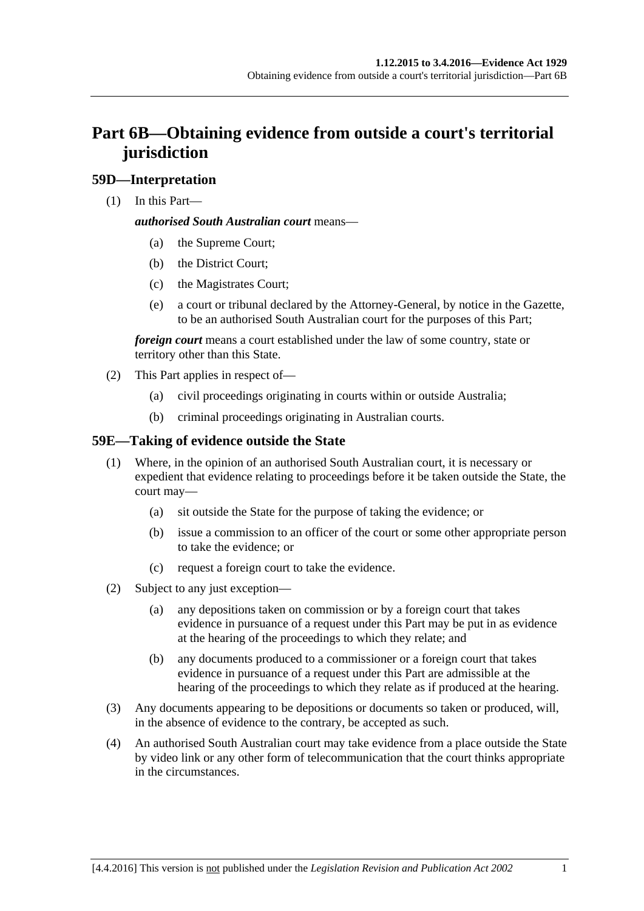# **Part 6B—Obtaining evidence from outside a court's territorial jurisdiction**

# **59D—Interpretation**

(1) In this Part—

### *authorised South Australian court* means—

- (a) the Supreme Court;
- (b) the District Court;
- (c) the Magistrates Court;
- (e) a court or tribunal declared by the Attorney-General, by notice in the Gazette, to be an authorised South Australian court for the purposes of this Part;

*foreign court* means a court established under the law of some country, state or territory other than this State.

- (2) This Part applies in respect of—
	- (a) civil proceedings originating in courts within or outside Australia;
	- (b) criminal proceedings originating in Australian courts.

# **59E—Taking of evidence outside the State**

- (1) Where, in the opinion of an authorised South Australian court, it is necessary or expedient that evidence relating to proceedings before it be taken outside the State, the court may—
	- (a) sit outside the State for the purpose of taking the evidence; or
	- (b) issue a commission to an officer of the court or some other appropriate person to take the evidence; or
	- (c) request a foreign court to take the evidence.
- (2) Subject to any just exception—
	- (a) any depositions taken on commission or by a foreign court that takes evidence in pursuance of a request under this Part may be put in as evidence at the hearing of the proceedings to which they relate; and
	- (b) any documents produced to a commissioner or a foreign court that takes evidence in pursuance of a request under this Part are admissible at the hearing of the proceedings to which they relate as if produced at the hearing.
- (3) Any documents appearing to be depositions or documents so taken or produced, will, in the absence of evidence to the contrary, be accepted as such.
- (4) An authorised South Australian court may take evidence from a place outside the State by video link or any other form of telecommunication that the court thinks appropriate in the circumstances.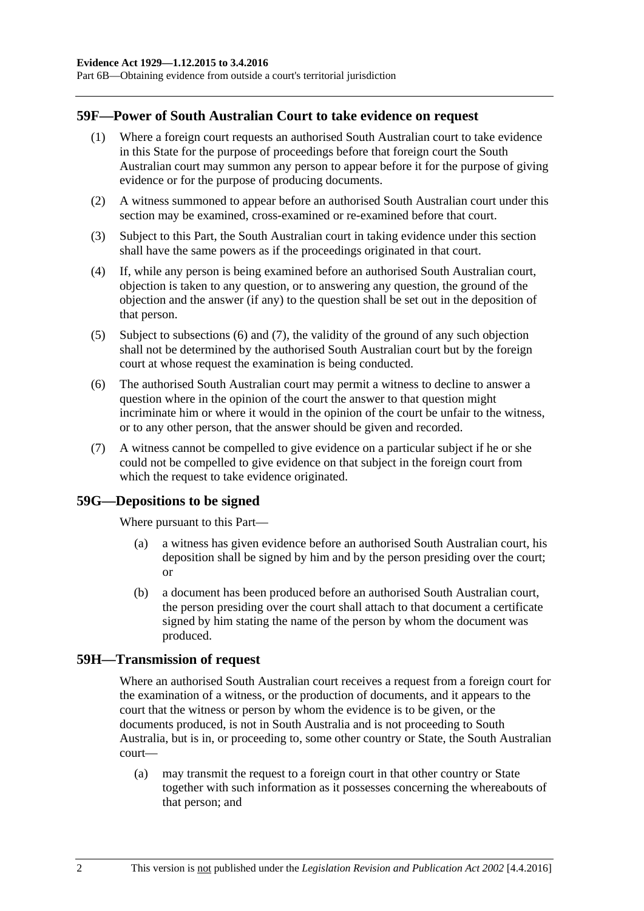Part 6B—Obtaining evidence from outside a court's territorial jurisdiction

#### **59F—Power of South Australian Court to take evidence on request**

- (1) Where a foreign court requests an authorised South Australian court to take evidence in this State for the purpose of proceedings before that foreign court the South Australian court may summon any person to appear before it for the purpose of giving evidence or for the purpose of producing documents.
- (2) A witness summoned to appear before an authorised South Australian court under this section may be examined, cross-examined or re-examined before that court.
- (3) Subject to this Part, the South Australian court in taking evidence under this section shall have the same powers as if the proceedings originated in that court.
- (4) If, while any person is being examined before an authorised South Australian court, objection is taken to any question, or to answering any question, the ground of the objection and the answer (if any) to the question shall be set out in the deposition of that person.
- (5) Subject to [subsections](#page-57-0) (6) and [\(7\),](#page-57-1) the validity of the ground of any such objection shall not be determined by the authorised South Australian court but by the foreign court at whose request the examination is being conducted.
- <span id="page-57-0"></span>(6) The authorised South Australian court may permit a witness to decline to answer a question where in the opinion of the court the answer to that question might incriminate him or where it would in the opinion of the court be unfair to the witness, or to any other person, that the answer should be given and recorded.
- <span id="page-57-1"></span>(7) A witness cannot be compelled to give evidence on a particular subject if he or she could not be compelled to give evidence on that subject in the foreign court from which the request to take evidence originated.

#### **59G—Depositions to be signed**

Where pursuant to this Part—

- (a) a witness has given evidence before an authorised South Australian court, his deposition shall be signed by him and by the person presiding over the court; or
- (b) a document has been produced before an authorised South Australian court, the person presiding over the court shall attach to that document a certificate signed by him stating the name of the person by whom the document was produced.

#### **59H—Transmission of request**

Where an authorised South Australian court receives a request from a foreign court for the examination of a witness, or the production of documents, and it appears to the court that the witness or person by whom the evidence is to be given, or the documents produced, is not in South Australia and is not proceeding to South Australia, but is in, or proceeding to, some other country or State, the South Australian court—

(a) may transmit the request to a foreign court in that other country or State together with such information as it possesses concerning the whereabouts of that person; and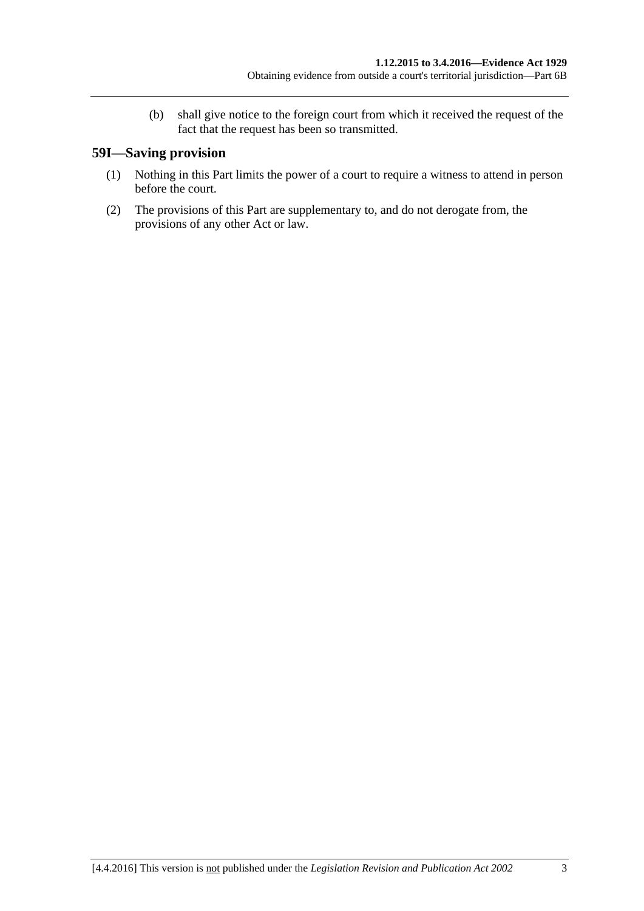(b) shall give notice to the foreign court from which it received the request of the fact that the request has been so transmitted.

# **59I—Saving provision**

- (1) Nothing in this Part limits the power of a court to require a witness to attend in person before the court.
- (2) The provisions of this Part are supplementary to, and do not derogate from, the provisions of any other Act or law.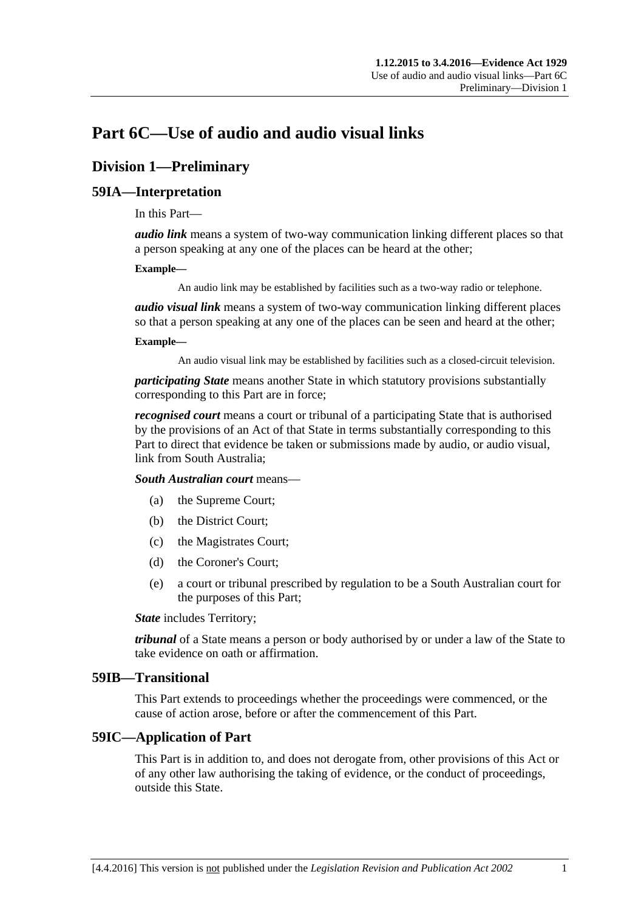# **Part 6C—Use of audio and audio visual links**

# **Division 1—Preliminary**

# **59IA—Interpretation**

In this Part—

*audio link* means a system of two-way communication linking different places so that a person speaking at any one of the places can be heard at the other;

#### **Example—**

An audio link may be established by facilities such as a two-way radio or telephone.

*audio visual link* means a system of two-way communication linking different places so that a person speaking at any one of the places can be seen and heard at the other;

#### **Example—**

An audio visual link may be established by facilities such as a closed-circuit television.

*participating State* means another State in which statutory provisions substantially corresponding to this Part are in force;

*recognised court* means a court or tribunal of a participating State that is authorised by the provisions of an Act of that State in terms substantially corresponding to this Part to direct that evidence be taken or submissions made by audio, or audio visual, link from South Australia;

*South Australian court* means—

- (a) the Supreme Court;
- (b) the District Court;
- (c) the Magistrates Court;
- (d) the Coroner's Court;
- (e) a court or tribunal prescribed by regulation to be a South Australian court for the purposes of this Part;

*State* includes Territory;

*tribunal* of a State means a person or body authorised by or under a law of the State to take evidence on oath or affirmation.

#### **59IB—Transitional**

This Part extends to proceedings whether the proceedings were commenced, or the cause of action arose, before or after the commencement of this Part.

# **59IC—Application of Part**

This Part is in addition to, and does not derogate from, other provisions of this Act or of any other law authorising the taking of evidence, or the conduct of proceedings, outside this State.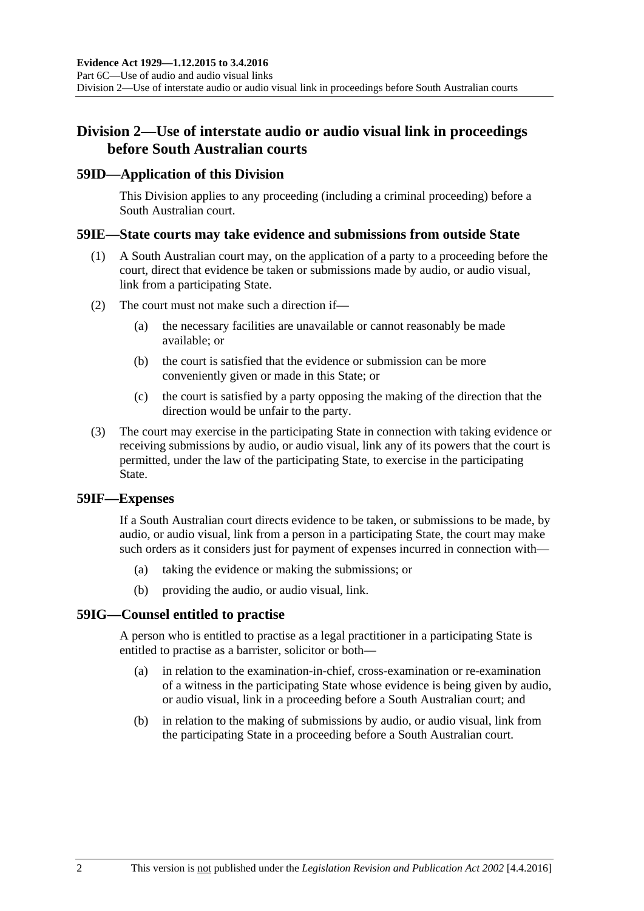# **Division 2—Use of interstate audio or audio visual link in proceedings before South Australian courts**

### **59ID—Application of this Division**

This Division applies to any proceeding (including a criminal proceeding) before a South Australian court.

### **59IE—State courts may take evidence and submissions from outside State**

- (1) A South Australian court may, on the application of a party to a proceeding before the court, direct that evidence be taken or submissions made by audio, or audio visual, link from a participating State.
- (2) The court must not make such a direction if—
	- (a) the necessary facilities are unavailable or cannot reasonably be made available; or
	- (b) the court is satisfied that the evidence or submission can be more conveniently given or made in this State; or
	- (c) the court is satisfied by a party opposing the making of the direction that the direction would be unfair to the party.
- (3) The court may exercise in the participating State in connection with taking evidence or receiving submissions by audio, or audio visual, link any of its powers that the court is permitted, under the law of the participating State, to exercise in the participating State.

#### **59IF—Expenses**

If a South Australian court directs evidence to be taken, or submissions to be made, by audio, or audio visual, link from a person in a participating State, the court may make such orders as it considers just for payment of expenses incurred in connection with—

- (a) taking the evidence or making the submissions; or
- (b) providing the audio, or audio visual, link.

# **59IG—Counsel entitled to practise**

A person who is entitled to practise as a legal practitioner in a participating State is entitled to practise as a barrister, solicitor or both—

- (a) in relation to the examination-in-chief, cross-examination or re-examination of a witness in the participating State whose evidence is being given by audio, or audio visual, link in a proceeding before a South Australian court; and
- (b) in relation to the making of submissions by audio, or audio visual, link from the participating State in a proceeding before a South Australian court.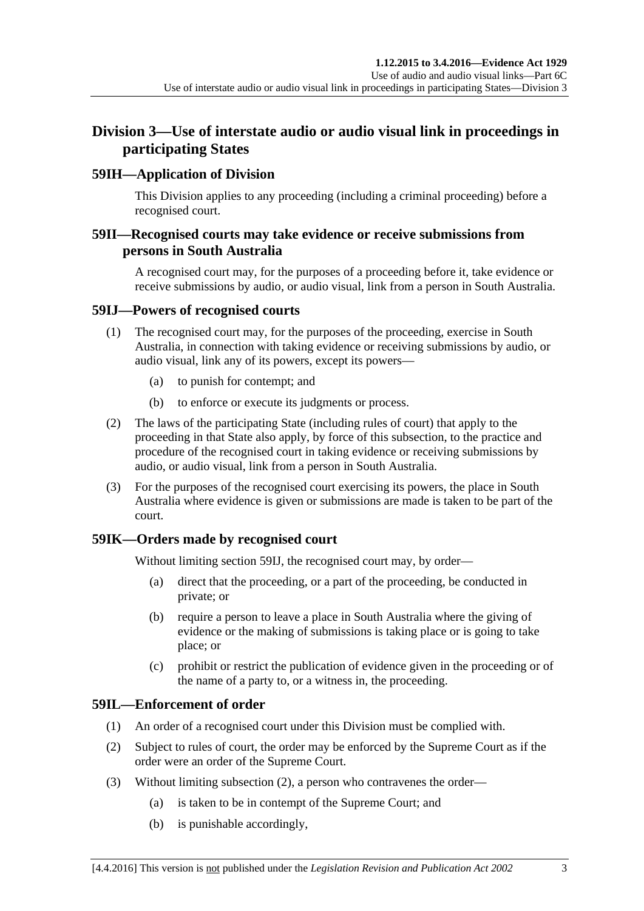# **Division 3—Use of interstate audio or audio visual link in proceedings in participating States**

# **59IH—Application of Division**

This Division applies to any proceeding (including a criminal proceeding) before a recognised court.

# **59II—Recognised courts may take evidence or receive submissions from persons in South Australia**

A recognised court may, for the purposes of a proceeding before it, take evidence or receive submissions by audio, or audio visual, link from a person in South Australia.

# <span id="page-62-0"></span>**59IJ—Powers of recognised courts**

- (1) The recognised court may, for the purposes of the proceeding, exercise in South Australia, in connection with taking evidence or receiving submissions by audio, or audio visual, link any of its powers, except its powers—
	- (a) to punish for contempt; and
	- (b) to enforce or execute its judgments or process.
- (2) The laws of the participating State (including rules of court) that apply to the proceeding in that State also apply, by force of this subsection, to the practice and procedure of the recognised court in taking evidence or receiving submissions by audio, or audio visual, link from a person in South Australia.
- (3) For the purposes of the recognised court exercising its powers, the place in South Australia where evidence is given or submissions are made is taken to be part of the court.

# **59IK—Orders made by recognised court**

Without limiting [section](#page-62-0) 59IJ, the recognised court may, by order—

- (a) direct that the proceeding, or a part of the proceeding, be conducted in private; or
- (b) require a person to leave a place in South Australia where the giving of evidence or the making of submissions is taking place or is going to take place; or
- (c) prohibit or restrict the publication of evidence given in the proceeding or of the name of a party to, or a witness in, the proceeding.

# **59IL—Enforcement of order**

- (1) An order of a recognised court under this Division must be complied with.
- <span id="page-62-1"></span>(2) Subject to rules of court, the order may be enforced by the Supreme Court as if the order were an order of the Supreme Court.
- (3) Without limiting [subsection](#page-62-1) (2), a person who contravenes the order—
	- (a) is taken to be in contempt of the Supreme Court; and
	- (b) is punishable accordingly,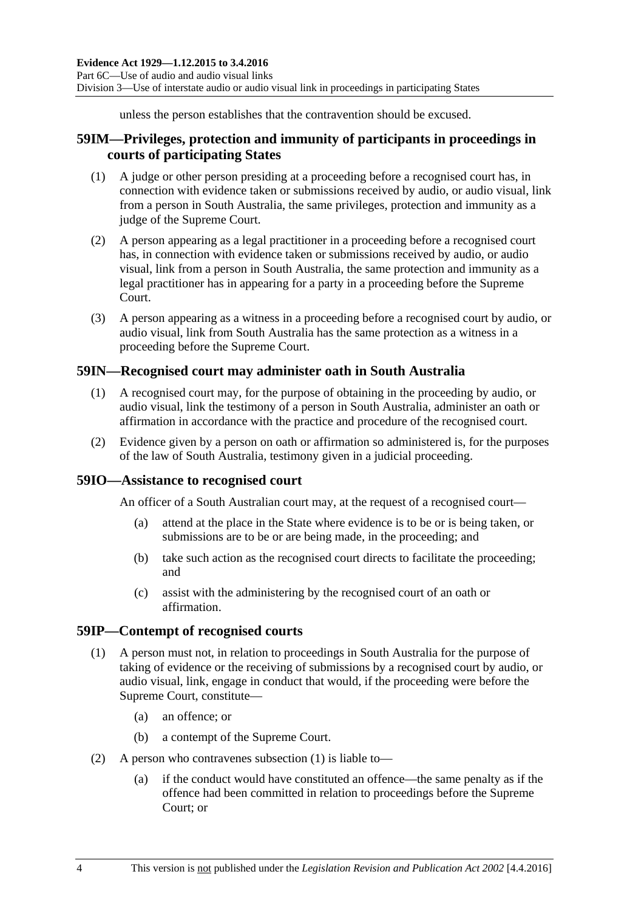unless the person establishes that the contravention should be excused.

# **59IM—Privileges, protection and immunity of participants in proceedings in courts of participating States**

- (1) A judge or other person presiding at a proceeding before a recognised court has, in connection with evidence taken or submissions received by audio, or audio visual, link from a person in South Australia, the same privileges, protection and immunity as a judge of the Supreme Court.
- (2) A person appearing as a legal practitioner in a proceeding before a recognised court has, in connection with evidence taken or submissions received by audio, or audio visual, link from a person in South Australia, the same protection and immunity as a legal practitioner has in appearing for a party in a proceeding before the Supreme Court.
- (3) A person appearing as a witness in a proceeding before a recognised court by audio, or audio visual, link from South Australia has the same protection as a witness in a proceeding before the Supreme Court.

# **59IN—Recognised court may administer oath in South Australia**

- (1) A recognised court may, for the purpose of obtaining in the proceeding by audio, or audio visual, link the testimony of a person in South Australia, administer an oath or affirmation in accordance with the practice and procedure of the recognised court.
- (2) Evidence given by a person on oath or affirmation so administered is, for the purposes of the law of South Australia, testimony given in a judicial proceeding.

# **59IO—Assistance to recognised court**

An officer of a South Australian court may, at the request of a recognised court—

- (a) attend at the place in the State where evidence is to be or is being taken, or submissions are to be or are being made, in the proceeding; and
- (b) take such action as the recognised court directs to facilitate the proceeding; and
- (c) assist with the administering by the recognised court of an oath or affirmation.

#### <span id="page-63-0"></span>**59IP—Contempt of recognised courts**

- (1) A person must not, in relation to proceedings in South Australia for the purpose of taking of evidence or the receiving of submissions by a recognised court by audio, or audio visual, link, engage in conduct that would, if the proceeding were before the Supreme Court, constitute—
	- (a) an offence; or
	- (b) a contempt of the Supreme Court.
- (2) A person who contravenes [subsection](#page-63-0) (1) is liable to—
	- (a) if the conduct would have constituted an offence—the same penalty as if the offence had been committed in relation to proceedings before the Supreme Court; or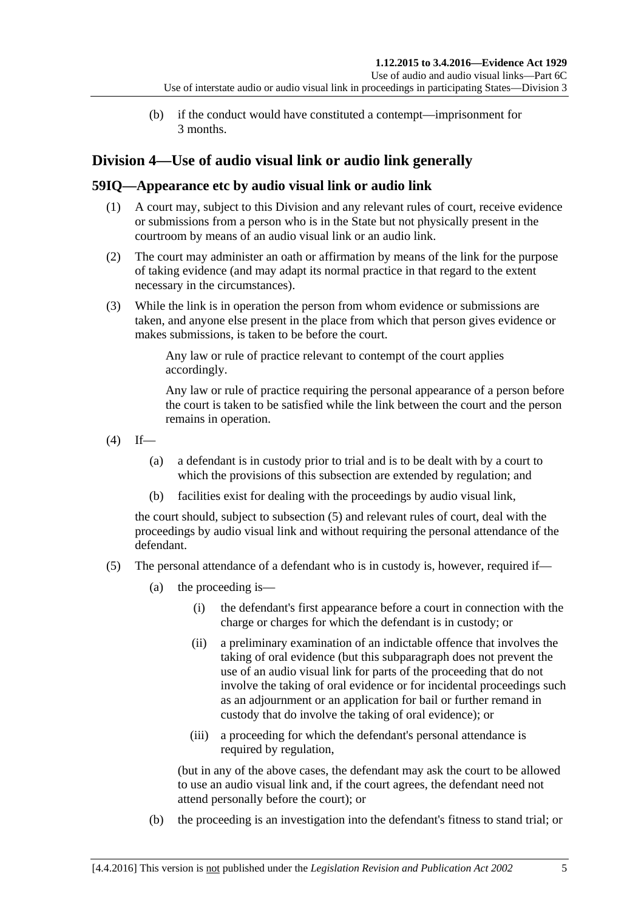(b) if the conduct would have constituted a contempt—imprisonment for 3 months.

# **Division 4—Use of audio visual link or audio link generally**

# **59IQ—Appearance etc by audio visual link or audio link**

- (1) A court may, subject to this Division and any relevant rules of court, receive evidence or submissions from a person who is in the State but not physically present in the courtroom by means of an audio visual link or an audio link.
- (2) The court may administer an oath or affirmation by means of the link for the purpose of taking evidence (and may adapt its normal practice in that regard to the extent necessary in the circumstances).
- (3) While the link is in operation the person from whom evidence or submissions are taken, and anyone else present in the place from which that person gives evidence or makes submissions, is taken to be before the court.

Any law or rule of practice relevant to contempt of the court applies accordingly.

Any law or rule of practice requiring the personal appearance of a person before the court is taken to be satisfied while the link between the court and the person remains in operation.

- <span id="page-64-1"></span> $(4)$  If—
	- (a) a defendant is in custody prior to trial and is to be dealt with by a court to which the provisions of this subsection are extended by regulation; and
	- (b) facilities exist for dealing with the proceedings by audio visual link,

the court should, subject to [subsection](#page-64-0) (5) and relevant rules of court, deal with the proceedings by audio visual link and without requiring the personal attendance of the defendant.

- <span id="page-64-0"></span>(5) The personal attendance of a defendant who is in custody is, however, required if—
	- (a) the proceeding is—
		- (i) the defendant's first appearance before a court in connection with the charge or charges for which the defendant is in custody; or
		- (ii) a preliminary examination of an indictable offence that involves the taking of oral evidence (but this subparagraph does not prevent the use of an audio visual link for parts of the proceeding that do not involve the taking of oral evidence or for incidental proceedings such as an adjournment or an application for bail or further remand in custody that do involve the taking of oral evidence); or
		- (iii) a proceeding for which the defendant's personal attendance is required by regulation,

(but in any of the above cases, the defendant may ask the court to be allowed to use an audio visual link and, if the court agrees, the defendant need not attend personally before the court); or

(b) the proceeding is an investigation into the defendant's fitness to stand trial; or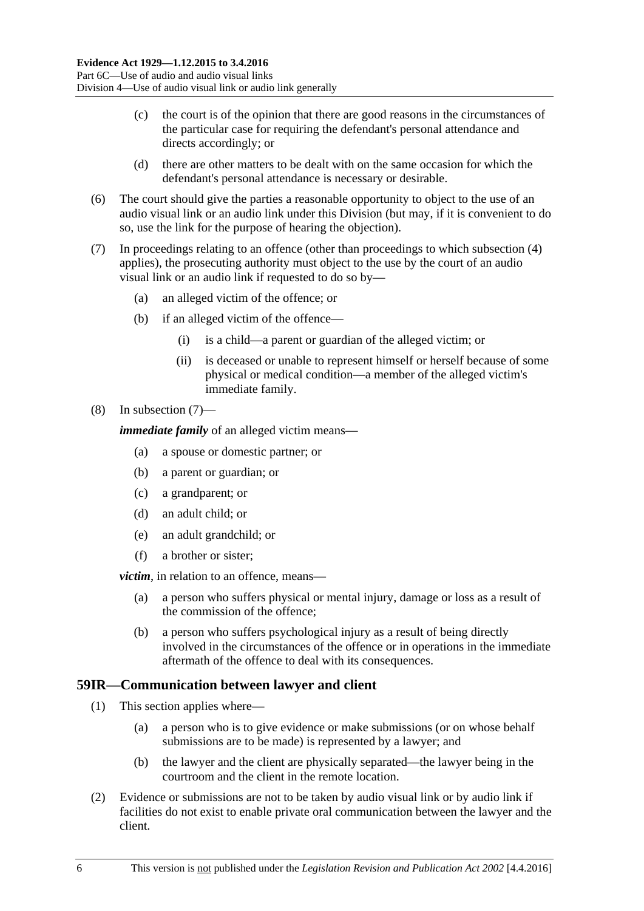- (c) the court is of the opinion that there are good reasons in the circumstances of the particular case for requiring the defendant's personal attendance and directs accordingly; or
- (d) there are other matters to be dealt with on the same occasion for which the defendant's personal attendance is necessary or desirable.
- (6) The court should give the parties a reasonable opportunity to object to the use of an audio visual link or an audio link under this Division (but may, if it is convenient to do so, use the link for the purpose of hearing the objection).
- <span id="page-65-0"></span>(7) In proceedings relating to an offence (other than proceedings to which [subsection](#page-64-1) (4) applies), the prosecuting authority must object to the use by the court of an audio visual link or an audio link if requested to do so by—
	- (a) an alleged victim of the offence; or
	- (b) if an alleged victim of the offence—
		- (i) is a child—a parent or guardian of the alleged victim; or
		- (ii) is deceased or unable to represent himself or herself because of some physical or medical condition—a member of the alleged victim's immediate family.

#### (8) In [subsection](#page-65-0) (7)—

*immediate family* of an alleged victim means—

- (a) a spouse or domestic partner; or
- (b) a parent or guardian; or
- (c) a grandparent; or
- (d) an adult child; or
- (e) an adult grandchild; or
- (f) a brother or sister;

*victim*, in relation to an offence, means—

- (a) a person who suffers physical or mental injury, damage or loss as a result of the commission of the offence;
- (b) a person who suffers psychological injury as a result of being directly involved in the circumstances of the offence or in operations in the immediate aftermath of the offence to deal with its consequences.

### **59IR—Communication between lawyer and client**

- (1) This section applies where—
	- (a) a person who is to give evidence or make submissions (or on whose behalf submissions are to be made) is represented by a lawyer; and
	- (b) the lawyer and the client are physically separated—the lawyer being in the courtroom and the client in the remote location.
- (2) Evidence or submissions are not to be taken by audio visual link or by audio link if facilities do not exist to enable private oral communication between the lawyer and the client.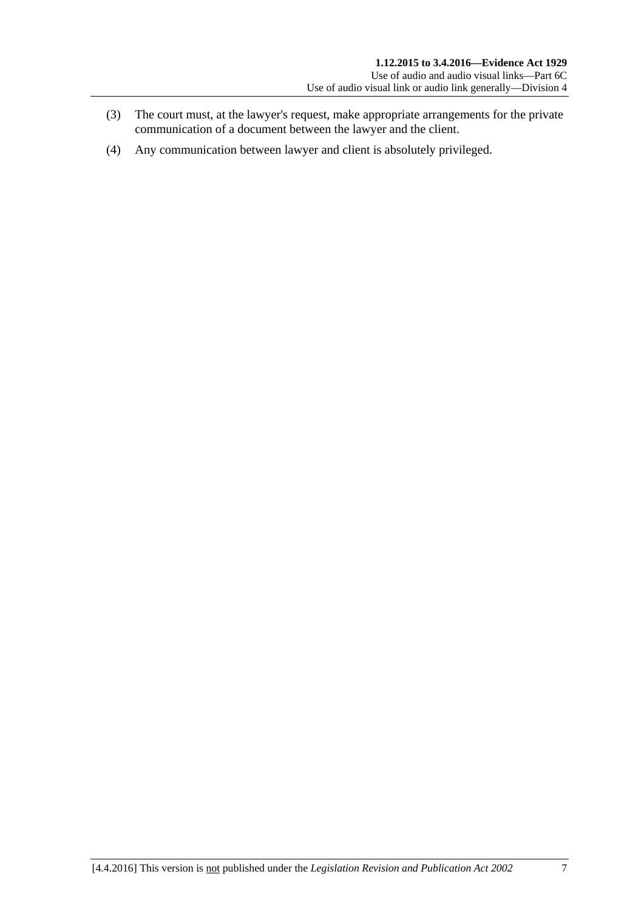- (3) The court must, at the lawyer's request, make appropriate arrangements for the private communication of a document between the lawyer and the client.
- (4) Any communication between lawyer and client is absolutely privileged.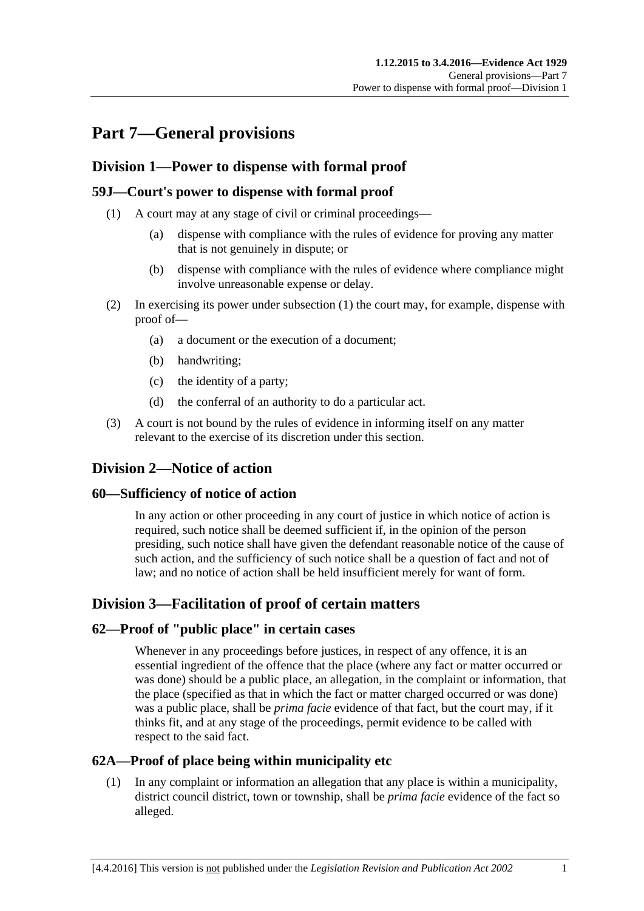# **Part 7—General provisions**

# **Division 1—Power to dispense with formal proof**

# <span id="page-68-0"></span>**59J—Court's power to dispense with formal proof**

- (1) A court may at any stage of civil or criminal proceedings—
	- (a) dispense with compliance with the rules of evidence for proving any matter that is not genuinely in dispute; or
	- (b) dispense with compliance with the rules of evidence where compliance might involve unreasonable expense or delay.
- (2) In exercising its power under [subsection](#page-68-0) (1) the court may, for example, dispense with proof of—
	- (a) a document or the execution of a document;
	- (b) handwriting;
	- (c) the identity of a party;
	- (d) the conferral of an authority to do a particular act.
- (3) A court is not bound by the rules of evidence in informing itself on any matter relevant to the exercise of its discretion under this section.

# **Division 2—Notice of action**

# **60—Sufficiency of notice of action**

In any action or other proceeding in any court of justice in which notice of action is required, such notice shall be deemed sufficient if, in the opinion of the person presiding, such notice shall have given the defendant reasonable notice of the cause of such action, and the sufficiency of such notice shall be a question of fact and not of law; and no notice of action shall be held insufficient merely for want of form.

# **Division 3—Facilitation of proof of certain matters**

# **62—Proof of "public place" in certain cases**

Whenever in any proceedings before justices, in respect of any offence, it is an essential ingredient of the offence that the place (where any fact or matter occurred or was done) should be a public place, an allegation, in the complaint or information, that the place (specified as that in which the fact or matter charged occurred or was done) was a public place, shall be *prima facie* evidence of that fact, but the court may, if it thinks fit, and at any stage of the proceedings, permit evidence to be called with respect to the said fact.

# **62A—Proof of place being within municipality etc**

(1) In any complaint or information an allegation that any place is within a municipality, district council district, town or township, shall be *prima facie* evidence of the fact so alleged.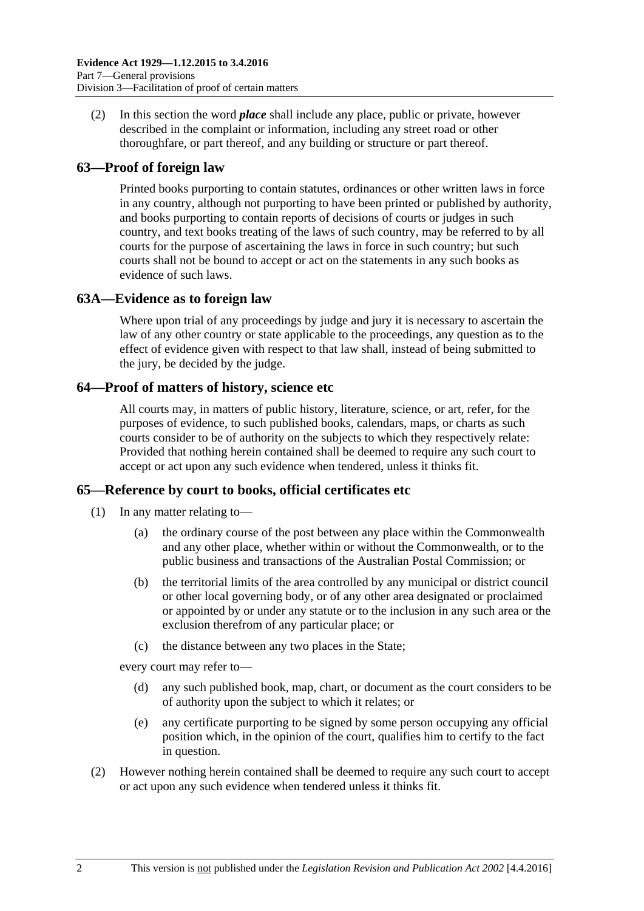(2) In this section the word *place* shall include any place, public or private, however described in the complaint or information, including any street road or other thoroughfare, or part thereof, and any building or structure or part thereof.

# **63—Proof of foreign law**

Printed books purporting to contain statutes, ordinances or other written laws in force in any country, although not purporting to have been printed or published by authority, and books purporting to contain reports of decisions of courts or judges in such country, and text books treating of the laws of such country, may be referred to by all courts for the purpose of ascertaining the laws in force in such country; but such courts shall not be bound to accept or act on the statements in any such books as evidence of such laws.

# **63A—Evidence as to foreign law**

Where upon trial of any proceedings by judge and jury it is necessary to ascertain the law of any other country or state applicable to the proceedings, any question as to the effect of evidence given with respect to that law shall, instead of being submitted to the jury, be decided by the judge.

# **64—Proof of matters of history, science etc**

All courts may, in matters of public history, literature, science, or art, refer, for the purposes of evidence, to such published books, calendars, maps, or charts as such courts consider to be of authority on the subjects to which they respectively relate: Provided that nothing herein contained shall be deemed to require any such court to accept or act upon any such evidence when tendered, unless it thinks fit.

# **65—Reference by court to books, official certificates etc**

- (1) In any matter relating to—
	- (a) the ordinary course of the post between any place within the Commonwealth and any other place, whether within or without the Commonwealth, or to the public business and transactions of the Australian Postal Commission; or
	- (b) the territorial limits of the area controlled by any municipal or district council or other local governing body, or of any other area designated or proclaimed or appointed by or under any statute or to the inclusion in any such area or the exclusion therefrom of any particular place; or
	- (c) the distance between any two places in the State;

every court may refer to—

- (d) any such published book, map, chart, or document as the court considers to be of authority upon the subject to which it relates; or
- (e) any certificate purporting to be signed by some person occupying any official position which, in the opinion of the court, qualifies him to certify to the fact in question.
- (2) However nothing herein contained shall be deemed to require any such court to accept or act upon any such evidence when tendered unless it thinks fit.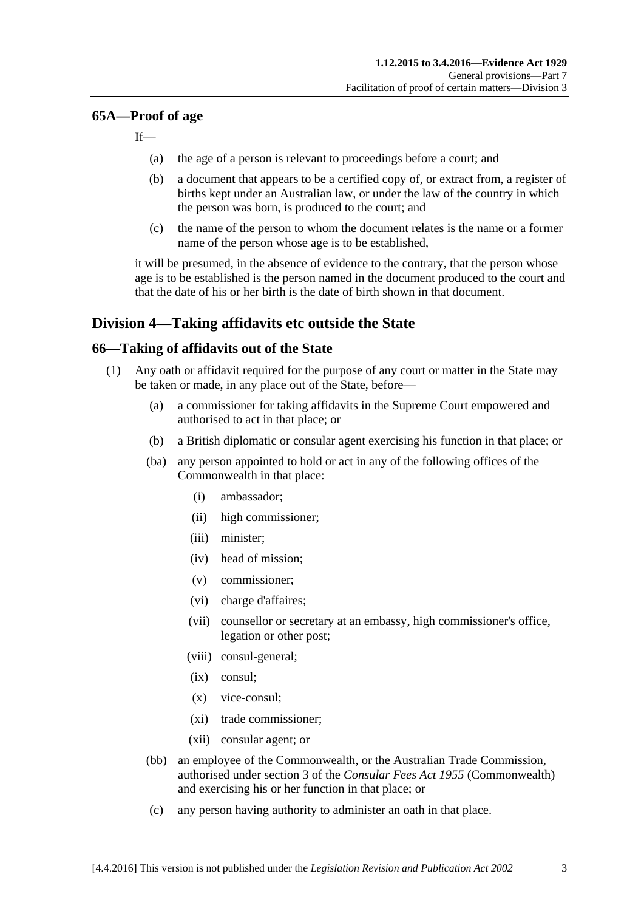### **65A—Proof of age**

If—

- (a) the age of a person is relevant to proceedings before a court; and
- (b) a document that appears to be a certified copy of, or extract from, a register of births kept under an Australian law, or under the law of the country in which the person was born, is produced to the court; and
- (c) the name of the person to whom the document relates is the name or a former name of the person whose age is to be established,

it will be presumed, in the absence of evidence to the contrary, that the person whose age is to be established is the person named in the document produced to the court and that the date of his or her birth is the date of birth shown in that document.

# **Division 4—Taking affidavits etc outside the State**

# <span id="page-70-3"></span>**66—Taking of affidavits out of the State**

- <span id="page-70-2"></span><span id="page-70-1"></span><span id="page-70-0"></span>(1) Any oath or affidavit required for the purpose of any court or matter in the State may be taken or made, in any place out of the State, before—
	- (a) a commissioner for taking affidavits in the Supreme Court empowered and authorised to act in that place; or
	- (b) a British diplomatic or consular agent exercising his function in that place; or
	- (ba) any person appointed to hold or act in any of the following offices of the Commonwealth in that place:
		- (i) ambassador;
		- (ii) high commissioner;
		- (iii) minister;
		- (iv) head of mission;
		- (v) commissioner;
		- (vi) charge d'affaires;
		- (vii) counsellor or secretary at an embassy, high commissioner's office, legation or other post;
		- (viii) consul-general;
		- (ix) consul;
		- (x) vice-consul;
		- (xi) trade commissioner;
		- (xii) consular agent; or
	- (bb) an employee of the Commonwealth, or the Australian Trade Commission, authorised under section 3 of the *Consular Fees Act 1955* (Commonwealth) and exercising his or her function in that place; or
	- (c) any person having authority to administer an oath in that place.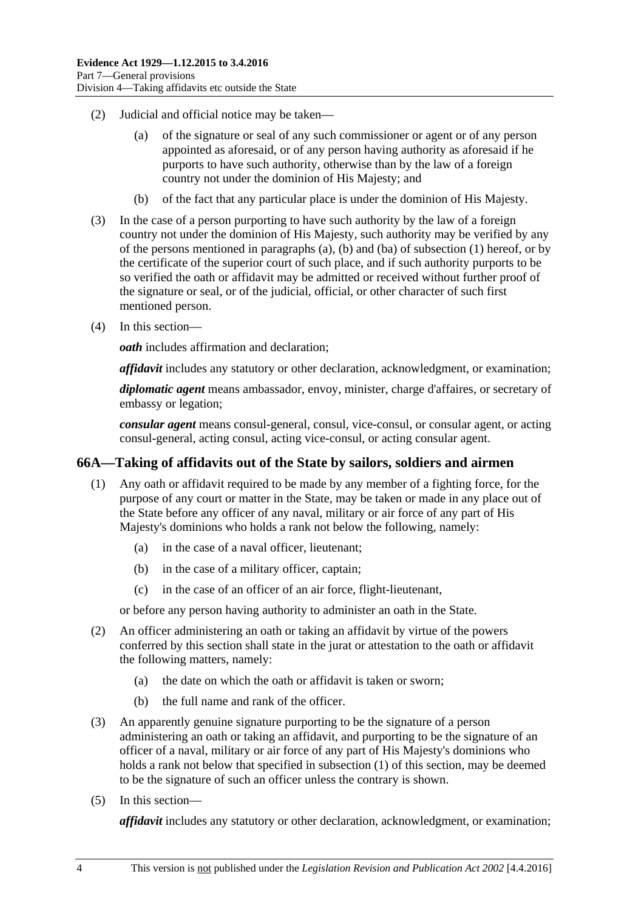- (2) Judicial and official notice may be taken—
	- (a) of the signature or seal of any such commissioner or agent or of any person appointed as aforesaid, or of any person having authority as aforesaid if he purports to have such authority, otherwise than by the law of a foreign country not under the dominion of His Majesty; and
	- (b) of the fact that any particular place is under the dominion of His Majesty.
- (3) In the case of a person purporting to have such authority by the law of a foreign country not under the dominion of His Majesty, such authority may be verified by any of the persons mentioned in [paragraphs](#page-70-0) (a), [\(b\)](#page-70-1) and [\(ba\)](#page-70-2) of [subsection](#page-70-3) (1) hereof, or by the certificate of the superior court of such place, and if such authority purports to be so verified the oath or affidavit may be admitted or received without further proof of the signature or seal, or of the judicial, official, or other character of such first mentioned person.
- (4) In this section—

*oath* includes affirmation and declaration;

*affidavit* includes any statutory or other declaration, acknowledgment, or examination;

*diplomatic agent* means ambassador, envoy, minister, charge d'affaires, or secretary of embassy or legation;

*consular agent* means consul-general, consul, vice-consul, or consular agent, or acting consul-general, acting consul, acting vice-consul, or acting consular agent.

# <span id="page-71-0"></span>**66A—Taking of affidavits out of the State by sailors, soldiers and airmen**

- (1) Any oath or affidavit required to be made by any member of a fighting force, for the purpose of any court or matter in the State, may be taken or made in any place out of the State before any officer of any naval, military or air force of any part of His Majesty's dominions who holds a rank not below the following, namely:
	- (a) in the case of a naval officer, lieutenant;
	- (b) in the case of a military officer, captain;
	- (c) in the case of an officer of an air force, flight-lieutenant,

or before any person having authority to administer an oath in the State.

- (2) An officer administering an oath or taking an affidavit by virtue of the powers conferred by this section shall state in the jurat or attestation to the oath or affidavit the following matters, namely:
	- (a) the date on which the oath or affidavit is taken or sworn;
	- (b) the full name and rank of the officer.
- (3) An apparently genuine signature purporting to be the signature of a person administering an oath or taking an affidavit, and purporting to be the signature of an officer of a naval, military or air force of any part of His Majesty's dominions who holds a rank not below that specified in [subsection](#page-71-0) (1) of this section, may be deemed to be the signature of such an officer unless the contrary is shown.
- (5) In this section—

*affidavit* includes any statutory or other declaration, acknowledgment, or examination;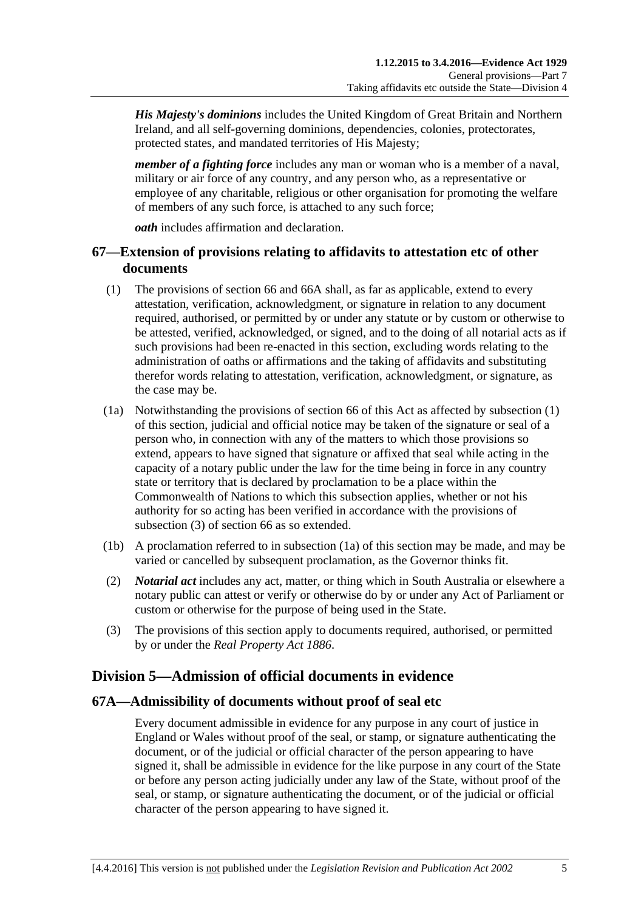*His Majesty's dominions* includes the United Kingdom of Great Britain and Northern Ireland, and all self-governing dominions, dependencies, colonies, protectorates, protected states, and mandated territories of His Majesty;

*member of a fighting force* includes any man or woman who is a member of a naval, military or air force of any country, and any person who, as a representative or employee of any charitable, religious or other organisation for promoting the welfare of members of any such force, is attached to any such force;

*oath* includes affirmation and declaration.

## **67—Extension of provisions relating to affidavits to attestation etc of other documents**

- <span id="page-72-0"></span>(1) The provisions of [section](#page-70-0) 66 and [66A](#page-71-0) shall, as far as applicable, extend to every attestation, verification, acknowledgment, or signature in relation to any document required, authorised, or permitted by or under any statute or by custom or otherwise to be attested, verified, acknowledged, or signed, and to the doing of all notarial acts as if such provisions had been re-enacted in this section, excluding words relating to the administration of oaths or affirmations and the taking of affidavits and substituting therefor words relating to attestation, verification, acknowledgment, or signature, as the case may be.
- <span id="page-72-2"></span>(1a) Notwithstanding the provisions of [section](#page-70-0) 66 of this Act as affected by [subsection](#page-72-0) (1) of this section, judicial and official notice may be taken of the signature or seal of a person who, in connection with any of the matters to which those provisions so extend, appears to have signed that signature or affixed that seal while acting in the capacity of a notary public under the law for the time being in force in any country state or territory that is declared by proclamation to be a place within the Commonwealth of Nations to which this subsection applies, whether or not his authority for so acting has been verified in accordance with the provisions of [subsection](#page-72-1) (3) of [section](#page-70-0) 66 as so extended.
- (1b) A proclamation referred to in [subsection](#page-72-2) (1a) of this section may be made, and may be varied or cancelled by subsequent proclamation, as the Governor thinks fit.
- (2) *Notarial act* includes any act, matter, or thing which in South Australia or elsewhere a notary public can attest or verify or otherwise do by or under any Act of Parliament or custom or otherwise for the purpose of being used in the State.
- <span id="page-72-1"></span>(3) The provisions of this section apply to documents required, authorised, or permitted by or under the *[Real Property Act](http://www.legislation.sa.gov.au/index.aspx?action=legref&type=act&legtitle=Real%20Property%20Act%201886) 1886*.

# **Division 5—Admission of official documents in evidence**

### **67A—Admissibility of documents without proof of seal etc**

Every document admissible in evidence for any purpose in any court of justice in England or Wales without proof of the seal, or stamp, or signature authenticating the document, or of the judicial or official character of the person appearing to have signed it, shall be admissible in evidence for the like purpose in any court of the State or before any person acting judicially under any law of the State, without proof of the seal, or stamp, or signature authenticating the document, or of the judicial or official character of the person appearing to have signed it.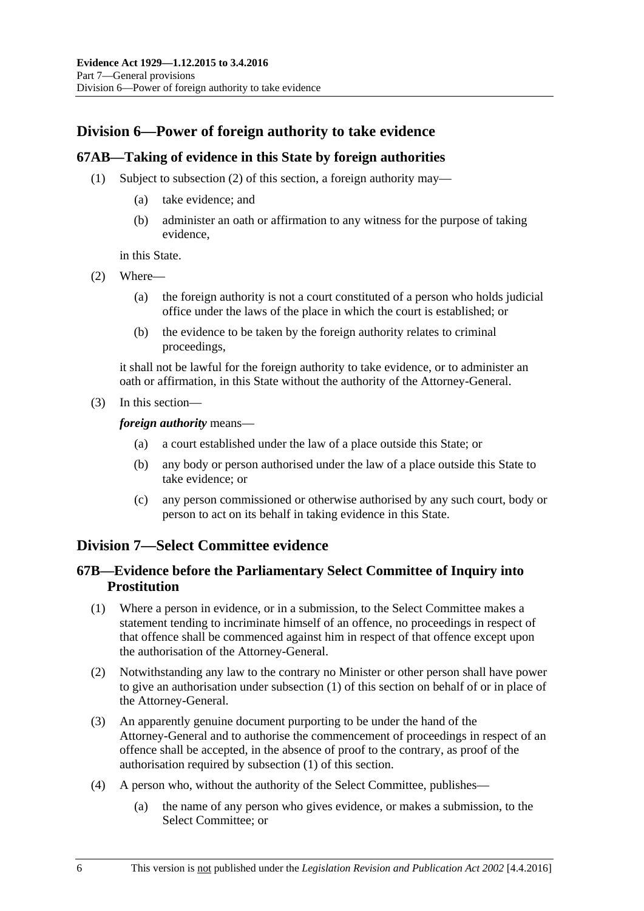## **Division 6—Power of foreign authority to take evidence**

## **67AB—Taking of evidence in this State by foreign authorities**

- (1) Subject to [subsection](#page-73-0) (2) of this section, a foreign authority may—
	- (a) take evidence; and
	- (b) administer an oath or affirmation to any witness for the purpose of taking evidence,

in this State.

- <span id="page-73-0"></span>(2) Where—
	- (a) the foreign authority is not a court constituted of a person who holds judicial office under the laws of the place in which the court is established; or
	- (b) the evidence to be taken by the foreign authority relates to criminal proceedings,

it shall not be lawful for the foreign authority to take evidence, or to administer an oath or affirmation, in this State without the authority of the Attorney-General.

(3) In this section—

*foreign authority* means—

- (a) a court established under the law of a place outside this State; or
- (b) any body or person authorised under the law of a place outside this State to take evidence; or
- (c) any person commissioned or otherwise authorised by any such court, body or person to act on its behalf in taking evidence in this State.

## **Division 7—Select Committee evidence**

## **67B—Evidence before the Parliamentary Select Committee of Inquiry into Prostitution**

- <span id="page-73-1"></span>(1) Where a person in evidence, or in a submission, to the Select Committee makes a statement tending to incriminate himself of an offence, no proceedings in respect of that offence shall be commenced against him in respect of that offence except upon the authorisation of the Attorney-General.
- (2) Notwithstanding any law to the contrary no Minister or other person shall have power to give an authorisation under [subsection](#page-73-1) (1) of this section on behalf of or in place of the Attorney-General.
- (3) An apparently genuine document purporting to be under the hand of the Attorney-General and to authorise the commencement of proceedings in respect of an offence shall be accepted, in the absence of proof to the contrary, as proof of the authorisation required by [subsection](#page-73-1) (1) of this section.
- (4) A person who, without the authority of the Select Committee, publishes—
	- (a) the name of any person who gives evidence, or makes a submission, to the Select Committee; or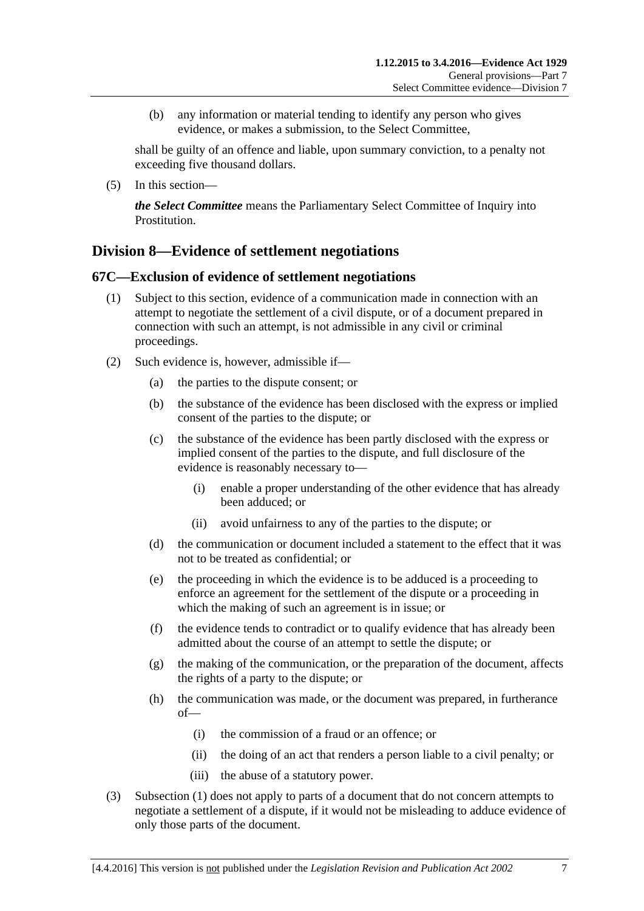(b) any information or material tending to identify any person who gives evidence, or makes a submission, to the Select Committee,

shall be guilty of an offence and liable, upon summary conviction, to a penalty not exceeding five thousand dollars.

(5) In this section—

*the Select Committee* means the Parliamentary Select Committee of Inquiry into Prostitution.

## **Division 8—Evidence of settlement negotiations**

### <span id="page-74-0"></span>**67C—Exclusion of evidence of settlement negotiations**

- (1) Subject to this section, evidence of a communication made in connection with an attempt to negotiate the settlement of a civil dispute, or of a document prepared in connection with such an attempt, is not admissible in any civil or criminal proceedings.
- (2) Such evidence is, however, admissible if—
	- (a) the parties to the dispute consent; or
	- (b) the substance of the evidence has been disclosed with the express or implied consent of the parties to the dispute; or
	- (c) the substance of the evidence has been partly disclosed with the express or implied consent of the parties to the dispute, and full disclosure of the evidence is reasonably necessary to—
		- (i) enable a proper understanding of the other evidence that has already been adduced; or
		- (ii) avoid unfairness to any of the parties to the dispute; or
	- (d) the communication or document included a statement to the effect that it was not to be treated as confidential; or
	- (e) the proceeding in which the evidence is to be adduced is a proceeding to enforce an agreement for the settlement of the dispute or a proceeding in which the making of such an agreement is in issue; or
	- (f) the evidence tends to contradict or to qualify evidence that has already been admitted about the course of an attempt to settle the dispute; or
	- (g) the making of the communication, or the preparation of the document, affects the rights of a party to the dispute; or
	- (h) the communication was made, or the document was prepared, in furtherance of—
		- (i) the commission of a fraud or an offence; or
		- (ii) the doing of an act that renders a person liable to a civil penalty; or
		- (iii) the abuse of a statutory power.
- (3) [Subsection](#page-74-0) (1) does not apply to parts of a document that do not concern attempts to negotiate a settlement of a dispute, if it would not be misleading to adduce evidence of only those parts of the document.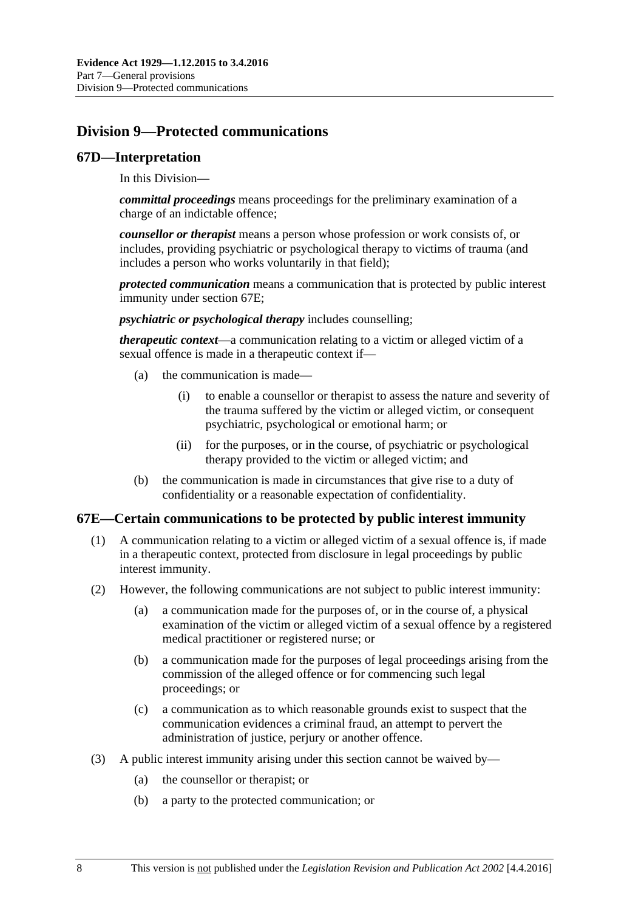## **Division 9—Protected communications**

#### **67D—Interpretation**

In this Division—

*committal proceedings* means proceedings for the preliminary examination of a charge of an indictable offence;

*counsellor or therapist* means a person whose profession or work consists of, or includes, providing psychiatric or psychological therapy to victims of trauma (and includes a person who works voluntarily in that field);

*protected communication* means a communication that is protected by public interest immunity under [section](#page-75-0) 67E;

*psychiatric or psychological therapy* includes counselling;

*therapeutic context*—a communication relating to a victim or alleged victim of a sexual offence is made in a therapeutic context if—

- (a) the communication is made—
	- (i) to enable a counsellor or therapist to assess the nature and severity of the trauma suffered by the victim or alleged victim, or consequent psychiatric, psychological or emotional harm; or
	- (ii) for the purposes, or in the course, of psychiatric or psychological therapy provided to the victim or alleged victim; and
- (b) the communication is made in circumstances that give rise to a duty of confidentiality or a reasonable expectation of confidentiality.

### <span id="page-75-0"></span>**67E—Certain communications to be protected by public interest immunity**

- (1) A communication relating to a victim or alleged victim of a sexual offence is, if made in a therapeutic context, protected from disclosure in legal proceedings by public interest immunity.
- (2) However, the following communications are not subject to public interest immunity:
	- (a) a communication made for the purposes of, or in the course of, a physical examination of the victim or alleged victim of a sexual offence by a registered medical practitioner or registered nurse; or
	- (b) a communication made for the purposes of legal proceedings arising from the commission of the alleged offence or for commencing such legal proceedings; or
	- (c) a communication as to which reasonable grounds exist to suspect that the communication evidences a criminal fraud, an attempt to pervert the administration of justice, perjury or another offence.
- (3) A public interest immunity arising under this section cannot be waived by—
	- (a) the counsellor or therapist; or
	- (b) a party to the protected communication; or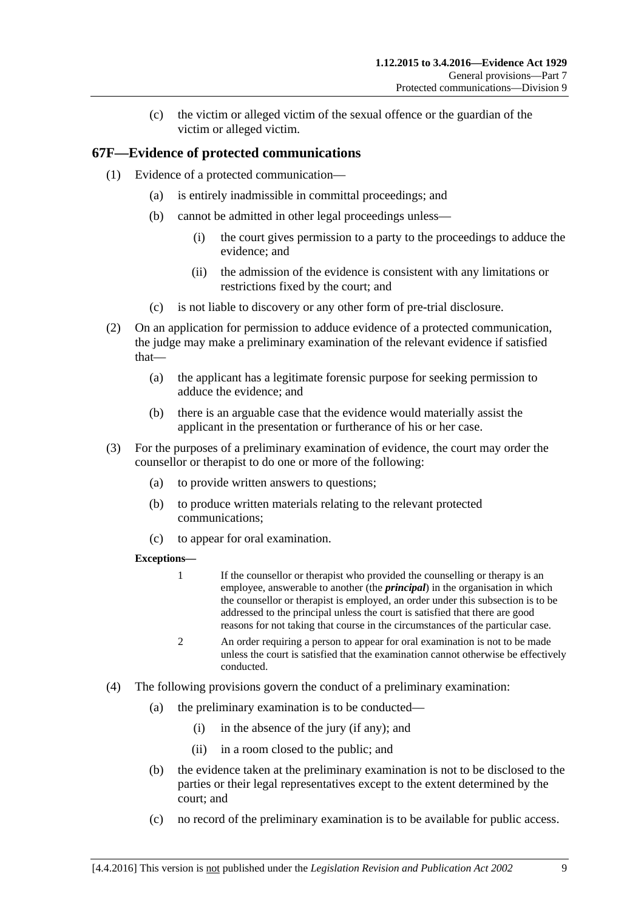(c) the victim or alleged victim of the sexual offence or the guardian of the victim or alleged victim.

## **67F—Evidence of protected communications**

- (1) Evidence of a protected communication—
	- (a) is entirely inadmissible in committal proceedings; and
	- (b) cannot be admitted in other legal proceedings unless—
		- (i) the court gives permission to a party to the proceedings to adduce the evidence; and
		- (ii) the admission of the evidence is consistent with any limitations or restrictions fixed by the court; and
	- (c) is not liable to discovery or any other form of pre-trial disclosure.
- (2) On an application for permission to adduce evidence of a protected communication, the judge may make a preliminary examination of the relevant evidence if satisfied that—
	- (a) the applicant has a legitimate forensic purpose for seeking permission to adduce the evidence; and
	- (b) there is an arguable case that the evidence would materially assist the applicant in the presentation or furtherance of his or her case.
- (3) For the purposes of a preliminary examination of evidence, the court may order the counsellor or therapist to do one or more of the following:
	- (a) to provide written answers to questions;
	- (b) to produce written materials relating to the relevant protected communications;
	- (c) to appear for oral examination.

#### **Exceptions—**

- 1 If the counsellor or therapist who provided the counselling or therapy is an employee, answerable to another (the *principal*) in the organisation in which the counsellor or therapist is employed, an order under this subsection is to be addressed to the principal unless the court is satisfied that there are good reasons for not taking that course in the circumstances of the particular case.
- 2 An order requiring a person to appear for oral examination is not to be made unless the court is satisfied that the examination cannot otherwise be effectively conducted.
- (4) The following provisions govern the conduct of a preliminary examination:
	- (a) the preliminary examination is to be conducted—
		- (i) in the absence of the jury (if any); and
		- (ii) in a room closed to the public; and
	- (b) the evidence taken at the preliminary examination is not to be disclosed to the parties or their legal representatives except to the extent determined by the court; and
	- (c) no record of the preliminary examination is to be available for public access.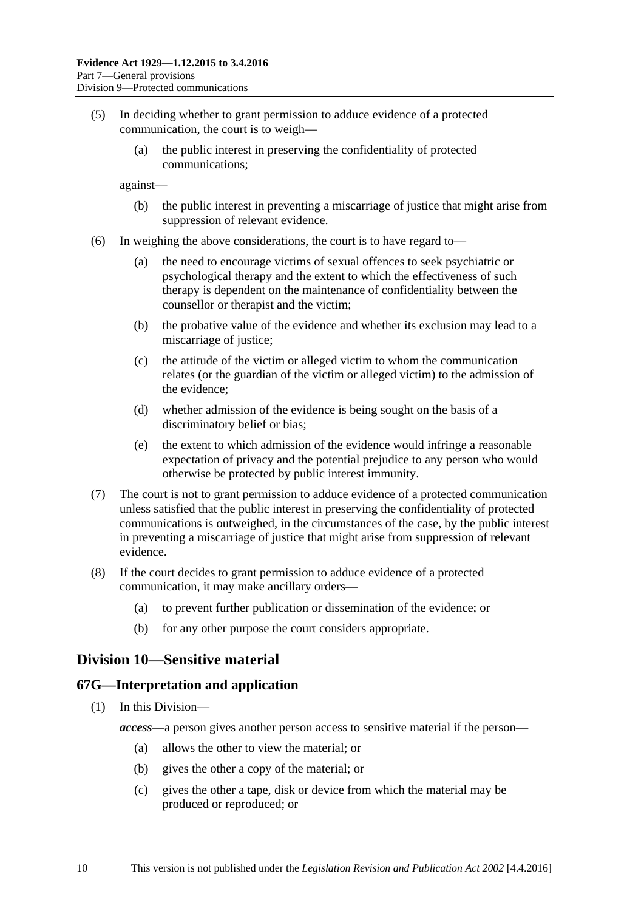- (5) In deciding whether to grant permission to adduce evidence of a protected communication, the court is to weigh—
	- (a) the public interest in preserving the confidentiality of protected communications;

against—

- (b) the public interest in preventing a miscarriage of justice that might arise from suppression of relevant evidence.
- (6) In weighing the above considerations, the court is to have regard to—
	- (a) the need to encourage victims of sexual offences to seek psychiatric or psychological therapy and the extent to which the effectiveness of such therapy is dependent on the maintenance of confidentiality between the counsellor or therapist and the victim;
	- (b) the probative value of the evidence and whether its exclusion may lead to a miscarriage of justice;
	- (c) the attitude of the victim or alleged victim to whom the communication relates (or the guardian of the victim or alleged victim) to the admission of the evidence;
	- (d) whether admission of the evidence is being sought on the basis of a discriminatory belief or bias;
	- (e) the extent to which admission of the evidence would infringe a reasonable expectation of privacy and the potential prejudice to any person who would otherwise be protected by public interest immunity.
- (7) The court is not to grant permission to adduce evidence of a protected communication unless satisfied that the public interest in preserving the confidentiality of protected communications is outweighed, in the circumstances of the case, by the public interest in preventing a miscarriage of justice that might arise from suppression of relevant evidence.
- (8) If the court decides to grant permission to adduce evidence of a protected communication, it may make ancillary orders—
	- (a) to prevent further publication or dissemination of the evidence; or
	- (b) for any other purpose the court considers appropriate.

## **Division 10—Sensitive material**

#### **67G—Interpretation and application**

- (1) In this Division
	- *access*—a person gives another person access to sensitive material if the person—
		- (a) allows the other to view the material; or
		- (b) gives the other a copy of the material; or
		- (c) gives the other a tape, disk or device from which the material may be produced or reproduced; or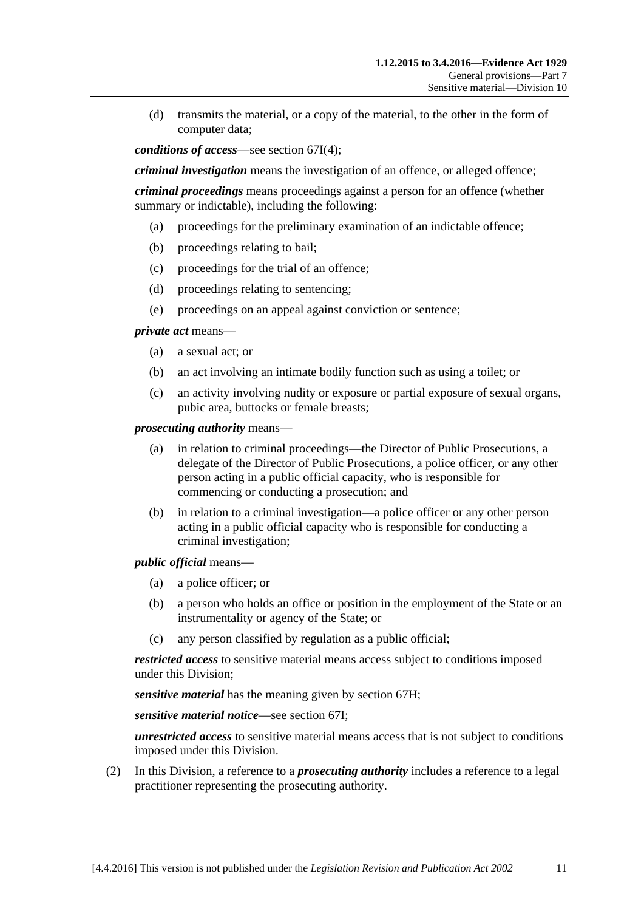(d) transmits the material, or a copy of the material, to the other in the form of computer data;

*conditions of access*—see [section](#page-79-0) 67I(4);

*criminal investigation* means the investigation of an offence, or alleged offence;

*criminal proceedings* means proceedings against a person for an offence (whether summary or indictable), including the following:

- (a) proceedings for the preliminary examination of an indictable offence;
- (b) proceedings relating to bail;
- (c) proceedings for the trial of an offence;
- (d) proceedings relating to sentencing;
- (e) proceedings on an appeal against conviction or sentence;

*private act* means—

- (a) a sexual act; or
- (b) an act involving an intimate bodily function such as using a toilet; or
- (c) an activity involving nudity or exposure or partial exposure of sexual organs, pubic area, buttocks or female breasts;

*prosecuting authority* means—

- (a) in relation to criminal proceedings—the Director of Public Prosecutions, a delegate of the Director of Public Prosecutions, a police officer, or any other person acting in a public official capacity, who is responsible for commencing or conducting a prosecution; and
- (b) in relation to a criminal investigation—a police officer or any other person acting in a public official capacity who is responsible for conducting a criminal investigation;

*public official* means—

- (a) a police officer; or
- (b) a person who holds an office or position in the employment of the State or an instrumentality or agency of the State; or
- (c) any person classified by regulation as a public official;

*restricted access* to sensitive material means access subject to conditions imposed under this Division;

*sensitive material* has the meaning given by [section](#page-79-1) 67H;

*sensitive material notice*—see [section](#page-79-2) 67I;

*unrestricted access* to sensitive material means access that is not subject to conditions imposed under this Division.

(2) In this Division, a reference to a *prosecuting authority* includes a reference to a legal practitioner representing the prosecuting authority.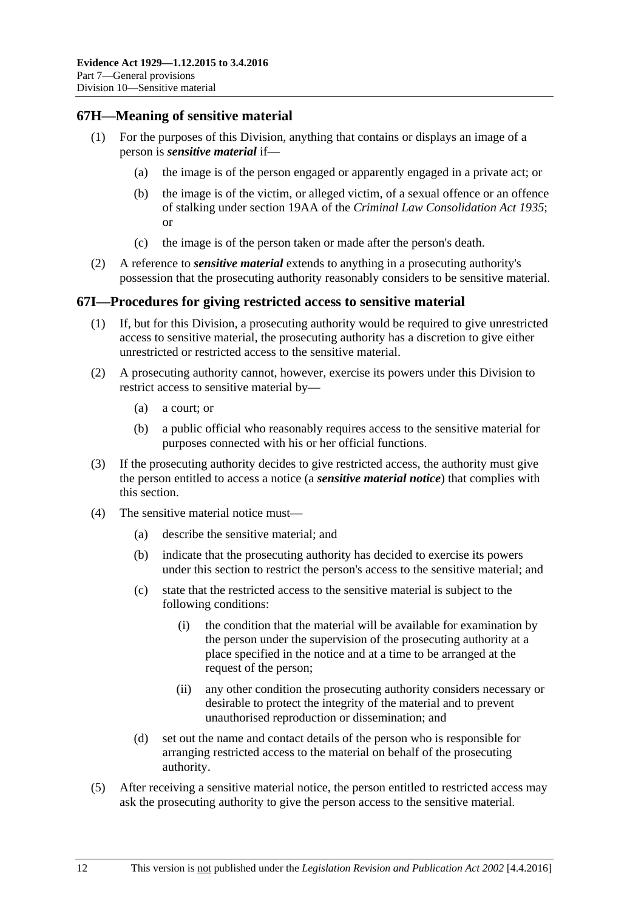#### <span id="page-79-1"></span>**67H—Meaning of sensitive material**

- (1) For the purposes of this Division, anything that contains or displays an image of a person is *sensitive material* if—
	- (a) the image is of the person engaged or apparently engaged in a private act; or
	- (b) the image is of the victim, or alleged victim, of a sexual offence or an offence of stalking under section 19AA of the *[Criminal Law Consolidation Act](http://www.legislation.sa.gov.au/index.aspx?action=legref&type=act&legtitle=Criminal%20Law%20Consolidation%20Act%201935) 1935*; or
	- (c) the image is of the person taken or made after the person's death.
- (2) A reference to *sensitive material* extends to anything in a prosecuting authority's possession that the prosecuting authority reasonably considers to be sensitive material.

#### <span id="page-79-2"></span>**67I—Procedures for giving restricted access to sensitive material**

- (1) If, but for this Division, a prosecuting authority would be required to give unrestricted access to sensitive material, the prosecuting authority has a discretion to give either unrestricted or restricted access to the sensitive material.
- (2) A prosecuting authority cannot, however, exercise its powers under this Division to restrict access to sensitive material by—
	- (a) a court; or
	- (b) a public official who reasonably requires access to the sensitive material for purposes connected with his or her official functions.
- (3) If the prosecuting authority decides to give restricted access, the authority must give the person entitled to access a notice (a *sensitive material notice*) that complies with this section.
- <span id="page-79-0"></span>(4) The sensitive material notice must—
	- (a) describe the sensitive material; and
	- (b) indicate that the prosecuting authority has decided to exercise its powers under this section to restrict the person's access to the sensitive material; and
	- (c) state that the restricted access to the sensitive material is subject to the following conditions:
		- (i) the condition that the material will be available for examination by the person under the supervision of the prosecuting authority at a place specified in the notice and at a time to be arranged at the request of the person;
		- (ii) any other condition the prosecuting authority considers necessary or desirable to protect the integrity of the material and to prevent unauthorised reproduction or dissemination; and
	- (d) set out the name and contact details of the person who is responsible for arranging restricted access to the material on behalf of the prosecuting authority.
- (5) After receiving a sensitive material notice, the person entitled to restricted access may ask the prosecuting authority to give the person access to the sensitive material.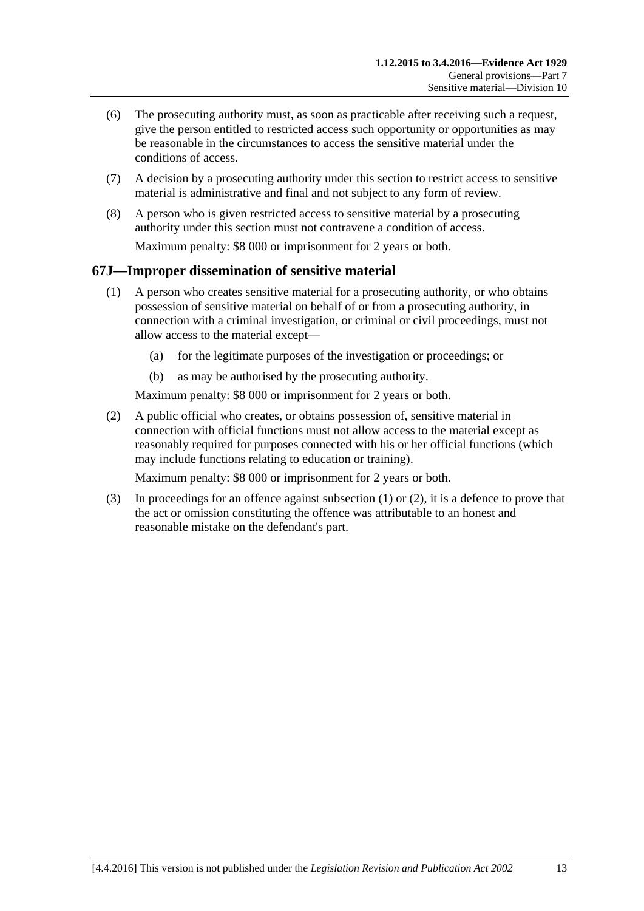- (6) The prosecuting authority must, as soon as practicable after receiving such a request, give the person entitled to restricted access such opportunity or opportunities as may be reasonable in the circumstances to access the sensitive material under the conditions of access.
- (7) A decision by a prosecuting authority under this section to restrict access to sensitive material is administrative and final and not subject to any form of review.
- (8) A person who is given restricted access to sensitive material by a prosecuting authority under this section must not contravene a condition of access. Maximum penalty: \$8 000 or imprisonment for 2 years or both.

## <span id="page-80-0"></span>**67J—Improper dissemination of sensitive material**

- (1) A person who creates sensitive material for a prosecuting authority, or who obtains possession of sensitive material on behalf of or from a prosecuting authority, in connection with a criminal investigation, or criminal or civil proceedings, must not allow access to the material except—
	- (a) for the legitimate purposes of the investigation or proceedings; or
	- (b) as may be authorised by the prosecuting authority.

Maximum penalty: \$8 000 or imprisonment for 2 years or both.

<span id="page-80-1"></span>(2) A public official who creates, or obtains possession of, sensitive material in connection with official functions must not allow access to the material except as reasonably required for purposes connected with his or her official functions (which may include functions relating to education or training).

Maximum penalty: \$8 000 or imprisonment for 2 years or both.

(3) In proceedings for an offence against [subsection](#page-80-0) (1) or [\(2\),](#page-80-1) it is a defence to prove that the act or omission constituting the offence was attributable to an honest and reasonable mistake on the defendant's part.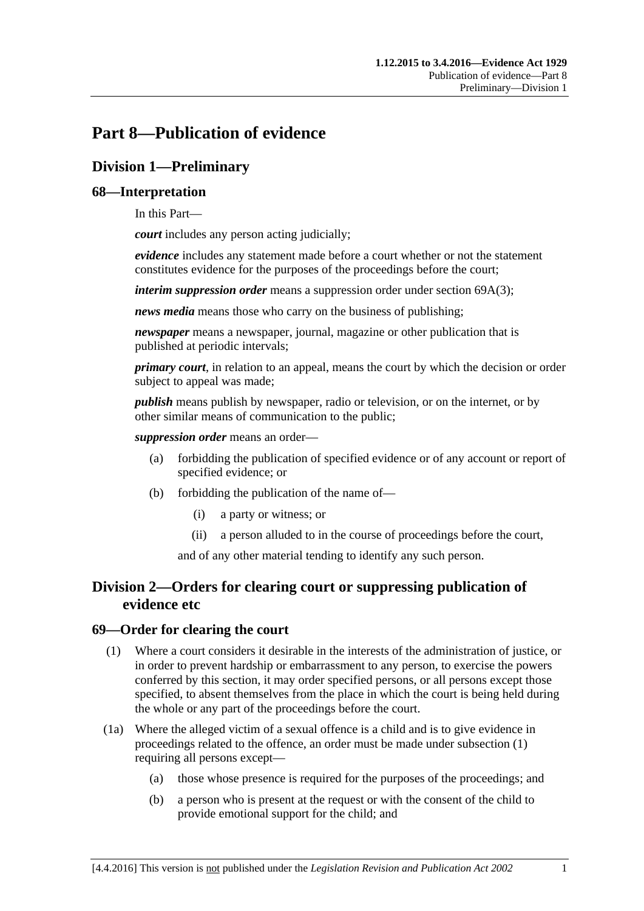# **Part 8—Publication of evidence**

## **Division 1—Preliminary**

## **68—Interpretation**

In this Part—

*court* includes any person acting judicially;

*evidence* includes any statement made before a court whether or not the statement constitutes evidence for the purposes of the proceedings before the court;

*interim suppression order* means a suppression order under section [69A\(3\);](#page-83-0)

*news media* means those who carry on the business of publishing;

*newspaper* means a newspaper, journal, magazine or other publication that is published at periodic intervals;

*primary court*, in relation to an appeal, means the court by which the decision or order subject to appeal was made;

*publish* means publish by newspaper, radio or television, or on the internet, or by other similar means of communication to the public;

*suppression order* means an order—

- (a) forbidding the publication of specified evidence or of any account or report of specified evidence; or
- (b) forbidding the publication of the name of—
	- (i) a party or witness; or
	- (ii) a person alluded to in the course of proceedings before the court,

and of any other material tending to identify any such person.

## **Division 2—Orders for clearing court or suppressing publication of evidence etc**

### <span id="page-82-0"></span>**69—Order for clearing the court**

- (1) Where a court considers it desirable in the interests of the administration of justice, or in order to prevent hardship or embarrassment to any person, to exercise the powers conferred by this section, it may order specified persons, or all persons except those specified, to absent themselves from the place in which the court is being held during the whole or any part of the proceedings before the court.
- (1a) Where the alleged victim of a sexual offence is a child and is to give evidence in proceedings related to the offence, an order must be made under [subsection](#page-82-0) (1) requiring all persons except—
	- (a) those whose presence is required for the purposes of the proceedings; and
	- (b) a person who is present at the request or with the consent of the child to provide emotional support for the child; and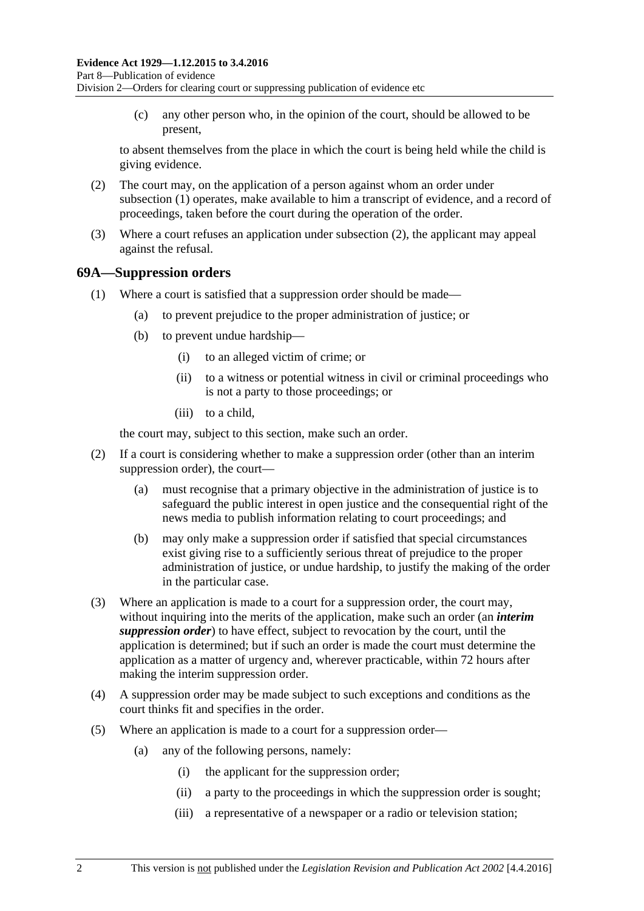(c) any other person who, in the opinion of the court, should be allowed to be present,

to absent themselves from the place in which the court is being held while the child is giving evidence.

- <span id="page-83-1"></span>(2) The court may, on the application of a person against whom an order under [subsection](#page-82-0) (1) operates, make available to him a transcript of evidence, and a record of proceedings, taken before the court during the operation of the order.
- (3) Where a court refuses an application under [subsection](#page-83-1) (2), the applicant may appeal against the refusal.

#### **69A—Suppression orders**

- (1) Where a court is satisfied that a suppression order should be made—
	- (a) to prevent prejudice to the proper administration of justice; or
	- (b) to prevent undue hardship—
		- (i) to an alleged victim of crime; or
		- (ii) to a witness or potential witness in civil or criminal proceedings who is not a party to those proceedings; or
		- (iii) to a child,

the court may, subject to this section, make such an order.

- (2) If a court is considering whether to make a suppression order (other than an interim suppression order), the court—
	- (a) must recognise that a primary objective in the administration of justice is to safeguard the public interest in open justice and the consequential right of the news media to publish information relating to court proceedings; and
	- (b) may only make a suppression order if satisfied that special circumstances exist giving rise to a sufficiently serious threat of prejudice to the proper administration of justice, or undue hardship, to justify the making of the order in the particular case.
- <span id="page-83-0"></span>(3) Where an application is made to a court for a suppression order, the court may, without inquiring into the merits of the application, make such an order (an *interim suppression order*) to have effect, subject to revocation by the court, until the application is determined; but if such an order is made the court must determine the application as a matter of urgency and, wherever practicable, within 72 hours after making the interim suppression order.
- (4) A suppression order may be made subject to such exceptions and conditions as the court thinks fit and specifies in the order.
- <span id="page-83-3"></span><span id="page-83-2"></span>(5) Where an application is made to a court for a suppression order—
	- (a) any of the following persons, namely:
		- (i) the applicant for the suppression order;
		- (ii) a party to the proceedings in which the suppression order is sought;
		- (iii) a representative of a newspaper or a radio or television station;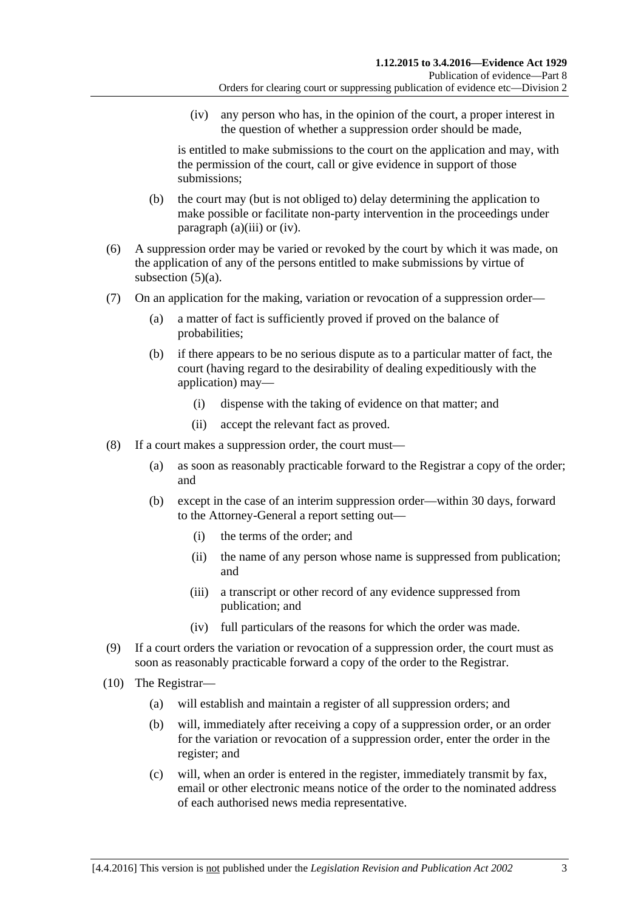(iv) any person who has, in the opinion of the court, a proper interest in the question of whether a suppression order should be made,

<span id="page-84-0"></span>is entitled to make submissions to the court on the application and may, with the permission of the court, call or give evidence in support of those submissions;

- (b) the court may (but is not obliged to) delay determining the application to make possible or facilitate non-party intervention in the proceedings under [paragraph](#page-83-2) (a)(iii) or [\(iv\).](#page-84-0)
- (6) A suppression order may be varied or revoked by the court by which it was made, on the application of any of the persons entitled to make submissions by virtue of [subsection](#page-83-3)  $(5)(a)$ .
- (7) On an application for the making, variation or revocation of a suppression order—
	- (a) a matter of fact is sufficiently proved if proved on the balance of probabilities;
	- (b) if there appears to be no serious dispute as to a particular matter of fact, the court (having regard to the desirability of dealing expeditiously with the application) may—
		- (i) dispense with the taking of evidence on that matter; and
		- (ii) accept the relevant fact as proved.
- (8) If a court makes a suppression order, the court must—
	- (a) as soon as reasonably practicable forward to the Registrar a copy of the order; and
	- (b) except in the case of an interim suppression order—within 30 days, forward to the Attorney-General a report setting out—
		- (i) the terms of the order; and
		- (ii) the name of any person whose name is suppressed from publication; and
		- (iii) a transcript or other record of any evidence suppressed from publication; and
		- (iv) full particulars of the reasons for which the order was made.
- (9) If a court orders the variation or revocation of a suppression order, the court must as soon as reasonably practicable forward a copy of the order to the Registrar.
- <span id="page-84-1"></span>(10) The Registrar—
	- (a) will establish and maintain a register of all suppression orders; and
	- (b) will, immediately after receiving a copy of a suppression order, or an order for the variation or revocation of a suppression order, enter the order in the register; and
	- (c) will, when an order is entered in the register, immediately transmit by fax, email or other electronic means notice of the order to the nominated address of each authorised news media representative.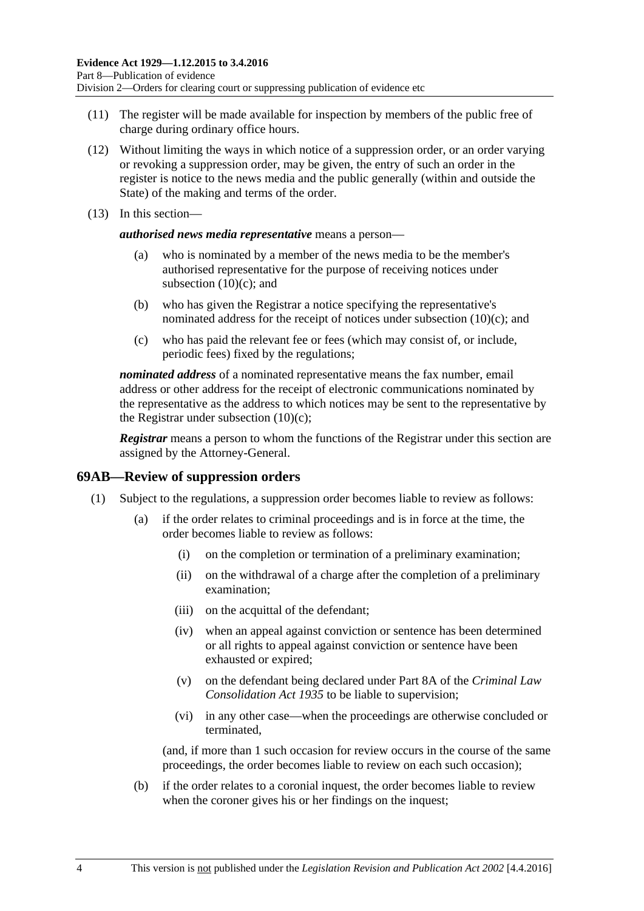- (11) The register will be made available for inspection by members of the public free of charge during ordinary office hours.
- (12) Without limiting the ways in which notice of a suppression order, or an order varying or revoking a suppression order, may be given, the entry of such an order in the register is notice to the news media and the public generally (within and outside the State) of the making and terms of the order.
- (13) In this section—

*authorised news media representative* means a person—

- (a) who is nominated by a member of the news media to be the member's authorised representative for the purpose of receiving notices under [subsection](#page-84-1)  $(10)(c)$ ; and
- (b) who has given the Registrar a notice specifying the representative's nominated address for the receipt of notices under [subsection](#page-84-1) (10)(c); and
- (c) who has paid the relevant fee or fees (which may consist of, or include, periodic fees) fixed by the regulations;

*nominated address* of a nominated representative means the fax number, email address or other address for the receipt of electronic communications nominated by the representative as the address to which notices may be sent to the representative by the Registrar under [subsection](#page-84-1)  $(10)(c)$ ;

*Registrar* means a person to whom the functions of the Registrar under this section are assigned by the Attorney-General.

#### **69AB—Review of suppression orders**

- (1) Subject to the regulations, a suppression order becomes liable to review as follows:
	- (a) if the order relates to criminal proceedings and is in force at the time, the order becomes liable to review as follows:
		- (i) on the completion or termination of a preliminary examination;
		- (ii) on the withdrawal of a charge after the completion of a preliminary examination;
		- (iii) on the acquittal of the defendant;
		- (iv) when an appeal against conviction or sentence has been determined or all rights to appeal against conviction or sentence have been exhausted or expired;
		- (v) on the defendant being declared under Part 8A of the *[Criminal Law](http://www.legislation.sa.gov.au/index.aspx?action=legref&type=act&legtitle=Criminal%20Law%20Consolidation%20Act%201935)  [Consolidation Act](http://www.legislation.sa.gov.au/index.aspx?action=legref&type=act&legtitle=Criminal%20Law%20Consolidation%20Act%201935) 1935* to be liable to supervision;
		- (vi) in any other case—when the proceedings are otherwise concluded or terminated,

(and, if more than 1 such occasion for review occurs in the course of the same proceedings, the order becomes liable to review on each such occasion);

(b) if the order relates to a coronial inquest, the order becomes liable to review when the coroner gives his or her findings on the inquest;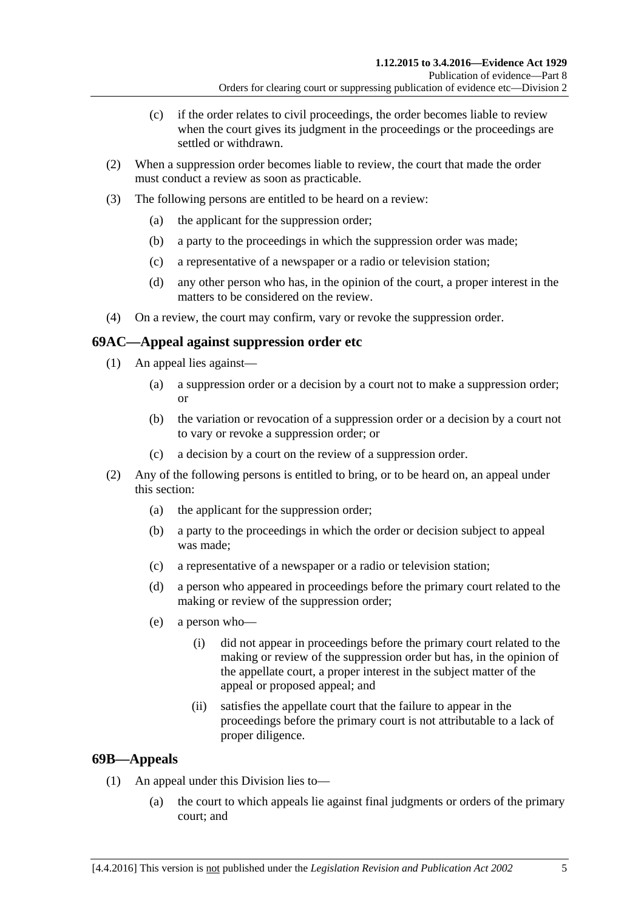- (c) if the order relates to civil proceedings, the order becomes liable to review when the court gives its judgment in the proceedings or the proceedings are settled or withdrawn.
- (2) When a suppression order becomes liable to review, the court that made the order must conduct a review as soon as practicable.
- (3) The following persons are entitled to be heard on a review:
	- (a) the applicant for the suppression order;
	- (b) a party to the proceedings in which the suppression order was made;
	- (c) a representative of a newspaper or a radio or television station;
	- (d) any other person who has, in the opinion of the court, a proper interest in the matters to be considered on the review.
- (4) On a review, the court may confirm, vary or revoke the suppression order.

## **69AC—Appeal against suppression order etc**

- (1) An appeal lies against—
	- (a) a suppression order or a decision by a court not to make a suppression order; or
	- (b) the variation or revocation of a suppression order or a decision by a court not to vary or revoke a suppression order; or
	- (c) a decision by a court on the review of a suppression order.
- (2) Any of the following persons is entitled to bring, or to be heard on, an appeal under this section:
	- (a) the applicant for the suppression order;
	- (b) a party to the proceedings in which the order or decision subject to appeal was made;
	- (c) a representative of a newspaper or a radio or television station;
	- (d) a person who appeared in proceedings before the primary court related to the making or review of the suppression order;
	- (e) a person who—
		- (i) did not appear in proceedings before the primary court related to the making or review of the suppression order but has, in the opinion of the appellate court, a proper interest in the subject matter of the appeal or proposed appeal; and
		- (ii) satisfies the appellate court that the failure to appear in the proceedings before the primary court is not attributable to a lack of proper diligence.

## **69B—Appeals**

- (1) An appeal under this Division lies to—
	- (a) the court to which appeals lie against final judgments or orders of the primary court; and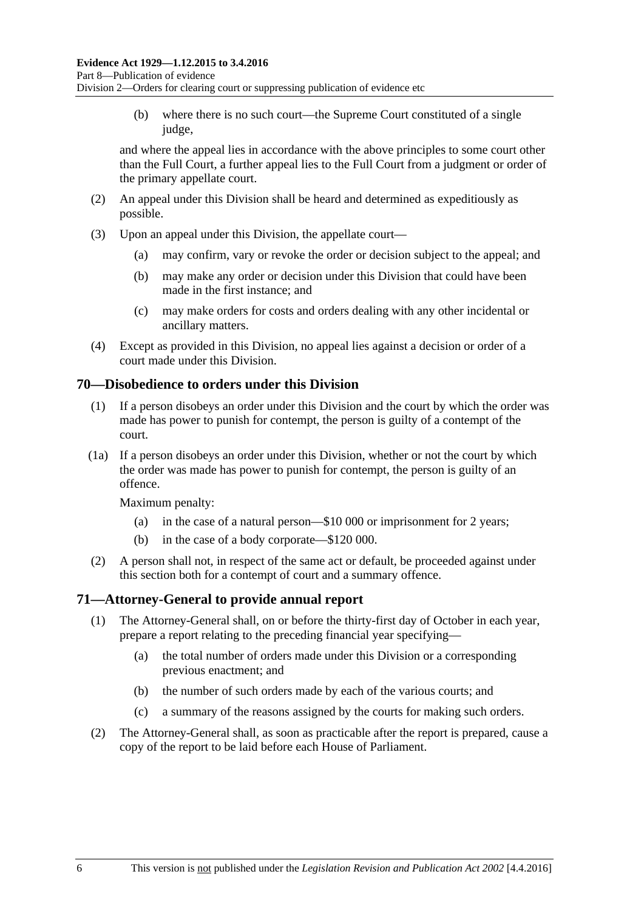(b) where there is no such court—the Supreme Court constituted of a single judge,

and where the appeal lies in accordance with the above principles to some court other than the Full Court, a further appeal lies to the Full Court from a judgment or order of the primary appellate court.

- (2) An appeal under this Division shall be heard and determined as expeditiously as possible.
- (3) Upon an appeal under this Division, the appellate court—
	- (a) may confirm, vary or revoke the order or decision subject to the appeal; and
	- (b) may make any order or decision under this Division that could have been made in the first instance; and
	- (c) may make orders for costs and orders dealing with any other incidental or ancillary matters.
- (4) Except as provided in this Division, no appeal lies against a decision or order of a court made under this Division.

#### **70—Disobedience to orders under this Division**

- (1) If a person disobeys an order under this Division and the court by which the order was made has power to punish for contempt, the person is guilty of a contempt of the court.
- (1a) If a person disobeys an order under this Division, whether or not the court by which the order was made has power to punish for contempt, the person is guilty of an offence.

Maximum penalty:

- (a) in the case of a natural person—\$10 000 or imprisonment for 2 years;
- (b) in the case of a body corporate—\$120 000.
- (2) A person shall not, in respect of the same act or default, be proceeded against under this section both for a contempt of court and a summary offence.

### **71—Attorney-General to provide annual report**

- (1) The Attorney-General shall, on or before the thirty-first day of October in each year, prepare a report relating to the preceding financial year specifying—
	- (a) the total number of orders made under this Division or a corresponding previous enactment; and
	- (b) the number of such orders made by each of the various courts; and
	- (c) a summary of the reasons assigned by the courts for making such orders.
- (2) The Attorney-General shall, as soon as practicable after the report is prepared, cause a copy of the report to be laid before each House of Parliament.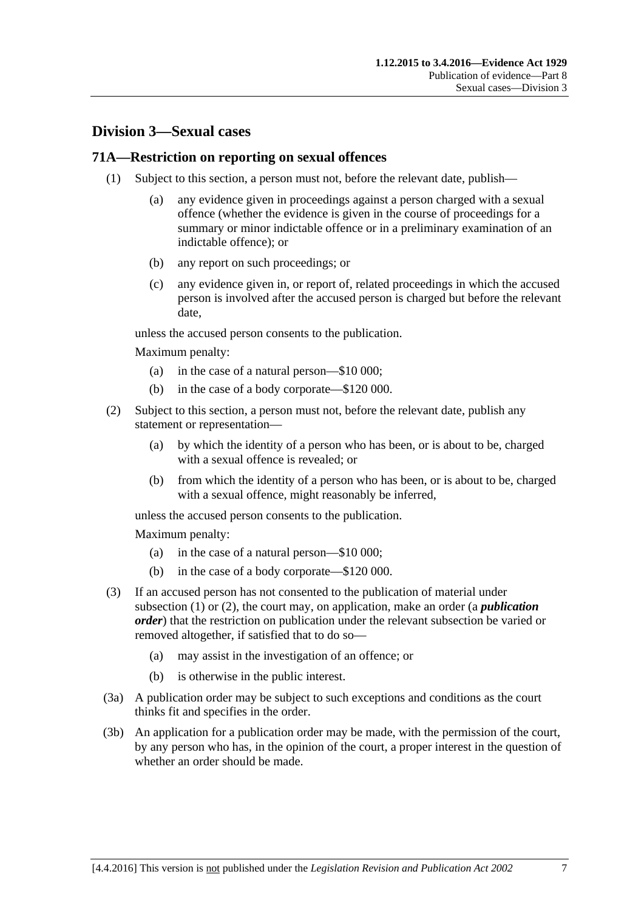## **Division 3—Sexual cases**

#### <span id="page-88-0"></span>**71A—Restriction on reporting on sexual offences**

- (1) Subject to this section, a person must not, before the relevant date, publish—
	- (a) any evidence given in proceedings against a person charged with a sexual offence (whether the evidence is given in the course of proceedings for a summary or minor indictable offence or in a preliminary examination of an indictable offence); or
	- (b) any report on such proceedings; or
	- (c) any evidence given in, or report of, related proceedings in which the accused person is involved after the accused person is charged but before the relevant date,

unless the accused person consents to the publication.

Maximum penalty:

- (a) in the case of a natural person—\$10 000;
- (b) in the case of a body corporate—\$120 000.
- <span id="page-88-1"></span>(2) Subject to this section, a person must not, before the relevant date, publish any statement or representation—
	- (a) by which the identity of a person who has been, or is about to be, charged with a sexual offence is revealed; or
	- (b) from which the identity of a person who has been, or is about to be, charged with a sexual offence, might reasonably be inferred,

unless the accused person consents to the publication.

Maximum penalty:

- (a) in the case of a natural person—\$10 000;
- (b) in the case of a body corporate—\$120 000.
- (3) If an accused person has not consented to the publication of material under [subsection](#page-88-0) (1) or [\(2\),](#page-88-1) the court may, on application, make an order (a *publication order*) that the restriction on publication under the relevant subsection be varied or removed altogether, if satisfied that to do so—
	- (a) may assist in the investigation of an offence; or
	- (b) is otherwise in the public interest.
- (3a) A publication order may be subject to such exceptions and conditions as the court thinks fit and specifies in the order.
- (3b) An application for a publication order may be made, with the permission of the court, by any person who has, in the opinion of the court, a proper interest in the question of whether an order should be made.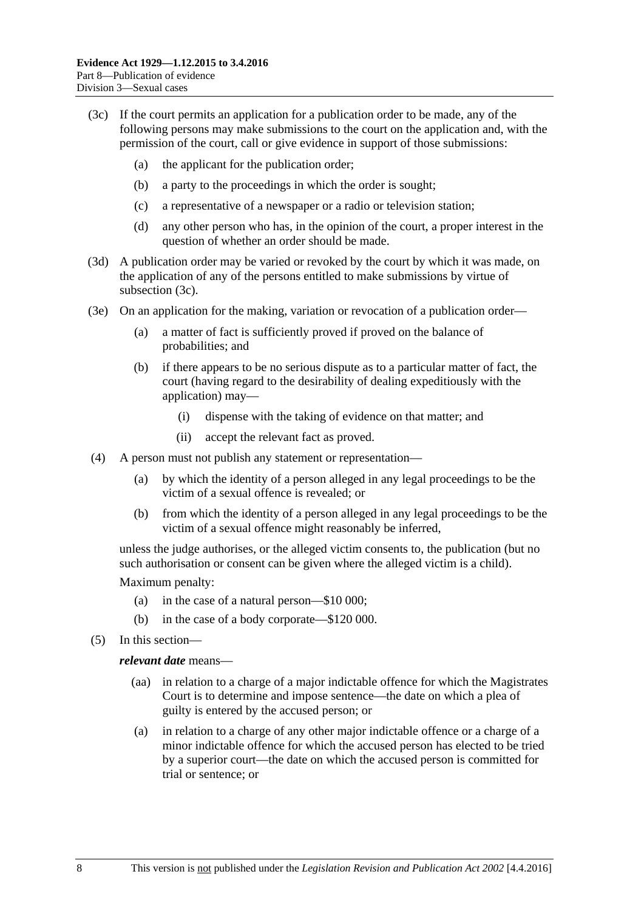- <span id="page-89-0"></span>(3c) If the court permits an application for a publication order to be made, any of the following persons may make submissions to the court on the application and, with the permission of the court, call or give evidence in support of those submissions:
	- (a) the applicant for the publication order;
	- (b) a party to the proceedings in which the order is sought;
	- (c) a representative of a newspaper or a radio or television station;
	- (d) any other person who has, in the opinion of the court, a proper interest in the question of whether an order should be made.
- (3d) A publication order may be varied or revoked by the court by which it was made, on the application of any of the persons entitled to make submissions by virtue of [subsection](#page-89-0) (3c).
- (3e) On an application for the making, variation or revocation of a publication order—
	- (a) a matter of fact is sufficiently proved if proved on the balance of probabilities; and
	- (b) if there appears to be no serious dispute as to a particular matter of fact, the court (having regard to the desirability of dealing expeditiously with the application) may—
		- (i) dispense with the taking of evidence on that matter; and
		- (ii) accept the relevant fact as proved.
- (4) A person must not publish any statement or representation—
	- (a) by which the identity of a person alleged in any legal proceedings to be the victim of a sexual offence is revealed; or
	- (b) from which the identity of a person alleged in any legal proceedings to be the victim of a sexual offence might reasonably be inferred,

unless the judge authorises, or the alleged victim consents to, the publication (but no such authorisation or consent can be given where the alleged victim is a child).

Maximum penalty:

- (a) in the case of a natural person—\$10 000;
- (b) in the case of a body corporate—\$120 000.
- (5) In this section—

#### *relevant date* means—

- (aa) in relation to a charge of a major indictable offence for which the Magistrates Court is to determine and impose sentence—the date on which a plea of guilty is entered by the accused person; or
- (a) in relation to a charge of any other major indictable offence or a charge of a minor indictable offence for which the accused person has elected to be tried by a superior court—the date on which the accused person is committed for trial or sentence; or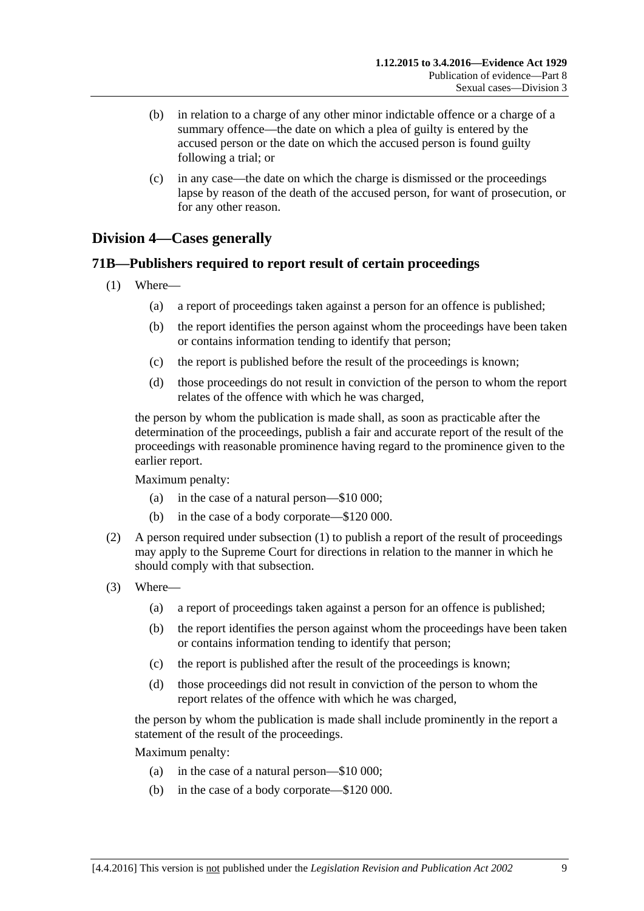- (b) in relation to a charge of any other minor indictable offence or a charge of a summary offence—the date on which a plea of guilty is entered by the accused person or the date on which the accused person is found guilty following a trial; or
- (c) in any case—the date on which the charge is dismissed or the proceedings lapse by reason of the death of the accused person, for want of prosecution, or for any other reason.

## **Division 4—Cases generally**

### <span id="page-90-0"></span>**71B—Publishers required to report result of certain proceedings**

- (1) Where—
	- (a) a report of proceedings taken against a person for an offence is published;
	- (b) the report identifies the person against whom the proceedings have been taken or contains information tending to identify that person;
	- (c) the report is published before the result of the proceedings is known;
	- (d) those proceedings do not result in conviction of the person to whom the report relates of the offence with which he was charged,

the person by whom the publication is made shall, as soon as practicable after the determination of the proceedings, publish a fair and accurate report of the result of the proceedings with reasonable prominence having regard to the prominence given to the earlier report.

Maximum penalty:

- (a) in the case of a natural person—\$10 000;
- (b) in the case of a body corporate—\$120 000.
- (2) A person required under [subsection](#page-90-0) (1) to publish a report of the result of proceedings may apply to the Supreme Court for directions in relation to the manner in which he should comply with that subsection.
- (3) Where—
	- (a) a report of proceedings taken against a person for an offence is published;
	- (b) the report identifies the person against whom the proceedings have been taken or contains information tending to identify that person;
	- (c) the report is published after the result of the proceedings is known;
	- (d) those proceedings did not result in conviction of the person to whom the report relates of the offence with which he was charged,

the person by whom the publication is made shall include prominently in the report a statement of the result of the proceedings.

Maximum penalty:

- (a) in the case of a natural person—\$10 000;
- (b) in the case of a body corporate—\$120 000.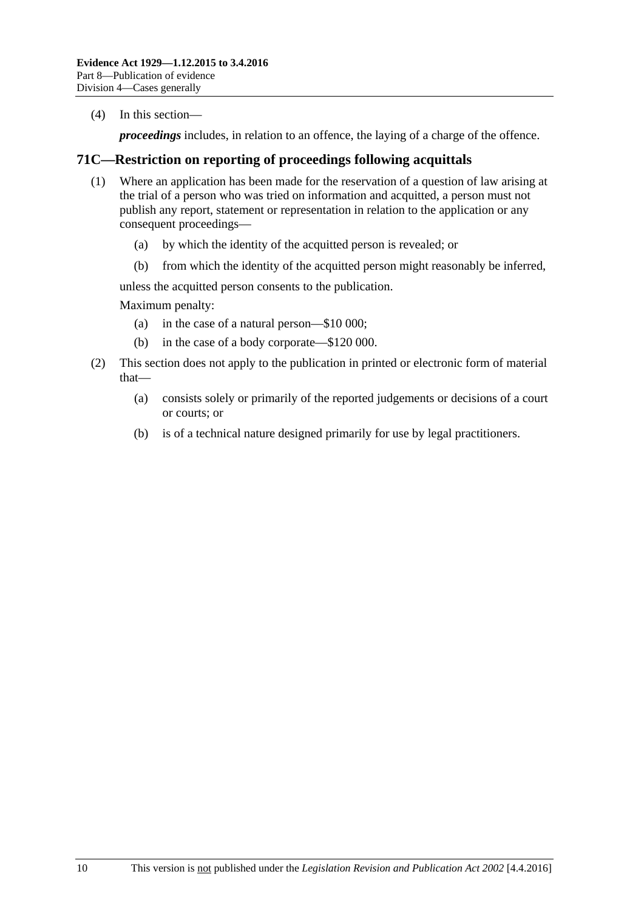(4) In this section—

*proceedings* includes, in relation to an offence, the laying of a charge of the offence.

### **71C—Restriction on reporting of proceedings following acquittals**

- (1) Where an application has been made for the reservation of a question of law arising at the trial of a person who was tried on information and acquitted, a person must not publish any report, statement or representation in relation to the application or any consequent proceedings—
	- (a) by which the identity of the acquitted person is revealed; or
	- (b) from which the identity of the acquitted person might reasonably be inferred,

unless the acquitted person consents to the publication.

Maximum penalty:

- (a) in the case of a natural person—\$10 000;
- (b) in the case of a body corporate—\$120 000.
- (2) This section does not apply to the publication in printed or electronic form of material that—
	- (a) consists solely or primarily of the reported judgements or decisions of a court or courts; or
	- (b) is of a technical nature designed primarily for use by legal practitioners.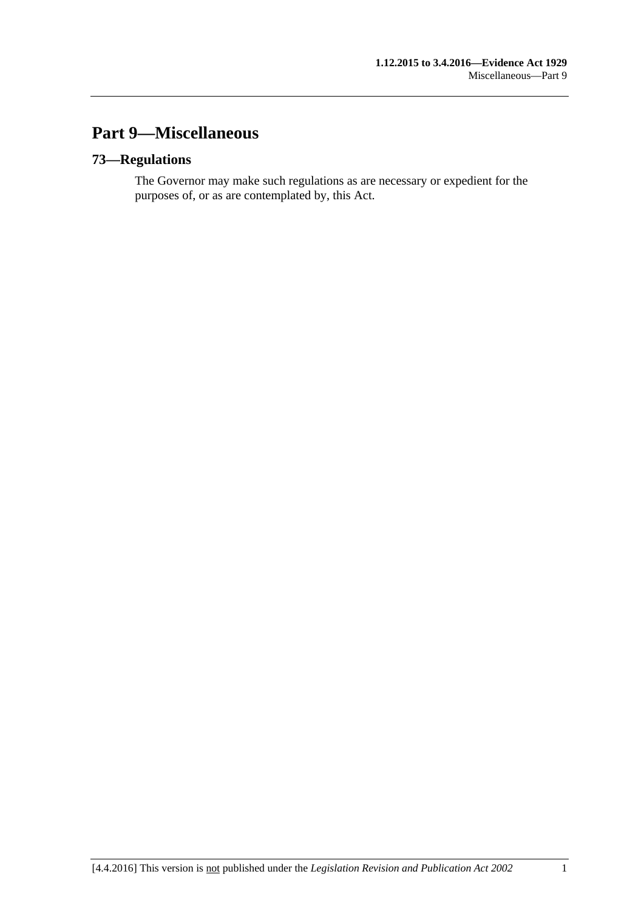# **Part 9—Miscellaneous**

## **73—Regulations**

The Governor may make such regulations as are necessary or expedient for the purposes of, or as are contemplated by, this Act.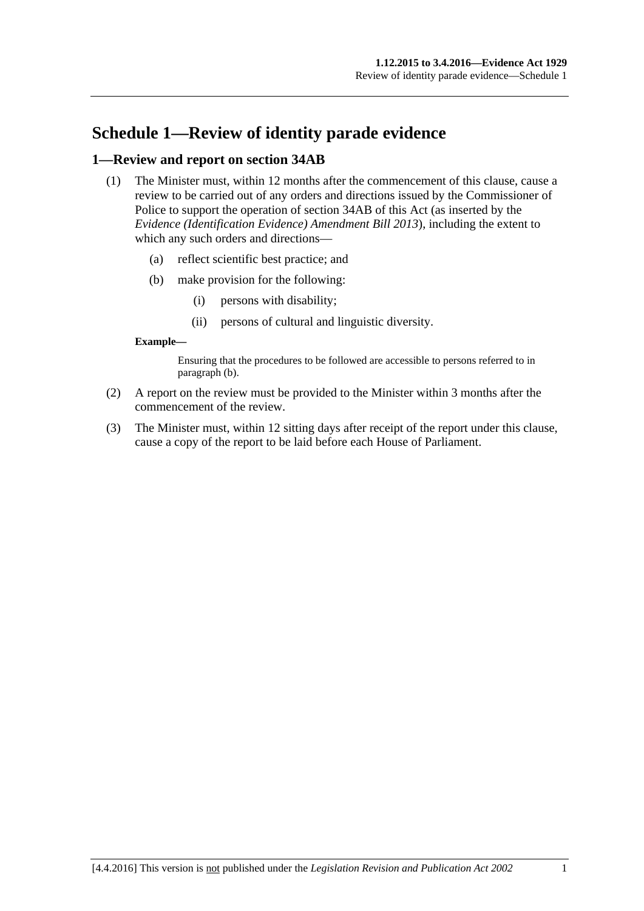# **Schedule 1—Review of identity parade evidence**

#### **1—Review and report on section 34AB**

- (1) The Minister must, within 12 months after the commencement of this clause, cause a review to be carried out of any orders and directions issued by the Commissioner of Police to support the operation of section 34AB of this Act (as inserted by the *[Evidence \(Identification Evidence\) Amendment Bill](http://www.legislation.sa.gov.au/index.aspx?action=legref&type=act&legtitle=Evidence%20(Identification%20Evidence)%20Amendment%20Bill%202013) 2013*), including the extent to which any such orders and directions—
	- (a) reflect scientific best practice; and
	- (b) make provision for the following:
		- (i) persons with disability;
		- (ii) persons of cultural and linguistic diversity.

#### <span id="page-94-0"></span>**Example—**

Ensuring that the procedures to be followed are accessible to persons referred to in [paragraph](#page-94-0) (b).

- (2) A report on the review must be provided to the Minister within 3 months after the commencement of the review.
- (3) The Minister must, within 12 sitting days after receipt of the report under this clause, cause a copy of the report to be laid before each House of Parliament.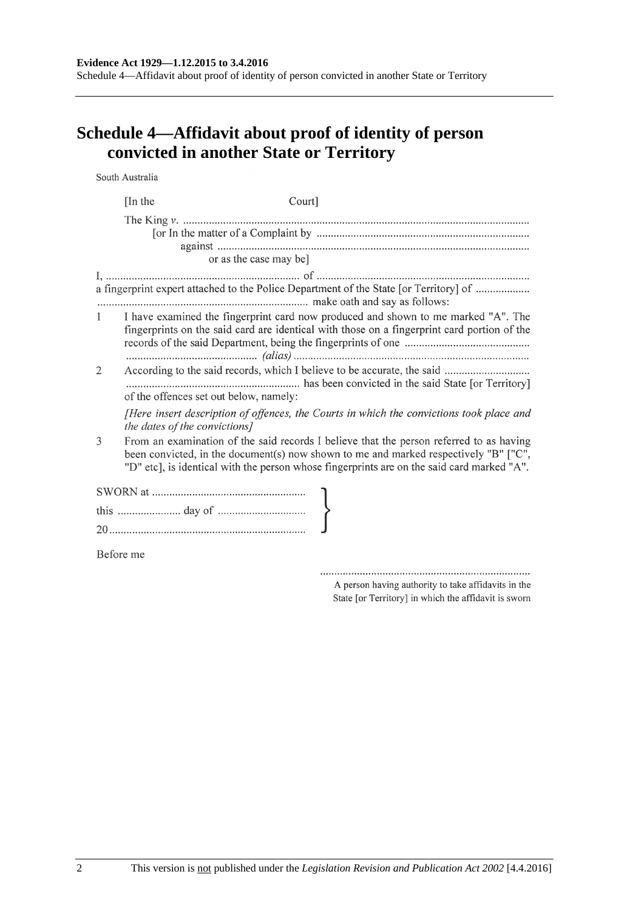# **Schedule 4—Affidavit about proof of identity of person convicted in another State or Territory**

South Australia

|                        | [In the]  | Court]                                                                                                                                                                                                                                                                        |
|------------------------|-----------|-------------------------------------------------------------------------------------------------------------------------------------------------------------------------------------------------------------------------------------------------------------------------------|
|                        |           |                                                                                                                                                                                                                                                                               |
|                        |           | or as the case may be]                                                                                                                                                                                                                                                        |
|                        |           | a fingerprint expert attached to the Police Department of the State [or Territory] of                                                                                                                                                                                         |
| $1 \quad \blacksquare$ |           | I have examined the fingerprint card now produced and shown to me marked "A". The<br>fingerprints on the said card are identical with those on a fingerprint card portion of the                                                                                              |
| 2                      |           | According to the said records, which I believe to be accurate, the said<br>of the offences set out below, namely:                                                                                                                                                             |
|                        |           | [Here insert description of offences, the Courts in which the convictions took place and<br>the dates of the convictions]                                                                                                                                                     |
| 3                      |           | From an examination of the said records I believe that the person referred to as having<br>been convicted, in the document(s) now shown to me and marked respectively "B" ["C",<br>"D" etc], is identical with the person whose fingerprints are on the said card marked "A". |
|                        |           |                                                                                                                                                                                                                                                                               |
|                        |           |                                                                                                                                                                                                                                                                               |
|                        |           |                                                                                                                                                                                                                                                                               |
|                        | Before me |                                                                                                                                                                                                                                                                               |

A person having authority to take affidavits in the State [or Territory] in which the affidavit is sworn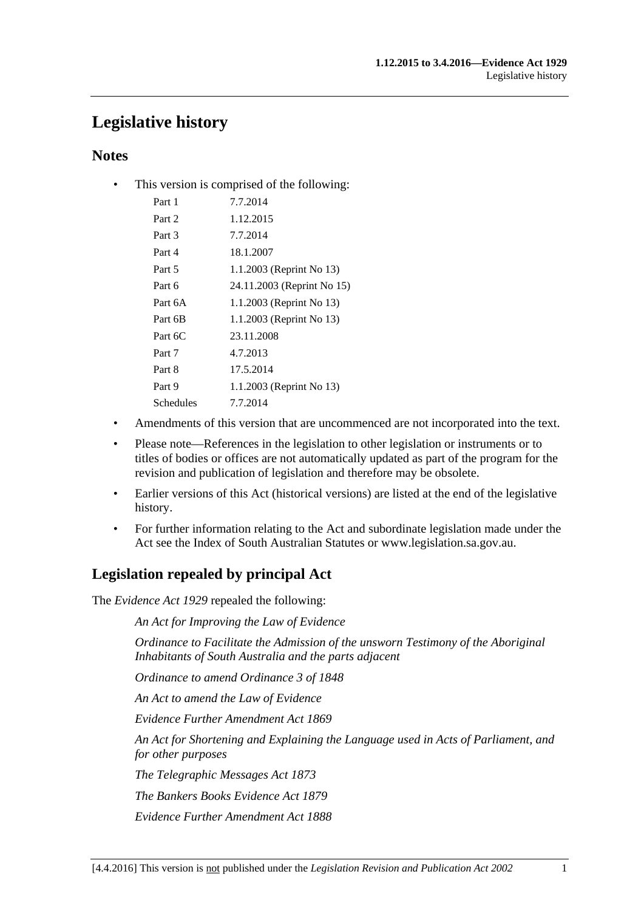# **Legislative history**

## **Notes**

• This version is comprised of the following:

| Part 1    | 7.7.2014                   |
|-----------|----------------------------|
| Part 2    | 1.12.2015                  |
| Part 3    | 7.7.2014                   |
| Part 4    | 18.1.2007                  |
| Part 5    | 1.1.2003 (Reprint No 13)   |
| Part 6    | 24.11.2003 (Reprint No 15) |
| Part 6A   | 1.1.2003 (Reprint No 13)   |
| Part 6B   | 1.1.2003 (Reprint No 13)   |
| Part 6C   | 23.11.2008                 |
| Part 7    | 4.7.2013                   |
| Part 8    | 17.5.2014                  |
| Part 9    | 1.1.2003 (Reprint No 13)   |
| Schedules | 7.7.2014                   |
|           |                            |

- Amendments of this version that are uncommenced are not incorporated into the text.
- Please note—References in the legislation to other legislation or instruments or to titles of bodies or offices are not automatically updated as part of the program for the revision and publication of legislation and therefore may be obsolete.
- Earlier versions of this Act (historical versions) are listed at the end of the legislative history.
- For further information relating to the Act and subordinate legislation made under the Act see the Index of South Australian Statutes or www.legislation.sa.gov.au.

# **Legislation repealed by principal Act**

The *Evidence Act 1929* repealed the following:

*An Act for Improving the Law of Evidence*

*Ordinance to Facilitate the Admission of the unsworn Testimony of the Aboriginal Inhabitants of South Australia and the parts adjacent*

*Ordinance to amend Ordinance 3 of 1848*

*An Act to amend the Law of Evidence*

*Evidence Further Amendment Act 1869*

*An Act for Shortening and Explaining the Language used in Acts of Parliament, and for other purposes*

*The Telegraphic Messages Act 1873*

*The Bankers Books Evidence Act 1879*

*Evidence Further Amendment Act 1888*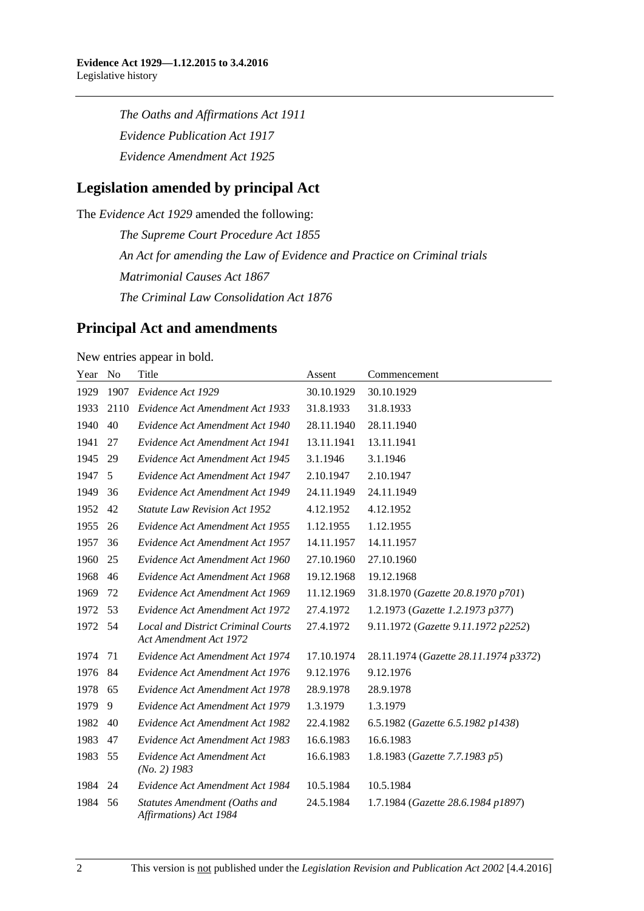*The Oaths and Affirmations Act 1911 Evidence Publication Act 1917 Evidence Amendment Act 1925*

## **Legislation amended by principal Act**

The *Evidence Act 1929* amended the following:

*The Supreme Court Procedure Act 1855 An Act for amending the Law of Evidence and Practice on Criminal trials Matrimonial Causes Act 1867 The Criminal Law Consolidation Act 1876*

## **Principal Act and amendments**

New entries appear in bold.

| Year | N <sub>0</sub> | Title                                                               | Assent     | Commencement                          |
|------|----------------|---------------------------------------------------------------------|------------|---------------------------------------|
| 1929 | 1907           | Evidence Act 1929                                                   | 30.10.1929 | 30.10.1929                            |
| 1933 | 2110           | Evidence Act Amendment Act 1933                                     | 31.8.1933  | 31.8.1933                             |
| 1940 | 40             | Evidence Act Amendment Act 1940                                     | 28.11.1940 | 28.11.1940                            |
| 1941 | 27             | Evidence Act Amendment Act 1941                                     | 13.11.1941 | 13.11.1941                            |
| 1945 | 29             | Evidence Act Amendment Act 1945                                     | 3.1.1946   | 3.1.1946                              |
| 1947 | 5              | Evidence Act Amendment Act 1947                                     | 2.10.1947  | 2.10.1947                             |
| 1949 | 36             | Evidence Act Amendment Act 1949                                     | 24.11.1949 | 24.11.1949                            |
| 1952 | 42             | <b>Statute Law Revision Act 1952</b>                                | 4.12.1952  | 4.12.1952                             |
| 1955 | 26             | Evidence Act Amendment Act 1955                                     | 1.12.1955  | 1.12.1955                             |
| 1957 | 36             | Evidence Act Amendment Act 1957                                     | 14.11.1957 | 14.11.1957                            |
| 1960 | 25             | Evidence Act Amendment Act 1960                                     | 27.10.1960 | 27.10.1960                            |
| 1968 | 46             | Evidence Act Amendment Act 1968                                     | 19.12.1968 | 19.12.1968                            |
| 1969 | 72             | Evidence Act Amendment Act 1969                                     | 11.12.1969 | 31.8.1970 (Gazette 20.8.1970 p701)    |
| 1972 | 53             | Evidence Act Amendment Act 1972                                     | 27.4.1972  | 1.2.1973 (Gazette 1.2.1973 p377)      |
| 1972 | 54             | <b>Local and District Criminal Courts</b><br>Act Amendment Act 1972 | 27.4.1972  | 9.11.1972 (Gazette 9.11.1972 p2252)   |
| 1974 | 71             | Evidence Act Amendment Act 1974                                     | 17.10.1974 | 28.11.1974 (Gazette 28.11.1974 p3372) |
| 1976 | 84             | Evidence Act Amendment Act 1976                                     | 9.12.1976  | 9.12.1976                             |
| 1978 | 65             | Evidence Act Amendment Act 1978                                     | 28.9.1978  | 28.9.1978                             |
| 1979 | 9              | Evidence Act Amendment Act 1979                                     | 1.3.1979   | 1.3.1979                              |
| 1982 | 40             | Evidence Act Amendment Act 1982                                     | 22.4.1982  | 6.5.1982 (Gazette 6.5.1982 p1438)     |
| 1983 | 47             | Evidence Act Amendment Act 1983                                     | 16.6.1983  | 16.6.1983                             |
| 1983 | 55             | Evidence Act Amendment Act<br>$(No. 2)$ 1983                        | 16.6.1983  | 1.8.1983 (Gazette 7.7.1983 p5)        |
| 1984 | 24             | Evidence Act Amendment Act 1984                                     | 10.5.1984  | 10.5.1984                             |
| 1984 | 56             | Statutes Amendment (Oaths and<br>Affirmations) Act 1984             | 24.5.1984  | 1.7.1984 (Gazette 28.6.1984 p1897)    |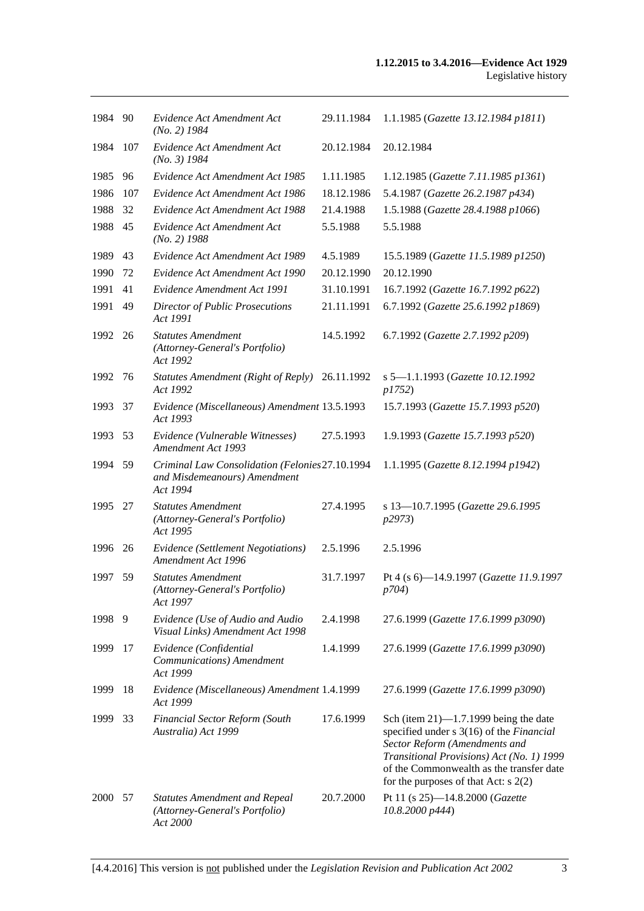| 1984 90 |     | Evidence Act Amendment Act<br>$(No. 2)$ 1984                                                | 29.11.1984 | 1.1.1985 (Gazette 13.12.1984 p1811)                                                                                                                                                                                                                      |
|---------|-----|---------------------------------------------------------------------------------------------|------------|----------------------------------------------------------------------------------------------------------------------------------------------------------------------------------------------------------------------------------------------------------|
| 1984    | 107 | Evidence Act Amendment Act<br>$(No. 3)$ 1984                                                | 20.12.1984 | 20.12.1984                                                                                                                                                                                                                                               |
| 1985    | 96  | Evidence Act Amendment Act 1985                                                             | 1.11.1985  | 1.12.1985 (Gazette 7.11.1985 p1361)                                                                                                                                                                                                                      |
| 1986    | 107 | Evidence Act Amendment Act 1986                                                             | 18.12.1986 | 5.4.1987 (Gazette 26.2.1987 p434)                                                                                                                                                                                                                        |
| 1988    | 32  | Evidence Act Amendment Act 1988                                                             | 21.4.1988  | 1.5.1988 (Gazette 28.4.1988 p1066)                                                                                                                                                                                                                       |
| 1988    | 45  | Evidence Act Amendment Act<br>$(No. 2)$ 1988                                                | 5.5.1988   | 5.5.1988                                                                                                                                                                                                                                                 |
| 1989    | 43  | Evidence Act Amendment Act 1989                                                             | 4.5.1989   | 15.5.1989 (Gazette 11.5.1989 p1250)                                                                                                                                                                                                                      |
| 1990    | 72  | Evidence Act Amendment Act 1990                                                             | 20.12.1990 | 20.12.1990                                                                                                                                                                                                                                               |
| 1991    | 41  | Evidence Amendment Act 1991                                                                 | 31.10.1991 | 16.7.1992 (Gazette 16.7.1992 p622)                                                                                                                                                                                                                       |
| 1991    | 49  | Director of Public Prosecutions<br>Act 1991                                                 | 21.11.1991 | 6.7.1992 (Gazette 25.6.1992 p1869)                                                                                                                                                                                                                       |
| 1992 26 |     | <b>Statutes Amendment</b><br>(Attorney-General's Portfolio)<br>Act 1992                     | 14.5.1992  | 6.7.1992 (Gazette 2.7.1992 p209)                                                                                                                                                                                                                         |
| 1992    | 76  | Statutes Amendment (Right of Reply) 26.11.1992<br>Act 1992                                  |            | s 5-1.1.1993 (Gazette 10.12.1992<br><i>p1752</i> )                                                                                                                                                                                                       |
| 1993    | 37  | Evidence (Miscellaneous) Amendment 13.5.1993<br>Act 1993                                    |            | 15.7.1993 (Gazette 15.7.1993 p520)                                                                                                                                                                                                                       |
| 1993    | 53  | Evidence (Vulnerable Witnesses)<br>Amendment Act 1993                                       | 27.5.1993  | 1.9.1993 (Gazette 15.7.1993 p520)                                                                                                                                                                                                                        |
| 1994 59 |     | Criminal Law Consolidation (Felonies 27.10.1994<br>and Misdemeanours) Amendment<br>Act 1994 |            | 1.1.1995 (Gazette 8.12.1994 p1942)                                                                                                                                                                                                                       |
| 1995    | 27  | <b>Statutes Amendment</b><br>(Attorney-General's Portfolio)<br>Act 1995                     | 27.4.1995  | s 13-10.7.1995 (Gazette 29.6.1995<br>p2973)                                                                                                                                                                                                              |
| 1996    | 26  | <b>Evidence</b> (Settlement Negotiations)<br>Amendment Act 1996                             | 2.5.1996   | 2.5.1996                                                                                                                                                                                                                                                 |
| 1997    | 59  | <b>Statutes Amendment</b><br>(Attorney-General's Portfolio)<br>Act 1997                     | 31.7.1997  | Pt 4 (s 6)-14.9.1997 (Gazette 11.9.1997<br><i>p</i> 704)                                                                                                                                                                                                 |
| 1998    | 9   | Evidence (Use of Audio and Audio<br>Visual Links) Amendment Act 1998                        | 2.4.1998   | 27.6.1999 (Gazette 17.6.1999 p3090)                                                                                                                                                                                                                      |
| 1999    | 17  | Evidence (Confidential<br>Communications) Amendment<br>Act 1999                             | 1.4.1999   | 27.6.1999 (Gazette 17.6.1999 p3090)                                                                                                                                                                                                                      |
| 1999    | 18  | Evidence (Miscellaneous) Amendment 1.4.1999<br>Act 1999                                     |            | 27.6.1999 (Gazette 17.6.1999 p3090)                                                                                                                                                                                                                      |
| 1999    | 33  | Financial Sector Reform (South<br>Australia) Act 1999                                       | 17.6.1999  | Sch (item $21$ )—1.7.1999 being the date<br>specified under s 3(16) of the Financial<br>Sector Reform (Amendments and<br>Transitional Provisions) Act (No. 1) 1999<br>of the Commonwealth as the transfer date<br>for the purposes of that Act: $s$ 2(2) |
| 2000 57 |     | <b>Statutes Amendment and Repeal</b><br>(Attorney-General's Portfolio)<br>Act 2000          | 20.7.2000  | Pt 11 (s 25)-14.8.2000 (Gazette<br>10.8.2000 p444)                                                                                                                                                                                                       |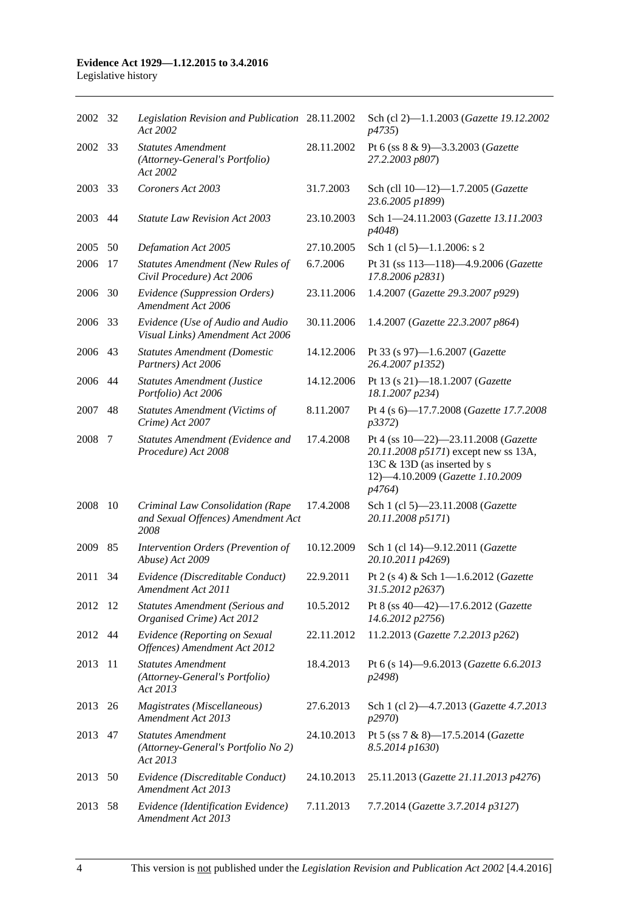# **Evidence Act 1929—1.12.2015 to 3.4.2016**

|  | Legislative history |
|--|---------------------|
|  |                     |

| 2002 32 |     | Legislation Revision and Publication 28.11.2002<br>Act 2002                    |            | Sch (cl 2)-1.1.2003 (Gazette 19.12.2002<br><i>p</i> 4735)                                                                                                |
|---------|-----|--------------------------------------------------------------------------------|------------|----------------------------------------------------------------------------------------------------------------------------------------------------------|
| 2002    | 33  | <b>Statutes Amendment</b><br>(Attorney-General's Portfolio)<br>Act 2002        | 28.11.2002 | Pt 6 (ss 8 & 9)-3.3.2003 (Gazette<br>27.2.2003 p807)                                                                                                     |
| 2003    | 33  | Coroners Act 2003                                                              | 31.7.2003  | Sch (cll 10-12)-1.7.2005 (Gazette<br>23.6.2005 p1899)                                                                                                    |
| 2003    | 44  | <b>Statute Law Revision Act 2003</b>                                           | 23.10.2003 | Sch 1-24.11.2003 (Gazette 13.11.2003<br><i>p4048</i> )                                                                                                   |
| 2005    | 50  | Defamation Act 2005                                                            | 27.10.2005 | Sch 1 (cl 5)-1.1.2006: s 2                                                                                                                               |
| 2006    | 17  | <b>Statutes Amendment (New Rules of</b><br>Civil Procedure) Act 2006           | 6.7.2006   | Pt 31 (ss 113-118)-4.9.2006 (Gazette<br>17.8.2006 p2831)                                                                                                 |
| 2006    | 30  | Evidence (Suppression Orders)<br>Amendment Act 2006                            | 23.11.2006 | 1.4.2007 (Gazette 29.3.2007 p929)                                                                                                                        |
| 2006    | 33  | Evidence (Use of Audio and Audio<br>Visual Links) Amendment Act 2006           | 30.11.2006 | 1.4.2007 (Gazette 22.3.2007 p864)                                                                                                                        |
| 2006    | 43  | <b>Statutes Amendment (Domestic</b><br>Partners) Act 2006                      | 14.12.2006 | Pt 33 (s 97)-1.6.2007 (Gazette<br>26.4.2007 p1352)                                                                                                       |
| 2006    | 44  | <b>Statutes Amendment (Justice</b><br>Portfolio) Act 2006                      | 14.12.2006 | Pt 13 (s 21)-18.1.2007 (Gazette<br>18.1.2007 p234)                                                                                                       |
| 2007    | 48  | <b>Statutes Amendment (Victims of</b><br>Crime) Act 2007                       | 8.11.2007  | Pt 4 (s 6)-17.7.2008 (Gazette 17.7.2008<br><i>p</i> 3372)                                                                                                |
| 2008    | 7   | Statutes Amendment (Evidence and<br>Procedure) Act 2008                        | 17.4.2008  | Pt 4 (ss 10-22)-23.11.2008 (Gazette<br>20.11.2008 p5171) except new ss 13A,<br>13C & 13D (as inserted by s<br>12)-4.10.2009 (Gazette 1.10.2009<br>p4764) |
| 2008    | 10  | Criminal Law Consolidation (Rape<br>and Sexual Offences) Amendment Act<br>2008 | 17.4.2008  | Sch 1 (cl 5)-23.11.2008 (Gazette<br>20.11.2008 p5171)                                                                                                    |
| 2009    | 85  | Intervention Orders (Prevention of<br>Abuse) Act 2009                          | 10.12.2009 | Sch 1 (cl 14)-9.12.2011 (Gazette<br>20.10.2011 p4269)                                                                                                    |
| 2011    | 34  | Evidence (Discreditable Conduct)<br>Amendment Act 2011                         | 22.9.2011  | Pt 2 (s 4) & Sch 1-1.6.2012 (Gazette<br>31.5.2012 p2637)                                                                                                 |
| 2012 12 |     | <b>Statutes Amendment (Serious and</b><br>Organised Crime) Act 2012            | 10.5.2012  | Pt 8 (ss 40-42)-17.6.2012 (Gazette<br>14.6.2012 p2756)                                                                                                   |
| 2012 44 |     | Evidence (Reporting on Sexual<br>Offences) Amendment Act 2012                  | 22.11.2012 | 11.2.2013 (Gazette 7.2.2013 p262)                                                                                                                        |
| 2013    | -11 | <b>Statutes Amendment</b><br>(Attorney-General's Portfolio)<br>Act 2013        | 18.4.2013  | Pt 6 (s 14)-9.6.2013 (Gazette 6.6.2013<br>p2498)                                                                                                         |
| 2013 26 |     | Magistrates (Miscellaneous)<br>Amendment Act 2013                              | 27.6.2013  | Sch 1 (cl 2)-4.7.2013 (Gazette 4.7.2013<br>p2970)                                                                                                        |
| 2013    | 47  | <b>Statutes Amendment</b><br>(Attorney-General's Portfolio No 2)<br>Act 2013   | 24.10.2013 | Pt 5 (ss 7 & 8)-17.5.2014 (Gazette<br>8.5.2014 p1630)                                                                                                    |
| 2013    | 50  | Evidence (Discreditable Conduct)<br>Amendment Act 2013                         | 24.10.2013 | 25.11.2013 (Gazette 21.11.2013 p4276)                                                                                                                    |
| 2013    | 58  | Evidence (Identification Evidence)<br>Amendment Act 2013                       | 7.11.2013  | 7.7.2014 (Gazette 3.7.2014 p3127)                                                                                                                        |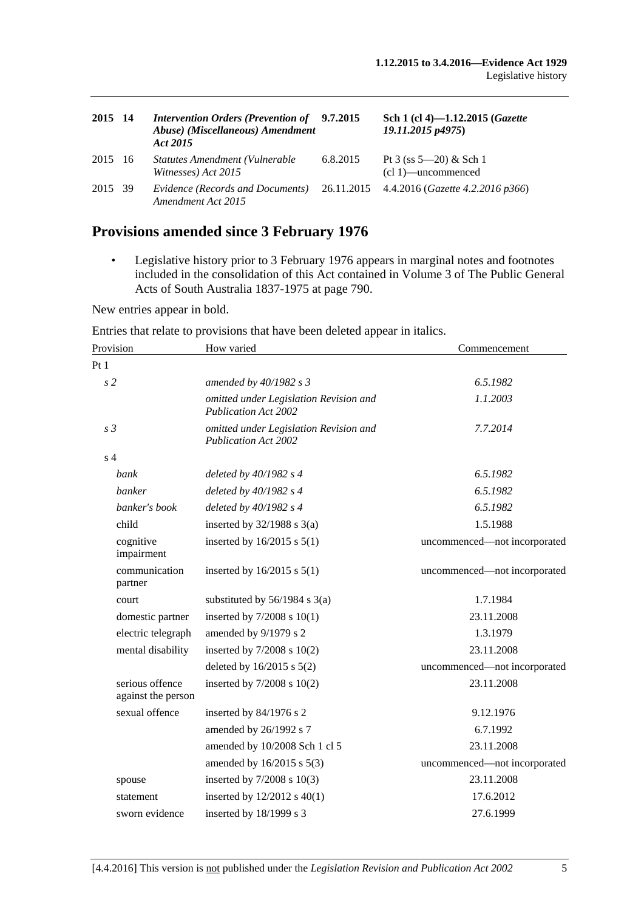| 2015 14 | <b>Intervention Orders (Prevention of</b><br>Abuse) (Miscellaneous) Amendment<br>Act 2015 | 9.7.2015 | Sch 1 (cl 4)-1.12.2015 (Gazette<br>19.11.2015 p4975) |
|---------|-------------------------------------------------------------------------------------------|----------|------------------------------------------------------|
| 2015 16 | Statutes Amendment (Vulnerable<br>Witnesses) Act 2015                                     | 6.8.2015 | Pt 3 (ss $5-20$ ) & Sch 1<br>$(cl 1)$ —uncommenced   |
| 2015 39 | Evidence (Records and Documents)<br>Amendment Act 2015                                    |          | 26.11.2015 4.4.2016 ( <i>Gazette 4.2.2016 p366</i> ) |

## **Provisions amended since 3 February 1976**

• Legislative history prior to 3 February 1976 appears in marginal notes and footnotes included in the consolidation of this Act contained in Volume 3 of The Public General Acts of South Australia 1837-1975 at page 790.

New entries appear in bold.

Entries that relate to provisions that have been deleted appear in italics.

| Provision                             | How varied                                                            | Commencement                 |
|---------------------------------------|-----------------------------------------------------------------------|------------------------------|
| Pt1                                   |                                                                       |                              |
| s <sub>2</sub>                        | amended by 40/1982 s 3                                                | 6.5.1982                     |
|                                       | omitted under Legislation Revision and<br><b>Publication Act 2002</b> | 1.1.2003                     |
| s <sub>3</sub>                        | omitted under Legislation Revision and<br><b>Publication Act 2002</b> | 7.7.2014                     |
| s <sub>4</sub>                        |                                                                       |                              |
| bank                                  | deleted by $40/1982$ s 4                                              | 6.5.1982                     |
| banker                                | deleted by $40/1982$ s 4                                              | 6.5.1982                     |
| banker's book                         | deleted by $40/1982 s 4$                                              | 6.5.1982                     |
| child                                 | inserted by $32/1988$ s $3(a)$                                        | 1.5.1988                     |
| cognitive<br>impairment               | inserted by $16/2015$ s $5(1)$                                        | uncommenced-not incorporated |
| communication<br>partner              | inserted by $16/2015$ s $5(1)$                                        | uncommenced—not incorporated |
| court                                 | substituted by $56/1984$ s $3(a)$                                     | 1.7.1984                     |
| domestic partner                      | inserted by $7/2008$ s $10(1)$                                        | 23.11.2008                   |
| electric telegraph                    | amended by 9/1979 s 2                                                 | 1.3.1979                     |
| mental disability                     | inserted by $7/2008$ s $10(2)$                                        | 23.11.2008                   |
|                                       | deleted by $16/2015$ s $5(2)$                                         | uncommenced—not incorporated |
| serious offence<br>against the person | inserted by 7/2008 s 10(2)                                            | 23.11.2008                   |
| sexual offence                        | inserted by 84/1976 s 2                                               | 9.12.1976                    |
|                                       | amended by 26/1992 s 7                                                | 6.7.1992                     |
|                                       | amended by 10/2008 Sch 1 cl 5                                         | 23.11.2008                   |
|                                       | amended by 16/2015 s 5(3)                                             | uncommenced-not incorporated |
| spouse                                | inserted by $7/2008$ s $10(3)$                                        | 23.11.2008                   |
| statement                             | inserted by $12/2012$ s $40(1)$                                       | 17.6.2012                    |
| sworn evidence                        | inserted by 18/1999 s 3                                               | 27.6.1999                    |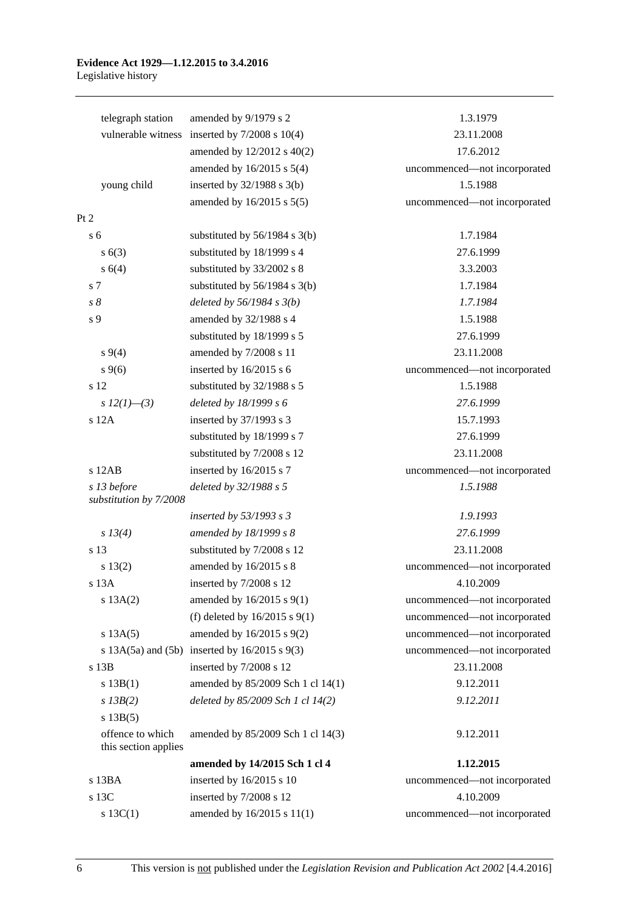#### **Evidence Act 1929—1.12.2015 to 3.4.2016** Legislative history

| telegraph station                        | amended by 9/1979 s 2                                 | 1.3.1979                     |
|------------------------------------------|-------------------------------------------------------|------------------------------|
| vulnerable witness                       | inserted by $7/2008$ s $10(4)$                        | 23.11.2008                   |
|                                          | amended by 12/2012 s 40(2)                            | 17.6.2012                    |
|                                          | amended by $16/2015$ s $5(4)$                         | uncommenced-not incorporated |
| young child                              | inserted by $32/1988$ s $3(b)$                        | 1.5.1988                     |
|                                          | amended by 16/2015 s 5(5)                             | uncommenced-not incorporated |
| Pt 2                                     |                                                       |                              |
| s <sub>6</sub>                           | substituted by $56/1984$ s $3(b)$                     | 1.7.1984                     |
| s(63)                                    | substituted by 18/1999 s 4                            | 27.6.1999                    |
| s 6(4)                                   | substituted by 33/2002 s 8                            | 3.3.2003                     |
| s 7                                      | substituted by $56/1984$ s 3(b)                       | 1.7.1984                     |
| $s\,\delta$                              | deleted by $56/1984 s 3(b)$                           | 1.7.1984                     |
| s 9                                      | amended by 32/1988 s 4                                | 1.5.1988                     |
|                                          | substituted by 18/1999 s 5                            | 27.6.1999                    |
| $s\,9(4)$                                | amended by 7/2008 s 11                                | 23.11.2008                   |
| $s \, 9(6)$                              | inserted by 16/2015 s 6                               | uncommenced-not incorporated |
| s 12                                     | substituted by 32/1988 s 5                            | 1.5.1988                     |
| s $12(1)$ —(3)                           | deleted by 18/1999 s 6                                | 27.6.1999                    |
| s 12A                                    | inserted by 37/1993 s 3                               | 15.7.1993                    |
|                                          | substituted by 18/1999 s 7                            | 27.6.1999                    |
|                                          | substituted by 7/2008 s 12                            | 23.11.2008                   |
| s 12AB                                   | inserted by 16/2015 s 7                               | uncommenced-not incorporated |
| s 13 before                              | deleted by 32/1988 s 5                                | 1.5.1988                     |
| substitution by 7/2008                   |                                                       |                              |
|                                          | inserted by $53/1993$ s 3                             | 1.9.1993                     |
| s 13(4)                                  | amended by 18/1999 s 8                                | 27.6.1999                    |
| s 13                                     | substituted by 7/2008 s 12                            | 23.11.2008                   |
| s 13(2)                                  | amended by 16/2015 s 8                                | uncommenced-not incorporated |
| s <sub>13A</sub>                         | inserted by 7/2008 s 12                               | 4.10.2009                    |
| s 13A(2)                                 | amended by 16/2015 s 9(1)                             | uncommenced-not incorporated |
|                                          | (f) deleted by $16/2015$ s $9(1)$                     | uncommenced-not incorporated |
| s 13A(5)                                 | amended by $16/2015$ s $9(2)$                         | uncommenced-not incorporated |
|                                          | s $13A(5a)$ and $(5b)$ inserted by $16/2015$ s $9(3)$ | uncommenced-not incorporated |
| s 13B                                    | inserted by 7/2008 s 12                               | 23.11.2008                   |
| s 13B(1)                                 | amended by 85/2009 Sch 1 cl 14(1)                     | 9.12.2011                    |
| $s$ 13B(2)                               | deleted by 85/2009 Sch 1 cl 14(2)                     | 9.12.2011                    |
| s 13B(5)                                 |                                                       |                              |
| offence to which<br>this section applies | amended by 85/2009 Sch 1 cl 14(3)                     | 9.12.2011                    |
|                                          | amended by 14/2015 Sch 1 cl 4                         | 1.12.2015                    |
| s 13BA                                   | inserted by 16/2015 s 10                              | uncommenced-not incorporated |
| s 13C                                    | inserted by 7/2008 s 12                               | 4.10.2009                    |
| s 13C(1)                                 | amended by 16/2015 s 11(1)                            | uncommenced-not incorporated |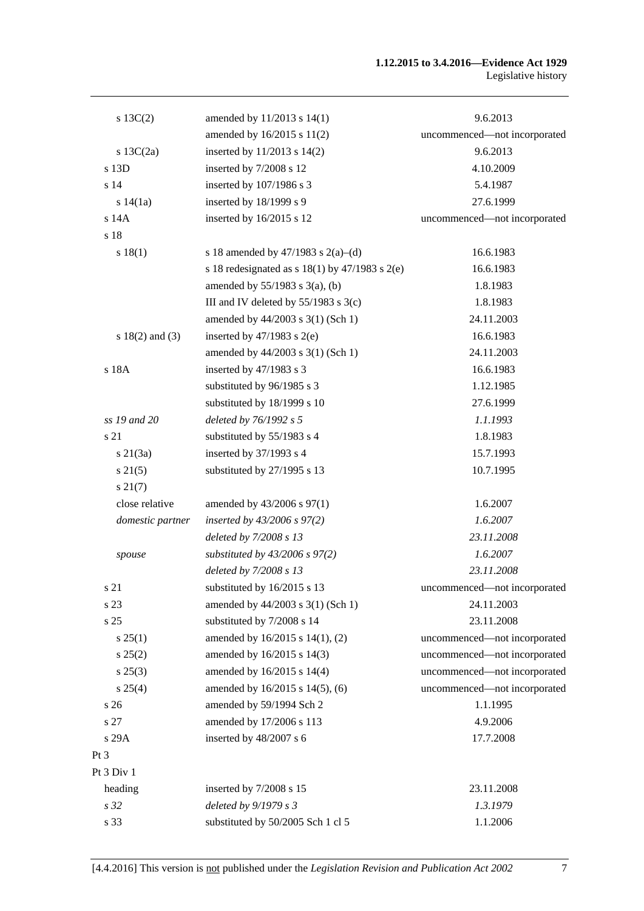#### **1.12.2015 to 3.4.2016—Evidence Act 1929** Legislative history

| $s \ 13C(2)$        | amended by 11/2013 s 14(1)                           | 9.6.2013                     |
|---------------------|------------------------------------------------------|------------------------------|
|                     | amended by 16/2015 s 11(2)                           | uncommenced-not incorporated |
| s $13C(2a)$         | inserted by 11/2013 s 14(2)                          | 9.6.2013                     |
| s 13D               | inserted by 7/2008 s 12                              | 4.10.2009                    |
| s <sub>14</sub>     | inserted by 107/1986 s 3                             | 5.4.1987                     |
| s $14(1a)$          | inserted by 18/1999 s 9                              | 27.6.1999                    |
| s 14A               | inserted by 16/2015 s 12                             | uncommenced-not incorporated |
| s 18                |                                                      |                              |
| s 18(1)             | s 18 amended by 47/1983 s 2(a)–(d)                   | 16.6.1983                    |
|                     | s 18 redesignated as s $18(1)$ by $47/1983$ s $2(e)$ | 16.6.1983                    |
|                     | amended by $55/1983$ s 3(a), (b)                     | 1.8.1983                     |
|                     | III and IV deleted by $55/1983$ s $3(c)$             | 1.8.1983                     |
|                     | amended by 44/2003 s 3(1) (Sch 1)                    | 24.11.2003                   |
| s $18(2)$ and $(3)$ | inserted by $47/1983$ s $2(e)$                       | 16.6.1983                    |
|                     | amended by 44/2003 s 3(1) (Sch 1)                    | 24.11.2003                   |
| s 18A               | inserted by 47/1983 s 3                              | 16.6.1983                    |
|                     | substituted by 96/1985 s 3                           | 1.12.1985                    |
|                     | substituted by 18/1999 s 10                          | 27.6.1999                    |
| ss 19 and 20        | deleted by 76/1992 s 5                               | 1.1.1993                     |
| s 21                | substituted by 55/1983 s 4                           | 1.8.1983                     |
| $s \, 21(3a)$       | inserted by 37/1993 s 4                              | 15.7.1993                    |
| $s \, 21(5)$        | substituted by 27/1995 s 13                          | 10.7.1995                    |
| $s\,21(7)$          |                                                      |                              |
| close relative      | amended by 43/2006 s 97(1)                           | 1.6.2007                     |
| domestic partner    | inserted by $43/2006$ s $97(2)$                      | 1.6.2007                     |
|                     | deleted by 7/2008 s 13                               | 23.11.2008                   |
| spouse              | substituted by $43/2006$ s $97(2)$                   | 1.6.2007                     |
|                     | deleted by 7/2008 s 13                               | 23.11.2008                   |
| s 21                | substituted by 16/2015 s 13                          | uncommenced—not incorporated |
| s 23                | amended by 44/2003 s 3(1) (Sch 1)                    | 24.11.2003                   |
| s 25                | substituted by 7/2008 s 14                           | 23.11.2008                   |
| $s \, 25(1)$        | amended by 16/2015 s 14(1), (2)                      | uncommenced-not incorporated |
| s 25(2)             | amended by 16/2015 s 14(3)                           | uncommenced-not incorporated |
| $s\,25(3)$          | amended by 16/2015 s 14(4)                           | uncommenced-not incorporated |
| s 25(4)             | amended by 16/2015 s 14(5), (6)                      | uncommenced-not incorporated |
| s <sub>26</sub>     | amended by 59/1994 Sch 2                             | 1.1.1995                     |
| s 27                | amended by 17/2006 s 113                             | 4.9.2006                     |
| s 29A               | inserted by 48/2007 s 6                              | 17.7.2008                    |
| $Pt\,3$             |                                                      |                              |
| Pt 3 Div 1          |                                                      |                              |
| heading             | inserted by 7/2008 s 15                              | 23.11.2008                   |
| s 32                | deleted by $9/1979 s 3$                              | 1.3.1979                     |
| s 33                | substituted by 50/2005 Sch 1 cl 5                    | 1.1.2006                     |
|                     |                                                      |                              |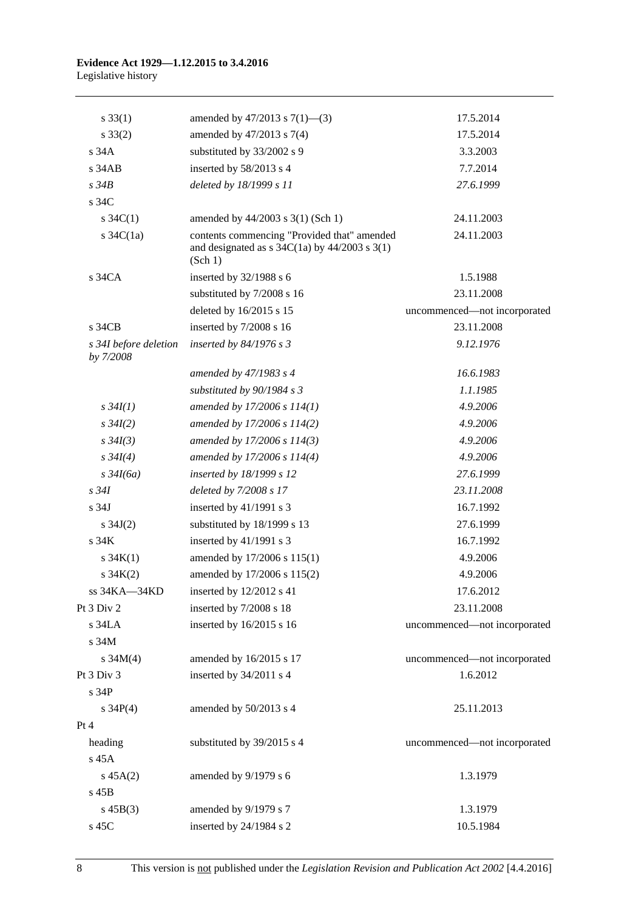#### **Evidence Act 1929—1.12.2015 to 3.4.2016** Legislative history

| $s \, 33(1)$                       | amended by $47/2013$ s $7(1)$ —(3)                                                                                                            | 17.5.2014                    |
|------------------------------------|-----------------------------------------------------------------------------------------------------------------------------------------------|------------------------------|
| $s \, 33(2)$                       | amended by 47/2013 s 7(4)                                                                                                                     | 17.5.2014                    |
| s34A                               | substituted by 33/2002 s 9                                                                                                                    | 3.3.2003                     |
| $s$ 34 $AB$                        | inserted by 58/2013 s 4                                                                                                                       | 7.7.2014                     |
| $s\,34B$                           | deleted by 18/1999 s 11                                                                                                                       | 27.6.1999                    |
| s 34C                              |                                                                                                                                               |                              |
| s $34C(1)$                         | amended by 44/2003 s 3(1) (Sch 1)                                                                                                             | 24.11.2003                   |
| s $34C(1a)$                        | contents commencing "Provided that" amended<br>and designated as $s \frac{34C(1a)}{y}$ by $\frac{44}{2003} \frac{s \cdot 3(1)}{y}$<br>(Sch 1) | 24.11.2003                   |
| s 34CA                             | inserted by $32/1988$ s 6                                                                                                                     | 1.5.1988                     |
|                                    | substituted by 7/2008 s 16                                                                                                                    | 23.11.2008                   |
|                                    | deleted by 16/2015 s 15                                                                                                                       | uncommenced-not incorporated |
| s 34CB                             | inserted by 7/2008 s 16                                                                                                                       | 23.11.2008                   |
| s 34I before deletion<br>by 7/2008 | inserted by $84/1976$ s 3                                                                                                                     | 9.12.1976                    |
|                                    | amended by 47/1983 s 4                                                                                                                        | 16.6.1983                    |
|                                    | substituted by $90/1984 s 3$                                                                                                                  | 1.1.1985                     |
| $s \, 34I(1)$                      | amended by $17/2006 s 114(1)$                                                                                                                 | 4.9.2006                     |
| $s \, 34I(2)$                      | amended by 17/2006 s 114(2)                                                                                                                   | 4.9.2006                     |
| $s \, 34I(3)$                      | amended by 17/2006 s 114(3)                                                                                                                   | 4.9.2006                     |
| $s \, 34I(4)$                      | amended by 17/2006 s 114(4)                                                                                                                   | 4.9.2006                     |
| $s \frac{34I(6a)}{2}$              | inserted by 18/1999 s 12                                                                                                                      | 27.6.1999                    |
| $s\,34I$                           | deleted by 7/2008 s 17                                                                                                                        | 23.11.2008                   |
| s 34J                              | inserted by 41/1991 s 3                                                                                                                       | 16.7.1992                    |
| s $34J(2)$                         | substituted by 18/1999 s 13                                                                                                                   | 27.6.1999                    |
| s.34K                              | inserted by 41/1991 s 3                                                                                                                       | 16.7.1992                    |
| s $34K(1)$                         | amended by 17/2006 s 115(1)                                                                                                                   | 4.9.2006                     |
| $s \, 34K(2)$                      | amended by 17/2006 s 115(2)                                                                                                                   | 4.9.2006                     |
| ss 34KA—34KD                       | inserted by 12/2012 s 41                                                                                                                      | 17.6.2012                    |
| Pt 3 Div 2                         | inserted by 7/2008 s 18                                                                                                                       | 23.11.2008                   |
| s 34LA                             | inserted by 16/2015 s 16                                                                                                                      | uncommenced-not incorporated |
| s 34M                              |                                                                                                                                               |                              |
| s $34M(4)$                         | amended by 16/2015 s 17                                                                                                                       | uncommenced-not incorporated |
| Pt 3 Div 3                         | inserted by 34/2011 s 4                                                                                                                       | 1.6.2012                     |
| s 34P                              |                                                                                                                                               |                              |
| s $34P(4)$                         | amended by 50/2013 s 4                                                                                                                        | 25.11.2013                   |
| Pt 4                               |                                                                                                                                               |                              |
| heading                            | substituted by 39/2015 s 4                                                                                                                    | uncommenced-not incorporated |
| s 45A                              |                                                                                                                                               |                              |
| $s\,45A(2)$                        | amended by 9/1979 s 6                                                                                                                         | 1.3.1979                     |
| s 45B                              |                                                                                                                                               |                              |
| $s\,45B(3)$                        | amended by 9/1979 s 7                                                                                                                         | 1.3.1979                     |
| s 45C                              | inserted by 24/1984 s 2                                                                                                                       | 10.5.1984                    |
|                                    |                                                                                                                                               |                              |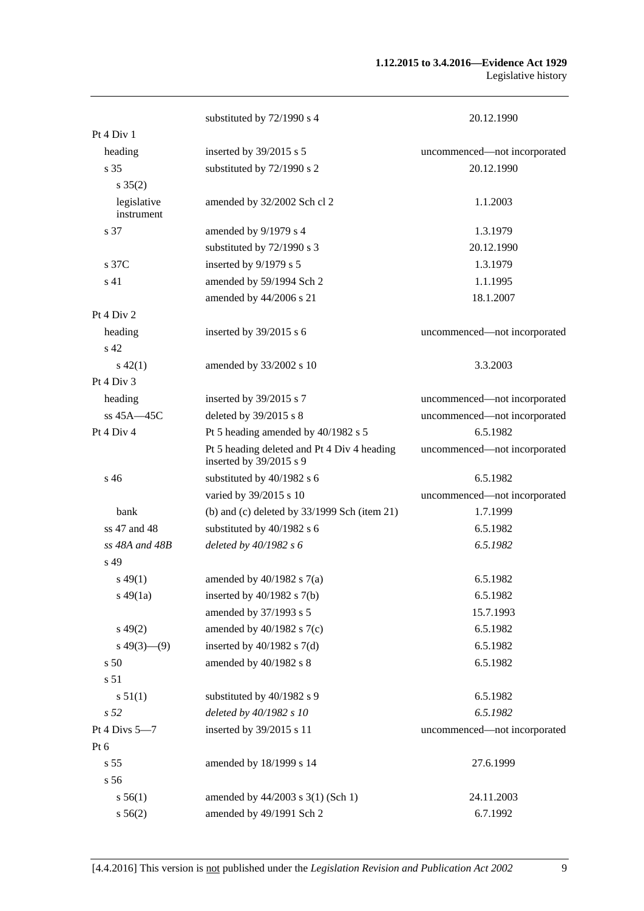#### **1.12.2015 to 3.4.2016—Evidence Act 1929** Legislative history

|                           | substituted by 72/1990 s 4                                             | 20.12.1990                   |
|---------------------------|------------------------------------------------------------------------|------------------------------|
| Pt 4 Div 1                |                                                                        |                              |
| heading                   | inserted by 39/2015 s 5                                                | uncommenced-not incorporated |
| s <sub>35</sub>           | substituted by 72/1990 s 2                                             | 20.12.1990                   |
| $s \, 35(2)$              |                                                                        |                              |
| legislative<br>instrument | amended by 32/2002 Sch cl 2                                            | 1.1.2003                     |
| s 37                      | amended by 9/1979 s 4                                                  | 1.3.1979                     |
|                           | substituted by 72/1990 s 3                                             | 20.12.1990                   |
| s 37C                     | inserted by 9/1979 s 5                                                 | 1.3.1979                     |
| s <sub>41</sub>           | amended by 59/1994 Sch 2                                               | 1.1.1995                     |
|                           | amended by 44/2006 s 21                                                | 18.1.2007                    |
| Pt 4 Div 2                |                                                                        |                              |
| heading                   | inserted by 39/2015 s 6                                                | uncommenced-not incorporated |
| s <sub>42</sub>           |                                                                        |                              |
| $s\,42(1)$                | amended by 33/2002 s 10                                                | 3.3.2003                     |
| Pt 4 Div 3                |                                                                        |                              |
| heading                   | inserted by 39/2015 s 7                                                | uncommenced-not incorporated |
| ss $45A - 45C$            | deleted by 39/2015 s 8                                                 | uncommenced-not incorporated |
| Pt 4 Div 4                | Pt 5 heading amended by 40/1982 s 5                                    | 6.5.1982                     |
|                           | Pt 5 heading deleted and Pt 4 Div 4 heading<br>inserted by 39/2015 s 9 | uncommenced-not incorporated |
| s <sub>46</sub>           | substituted by 40/1982 s 6                                             | 6.5.1982                     |
|                           | varied by 39/2015 s 10                                                 | uncommenced-not incorporated |
| <b>bank</b>               | (b) and (c) deleted by $33/1999$ Sch (item 21)                         | 1.7.1999                     |
| ss 47 and 48              | substituted by 40/1982 s 6                                             | 6.5.1982                     |
| $ss$ 48A and 48B          | deleted by $40/1982 s 6$                                               | 6.5.1982                     |
| s 49                      |                                                                        |                              |
| $s\,49(1)$                | amended by $40/1982$ s $7(a)$                                          | 6.5.1982                     |
| $s\,49(1a)$               | inserted by $40/1982$ s $7(b)$                                         | 6.5.1982                     |
|                           | amended by 37/1993 s 5                                                 | 15.7.1993                    |
| $s\,49(2)$                | amended by $40/1982$ s $7(c)$                                          | 6.5.1982                     |
| $s\ 49(3)$ (9)            | inserted by $40/1982$ s $7(d)$                                         | 6.5.1982                     |
| s 50                      | amended by 40/1982 s 8                                                 | 6.5.1982                     |
| s 51                      |                                                                        |                              |
| s 51(1)                   | substituted by 40/1982 s 9                                             | 6.5.1982                     |
| s <sub>52</sub>           | deleted by 40/1982 s 10                                                | 6.5.1982                     |
| Pt 4 Divs 5-7             | inserted by 39/2015 s 11                                               | uncommenced-not incorporated |
| Pt 6                      |                                                                        |                              |
| s 55                      | amended by 18/1999 s 14                                                | 27.6.1999                    |
| s 56                      |                                                                        |                              |
| s 56(1)                   | amended by 44/2003 s 3(1) (Sch 1)                                      | 24.11.2003                   |
| s 56(2)                   | amended by 49/1991 Sch 2                                               | 6.7.1992                     |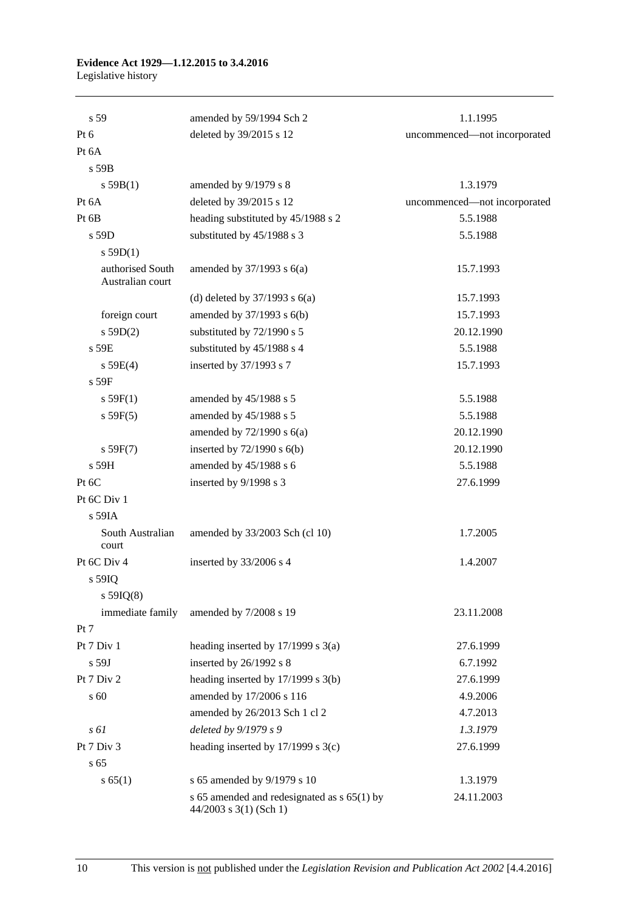#### **Evidence Act 1929—1.12.2015 to 3.4.2016** Legislative history

| s 59                                 | amended by 59/1994 Sch 2                                              | 1.1.1995                     |
|--------------------------------------|-----------------------------------------------------------------------|------------------------------|
| Pt 6                                 | deleted by 39/2015 s 12                                               | uncommenced-not incorporated |
| Pt 6A                                |                                                                       |                              |
| s 59B                                |                                                                       |                              |
| s 59B(1)                             | amended by 9/1979 s 8                                                 | 1.3.1979                     |
| Pt 6A                                | deleted by 39/2015 s 12                                               | uncommenced-not incorporated |
| Pt 6B                                | heading substituted by 45/1988 s 2                                    | 5.5.1988                     |
| s 59D                                | substituted by 45/1988 s 3                                            | 5.5.1988                     |
| s $59D(1)$                           |                                                                       |                              |
| authorised South<br>Australian court | amended by $37/1993$ s $6(a)$                                         | 15.7.1993                    |
|                                      | (d) deleted by $37/1993$ s $6(a)$                                     | 15.7.1993                    |
| foreign court                        | amended by $37/1993$ s $6(b)$                                         | 15.7.1993                    |
| s 59D(2)                             | substituted by 72/1990 s 5                                            | 20.12.1990                   |
| s 59E                                | substituted by 45/1988 s 4                                            | 5.5.1988                     |
| s 59E(4)                             | inserted by 37/1993 s 7                                               | 15.7.1993                    |
| $s$ 59 $F$                           |                                                                       |                              |
| s 59F(1)                             | amended by 45/1988 s 5                                                | 5.5.1988                     |
| s 59F(5)                             | amended by 45/1988 s 5                                                | 5.5.1988                     |
|                                      | amended by $72/1990$ s $6(a)$                                         | 20.12.1990                   |
| s 59F(7)                             | inserted by $72/1990$ s $6(b)$                                        | 20.12.1990                   |
| s 59H                                | amended by 45/1988 s 6                                                | 5.5.1988                     |
| Pt 6C                                | inserted by 9/1998 s 3                                                | 27.6.1999                    |
| Pt 6C Div 1                          |                                                                       |                              |
| s 59IA                               |                                                                       |                              |
| South Australian<br>court            | amended by 33/2003 Sch (cl 10)                                        | 1.7.2005                     |
| Pt 6C Div 4                          | inserted by 33/2006 s 4                                               | 1.4.2007                     |
| s 59IQ<br>$s$ 59IQ(8)                |                                                                       |                              |
| immediate family                     | amended by 7/2008 s 19                                                | 23.11.2008                   |
| Pt 7                                 |                                                                       |                              |
| Pt 7 Div 1                           | heading inserted by $17/1999$ s $3(a)$                                | 27.6.1999                    |
| $s$ 59J                              | inserted by 26/1992 s 8                                               | 6.7.1992                     |
| Pt 7 Div 2                           | heading inserted by 17/1999 s 3(b)                                    | 27.6.1999                    |
| s 60                                 | amended by 17/2006 s 116                                              | 4.9.2006                     |
|                                      | amended by 26/2013 Sch 1 cl 2                                         | 4.7.2013                     |
| s 61                                 | deleted by 9/1979 s 9                                                 | 1.3.1979                     |
| Pt 7 Div 3                           | heading inserted by $17/1999$ s $3(c)$                                | 27.6.1999                    |
| s 65                                 |                                                                       |                              |
| s 65(1)                              | s 65 amended by 9/1979 s 10                                           | 1.3.1979                     |
|                                      | s 65 amended and redesignated as s 65(1) by<br>44/2003 s 3(1) (Sch 1) | 24.11.2003                   |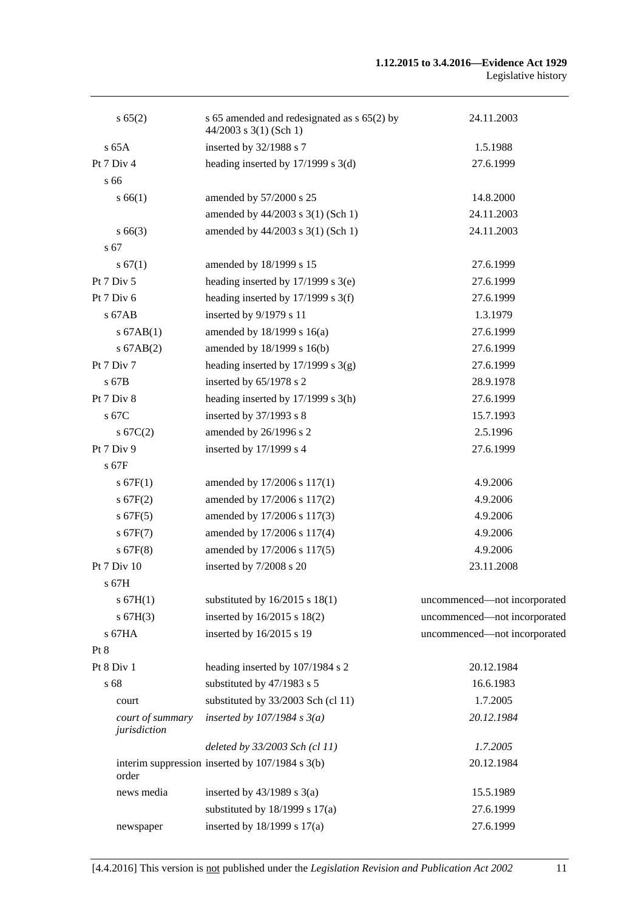| s 65(2)                          | s 65 amended and redesignated as s 65(2) by<br>44/2003 s 3(1) (Sch 1) | 24.11.2003                   |
|----------------------------------|-----------------------------------------------------------------------|------------------------------|
| $s$ 65A                          | inserted by 32/1988 s 7                                               | 1.5.1988                     |
| Pt 7 Div 4                       | heading inserted by $17/1999$ s $3(d)$                                | 27.6.1999                    |
| s 66                             |                                                                       |                              |
| s 66(1)                          | amended by 57/2000 s 25                                               | 14.8.2000                    |
|                                  | amended by 44/2003 s 3(1) (Sch 1)                                     | 24.11.2003                   |
| $s\,66(3)$                       | amended by 44/2003 s 3(1) (Sch 1)                                     | 24.11.2003                   |
| s 67                             |                                                                       |                              |
| s 67(1)                          | amended by 18/1999 s 15                                               | 27.6.1999                    |
| Pt 7 Div 5                       | heading inserted by $17/1999$ s $3(e)$                                | 27.6.1999                    |
| Pt 7 Div 6                       | heading inserted by $17/1999$ s 3(f)                                  | 27.6.1999                    |
| $s$ 67AB                         | inserted by 9/1979 s 11                                               | 1.3.1979                     |
| $s$ 67AB $(1)$                   | amended by 18/1999 s 16(a)                                            | 27.6.1999                    |
| $s$ 67AB $(2)$                   | amended by 18/1999 s 16(b)                                            | 27.6.1999                    |
| Pt 7 Div 7                       | heading inserted by $17/1999$ s $3(g)$                                | 27.6.1999                    |
| s 67B                            | inserted by 65/1978 s 2                                               | 28.9.1978                    |
| Pt 7 Div 8                       | heading inserted by $17/1999$ s $3(h)$                                | 27.6.1999                    |
| s 67C                            | inserted by 37/1993 s 8                                               | 15.7.1993                    |
| s 67C(2)                         | amended by 26/1996 s 2                                                | 2.5.1996                     |
| Pt 7 Div 9                       | inserted by 17/1999 s 4                                               | 27.6.1999                    |
| s 67F                            |                                                                       |                              |
| s 67F(1)                         | amended by 17/2006 s 117(1)                                           | 4.9.2006                     |
| s 67F(2)                         | amended by 17/2006 s 117(2)                                           | 4.9.2006                     |
| s 67F(5)                         | amended by 17/2006 s 117(3)                                           | 4.9.2006                     |
| s 67F(7)                         | amended by 17/2006 s 117(4)                                           | 4.9.2006                     |
| $s$ 67F(8)                       | amended by 17/2006 s 117(5)                                           | 4.9.2006                     |
| Pt 7 Div 10                      | inserted by 7/2008 s 20                                               | 23.11.2008                   |
| $s$ 67H                          |                                                                       |                              |
| s 67H(1)                         | substituted by $16/2015$ s $18(1)$                                    | uncommenced-not incorporated |
| s 67H(3)                         | inserted by 16/2015 s 18(2)                                           | uncommenced-not incorporated |
| s 67HA                           | inserted by 16/2015 s 19                                              | uncommenced-not incorporated |
| Pt 8                             |                                                                       |                              |
| Pt 8 Div 1                       | heading inserted by 107/1984 s 2                                      | 20.12.1984                   |
| s 68                             | substituted by 47/1983 s 5                                            | 16.6.1983                    |
| court                            | substituted by 33/2003 Sch (cl 11)                                    | 1.7.2005                     |
| court of summary<br>jurisdiction | inserted by $107/1984$ s $3(a)$                                       | 20.12.1984                   |
|                                  | deleted by 33/2003 Sch (cl 11)                                        | 1.7.2005                     |
| order                            | interim suppression inserted by 107/1984 s 3(b)                       | 20.12.1984                   |
| news media                       | inserted by $43/1989$ s $3(a)$                                        | 15.5.1989                    |
|                                  | substituted by $18/1999$ s $17(a)$                                    | 27.6.1999                    |
| newspaper                        | inserted by 18/1999 s 17(a)                                           | 27.6.1999                    |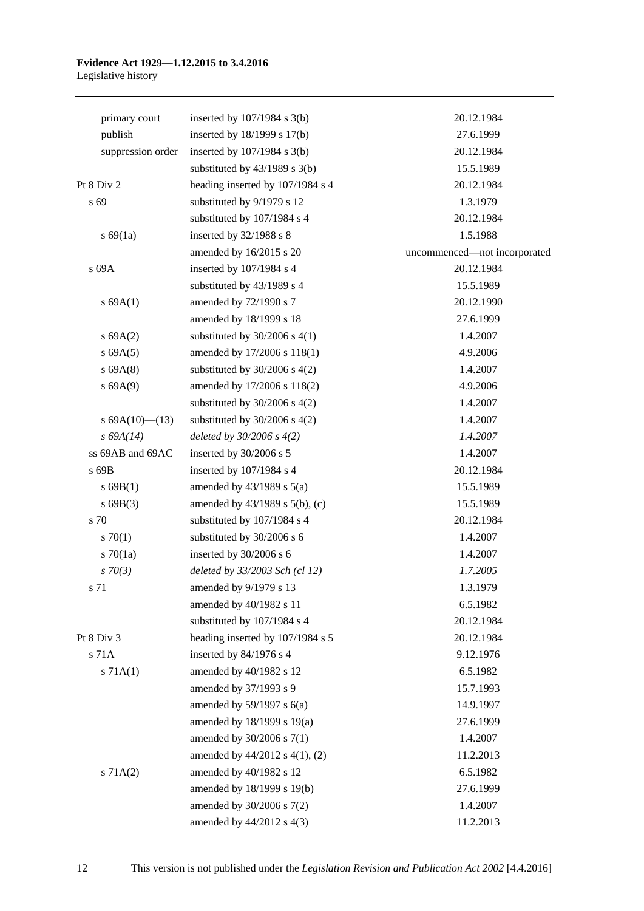#### **Evidence Act 1929—1.12.2015 to 3.4.2016** Legislative history

| primary court     | inserted by $107/1984$ s $3(b)$   | 20.12.1984                   |
|-------------------|-----------------------------------|------------------------------|
| publish           | inserted by 18/1999 s 17(b)       | 27.6.1999                    |
| suppression order | inserted by 107/1984 s 3(b)       | 20.12.1984                   |
|                   | substituted by $43/1989$ s $3(b)$ | 15.5.1989                    |
| Pt 8 Div 2        | heading inserted by 107/1984 s 4  | 20.12.1984                   |
| s 69              | substituted by 9/1979 s 12        | 1.3.1979                     |
|                   | substituted by 107/1984 s 4       | 20.12.1984                   |
| s 69(1a)          | inserted by 32/1988 s 8           | 1.5.1988                     |
|                   | amended by 16/2015 s 20           | uncommenced-not incorporated |
| s 69A             | inserted by 107/1984 s 4          | 20.12.1984                   |
|                   | substituted by 43/1989 s 4        | 15.5.1989                    |
| s 69A(1)          | amended by 72/1990 s 7            | 20.12.1990                   |
|                   | amended by 18/1999 s 18           | 27.6.1999                    |
| s 69A(2)          | substituted by $30/2006$ s 4(1)   | 1.4.2007                     |
| s 69A(5)          | amended by 17/2006 s 118(1)       | 4.9.2006                     |
| s 69A(8)          | substituted by $30/2006$ s $4(2)$ | 1.4.2007                     |
| s 69A(9)          | amended by 17/2006 s 118(2)       | 4.9.2006                     |
|                   | substituted by $30/2006$ s $4(2)$ | 1.4.2007                     |
| s $69A(10)$ (13)  | substituted by $30/2006$ s $4(2)$ | 1.4.2007                     |
| $s\,69A(14)$      | deleted by $30/2006 s 4(2)$       | 1.4.2007                     |
| ss 69AB and 69AC  | inserted by 30/2006 s 5           | 1.4.2007                     |
| s 69B             | inserted by 107/1984 s 4          | 20.12.1984                   |
| $s$ 69B(1)        | amended by $43/1989$ s $5(a)$     | 15.5.1989                    |
| s69B(3)           | amended by 43/1989 s 5(b), (c)    | 15.5.1989                    |
| s 70              | substituted by 107/1984 s 4       | 20.12.1984                   |
| 570(1)            | substituted by 30/2006 s 6        | 1.4.2007                     |
| 570(1a)           | inserted by 30/2006 s 6           | 1.4.2007                     |
| $s \, 70(3)$      | deleted by 33/2003 Sch (cl 12)    | 1.7.2005                     |
| s 71              | amended by 9/1979 s 13            | 1.3.1979                     |
|                   | amended by 40/1982 s 11           | 6.5.1982                     |
|                   | substituted by 107/1984 s 4       | 20.12.1984                   |
| Pt 8 Div 3        | heading inserted by 107/1984 s 5  | 20.12.1984                   |
| s 71A             | inserted by 84/1976 s 4           | 9.12.1976                    |
| s 71A(1)          | amended by 40/1982 s 12           | 6.5.1982                     |
|                   | amended by 37/1993 s 9            | 15.7.1993                    |
|                   | amended by $59/1997$ s $6(a)$     | 14.9.1997                    |
|                   | amended by 18/1999 s 19(a)        | 27.6.1999                    |
|                   | amended by $30/2006$ s $7(1)$     | 1.4.2007                     |
|                   | amended by 44/2012 s 4(1), (2)    | 11.2.2013                    |
| s 71A(2)          | amended by 40/1982 s 12           | 6.5.1982                     |
|                   | amended by 18/1999 s 19(b)        | 27.6.1999                    |
|                   | amended by $30/2006$ s $7(2)$     | 1.4.2007                     |
|                   | amended by $44/2012$ s $4(3)$     | 11.2.2013                    |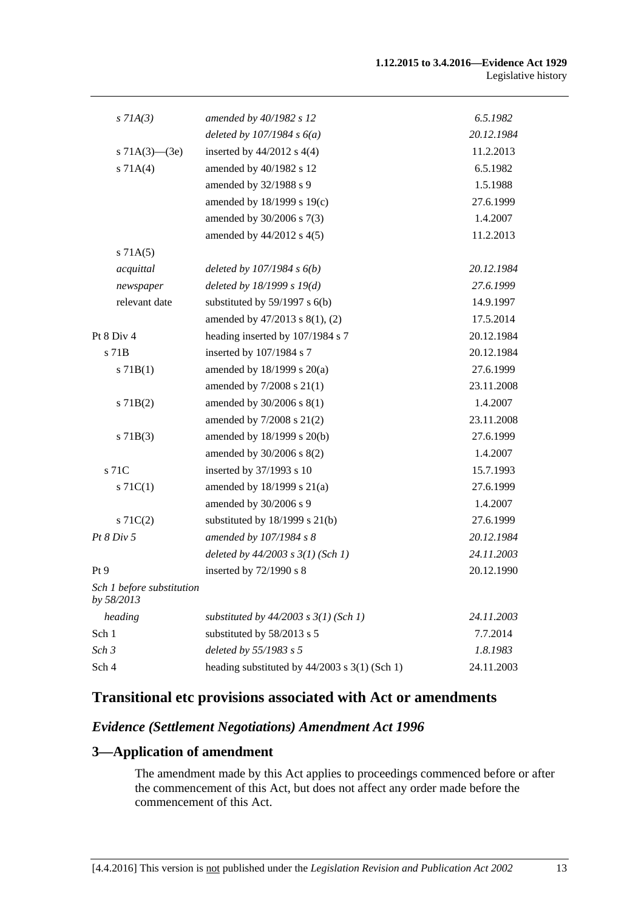| $s$ 71A(3)                              | amended by 40/1982 s 12                       | 6.5.1982   |
|-----------------------------------------|-----------------------------------------------|------------|
|                                         | deleted by $107/1984 s 6(a)$                  | 20.12.1984 |
| s $71A(3)$ — $(3e)$                     | inserted by $44/2012$ s $4(4)$                | 11.2.2013  |
| s 71A(4)                                | amended by 40/1982 s 12                       | 6.5.1982   |
|                                         | amended by 32/1988 s 9                        | 1.5.1988   |
|                                         | amended by 18/1999 s 19(c)                    | 27.6.1999  |
|                                         | amended by 30/2006 s 7(3)                     | 1.4.2007   |
|                                         | amended by 44/2012 s 4(5)                     | 11.2.2013  |
| s 71A(5)                                |                                               |            |
| acquittal                               | deleted by $107/1984 s 6(b)$                  | 20.12.1984 |
| newspaper                               | deleted by $18/1999 s 19(d)$                  | 27.6.1999  |
| relevant date                           | substituted by $59/1997$ s $6(b)$             | 14.9.1997  |
|                                         | amended by 47/2013 s 8(1), (2)                | 17.5.2014  |
| Pt 8 Div 4                              | heading inserted by 107/1984 s 7              | 20.12.1984 |
| s 71 <sub>B</sub>                       | inserted by 107/1984 s 7                      | 20.12.1984 |
| s 71B(1)                                | amended by $18/1999$ s $20(a)$                | 27.6.1999  |
|                                         | amended by 7/2008 s 21(1)                     | 23.11.2008 |
| $s$ 71B(2)                              | amended by 30/2006 s 8(1)                     | 1.4.2007   |
|                                         | amended by 7/2008 s 21(2)                     | 23.11.2008 |
| $s$ 71B(3)                              | amended by 18/1999 s 20(b)                    | 27.6.1999  |
|                                         | amended by 30/2006 s 8(2)                     | 1.4.2007   |
| s 71C                                   | inserted by 37/1993 s 10                      | 15.7.1993  |
| $s \, 71C(1)$                           | amended by $18/1999$ s $21(a)$                | 27.6.1999  |
|                                         | amended by 30/2006 s 9                        | 1.4.2007   |
| $s \, 71C(2)$                           | substituted by $18/1999$ s $21(b)$            | 27.6.1999  |
| Pt 8 Div 5                              | amended by 107/1984 s 8                       | 20.12.1984 |
|                                         | deleted by $44/2003$ s $3(1)$ (Sch 1)         | 24.11.2003 |
| Pt 9                                    | inserted by $72/1990$ s 8                     | 20.12.1990 |
| Sch 1 before substitution<br>by 58/2013 |                                               |            |
| heading                                 | substituted by $44/2003$ s $3(1)$ (Sch 1)     | 24.11.2003 |
| Sch 1                                   | substituted by 58/2013 s 5                    | 7.7.2014   |
| Sch 3                                   | deleted by 55/1983 s 5                        | 1.8.1983   |
| Sch 4                                   | heading substituted by 44/2003 s 3(1) (Sch 1) | 24.11.2003 |
|                                         |                                               |            |

# **Transitional etc provisions associated with Act or amendments**

#### *Evidence (Settlement Negotiations) Amendment Act 1996*

## **3—Application of amendment**

The amendment made by this Act applies to proceedings commenced before or after the commencement of this Act, but does not affect any order made before the commencement of this Act.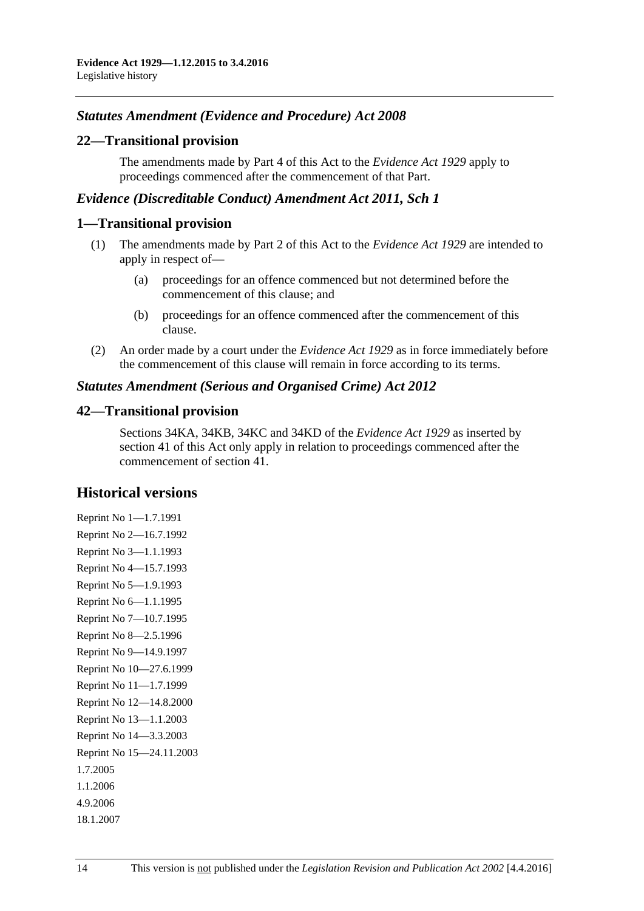### *Statutes Amendment (Evidence and Procedure) Act 2008*

#### **22—Transitional provision**

The amendments made by Part 4 of this Act to the *[Evidence Act](http://www.legislation.sa.gov.au/index.aspx?action=legref&type=act&legtitle=Evidence%20Act%201929) 1929* apply to proceedings commenced after the commencement of that Part.

#### *Evidence (Discreditable Conduct) Amendment Act 2011, Sch 1*

#### **1—Transitional provision**

- (1) The amendments made by Part 2 of this Act to the *[Evidence Act](http://www.legislation.sa.gov.au/index.aspx?action=legref&type=act&legtitle=Evidence%20Act%201929) 1929* are intended to apply in respect of—
	- (a) proceedings for an offence commenced but not determined before the commencement of this clause; and
	- (b) proceedings for an offence commenced after the commencement of this clause.
- (2) An order made by a court under the *[Evidence Act](http://www.legislation.sa.gov.au/index.aspx?action=legref&type=act&legtitle=Evidence%20Act%201929) 1929* as in force immediately before the commencement of this clause will remain in force according to its terms.

#### *Statutes Amendment (Serious and Organised Crime) Act 2012*

#### **42—Transitional provision**

Sections 34KA, 34KB, 34KC and 34KD of the *[Evidence Act](http://www.legislation.sa.gov.au/index.aspx?action=legref&type=act&legtitle=Evidence%20Act%201929) 1929* as inserted by section 41 of this Act only apply in relation to proceedings commenced after the commencement of section 41.

#### **Historical versions**

Reprint No 1—1.7.1991 Reprint No 2—16.7.1992 Reprint No 3—1.1.1993 Reprint No 4—15.7.1993 Reprint No 5—1.9.1993 Reprint No 6—1.1.1995 Reprint No 7—10.7.1995 Reprint No 8—2.5.1996 Reprint No 9—14.9.1997 Reprint No 10—27.6.1999 Reprint No 11—1.7.1999 Reprint No 12—14.8.2000 Reprint No 13—1.1.2003 Reprint No 14—3.3.2003 Reprint No 15—24.11.2003 1.7.2005 1.1.2006 4.9.2006 18.1.2007